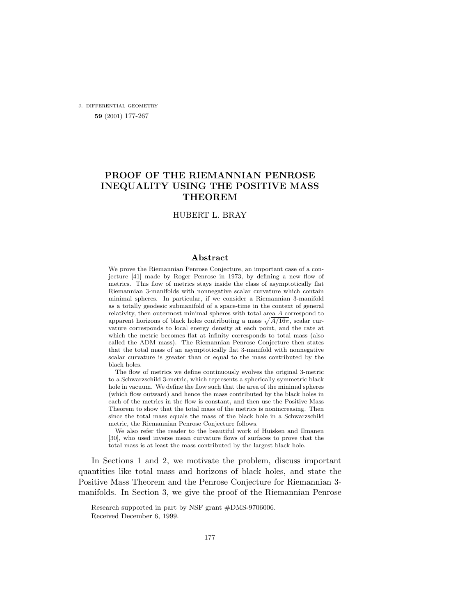j. differential geometry **59** (2001) 177-267

# **PROOF OF THE RIEMANNIAN PENROSE INEQUALITY USING THE POSITIVE MASS THEOREM**

### HUBERT L. BRAY

#### **Abstract**

We prove the Riemannian Penrose Conjecture, an important case of a conjecture [\[41\]](#page-89-0) made by Roger Penrose in 1973, by defining a new flow of metrics. This flow of metrics stays inside the class of asymptotically flat Riemannian 3-manifolds with nonnegative scalar curvature which contain minimal spheres. In particular, if we consider a Riemannian 3-manifold as a totally geodesic submanifold of a space-time in the context of general relativity, then outermost minimal spheres with total area A correspond to apparent horizons of black holes contributing a mass  $\sqrt{A/16\pi}$ , scalar curvature corresponds to local energy density at each point, and the rate at which the metric becomes flat at infinity corresponds to total mass (also called the ADM mass). The Riemannian Penrose Conjecture then states that the total mass of an asymptotically flat 3-manifold with nonnegative scalar curvature is greater than or equal to the mass contributed by the black holes.

The flow of metrics we define continuously evolves the original 3-metric to a Schwarzschild 3-metric, which represents a spherically symmetric black hole in vacuum. We define the flow such that the area of the minimal spheres (which flow outward) and hence the mass contributed by the black holes in each of the metrics in the flow is constant, and then use the Positive Mass Theorem to show that the total mass of the metrics is nonincreasing. Then since the total mass equals the mass of the black hole in a Schwarzschild metric, the Riemannian Penrose Conjecture follows.

We also refer the reader to the beautiful work of Huisken and Ilmanen [[30](#page-88-0)], who used inverse mean curvature flows of surfaces to prove that the total mass is at least the mass contributed by the largest black hole.

In Sections [1](#page-1-0) and [2,](#page-6-0) we motivate the problem, discuss important quantities like total mass and horizons of black holes, and state the Positive Mass Theorem and the Penrose Conjecture for Riemannian 3 manifolds. In Section [3](#page-9-0), we give the proof of the Riemannian Penrose

Research supported in part by NSF grant #DMS-9706006.

Received December 6, 1999.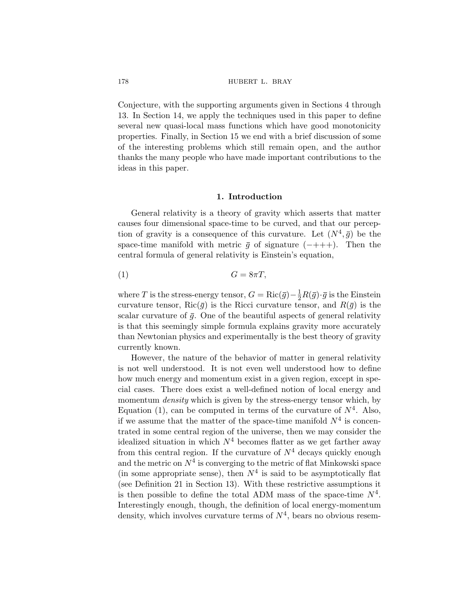<span id="page-1-0"></span>Conjecture, with the supporting arguments given in Sections [4](#page-13-0) through [13.](#page-61-0) In Section [14,](#page-63-0) we apply the techniques used in this paper to define several new quasi-local mass functions which have good monotonicity properties. Finally, in Section [15](#page-67-0) we end with a brief discussion of some of the interesting problems which still remain open, and the author thanks the many people who have made important contributions to the ideas in this paper.

#### **1. Introduction**

General relativity is a theory of gravity which asserts that matter causes four dimensional space-time to be curved, and that our perception of gravity is a consequence of this curvature. Let  $(N^4, \bar{g})$  be the space-time manifold with metric  $\bar{g}$  of signature (-+++). Then the central formula of general relativity is Einstein's equation,

$$
(1) \tG = 8\pi T,
$$

where T is the stress-energy tensor,  $G = \text{Ric}(\bar{g}) - \frac{1}{2}R(\bar{g}) \cdot \bar{g}$  is the Einstein curvature tensor,  $\text{Ric}(\bar{g})$  is the Ricci curvature tensor, and  $R(\bar{g})$  is the scalar curvature of  $\bar{g}$ . One of the beautiful aspects of general relativity is that this seemingly simple formula explains gravity more accurately than Newtonian physics and experimentally is the best theory of gravity currently known.

However, the nature of the behavior of matter in general relativity is not well understood. It is not even well understood how to define how much energy and momentum exist in a given region, except in special cases. There does exist a well-defined notion of local energy and momentum *density* which is given by the stress-energy tensor which, by Equation (1), can be computed in terms of the curvature of  $N^4$ . Also, if we assume that the matter of the space-time manifold  $N^4$  is concentrated in some central region of the universe, then we may consider the idealized situation in which  $N^4$  becomes flatter as we get farther away from this central region. If the curvature of  $N^4$  decays quickly enough and the metric on  $N^4$  is converging to the metric of flat Minkowski space (in some appropriate sense), then  $N^4$  is said to be asymptotically flat (see Definition [21](#page-61-0) in Section [13](#page-61-0)). With these restrictive assumptions it is then possible to define the total ADM mass of the space-time  $N^4$ . Interestingly enough, though, the definition of local energy-momentum density, which involves curvature terms of  $N<sup>4</sup>$ , bears no obvious resem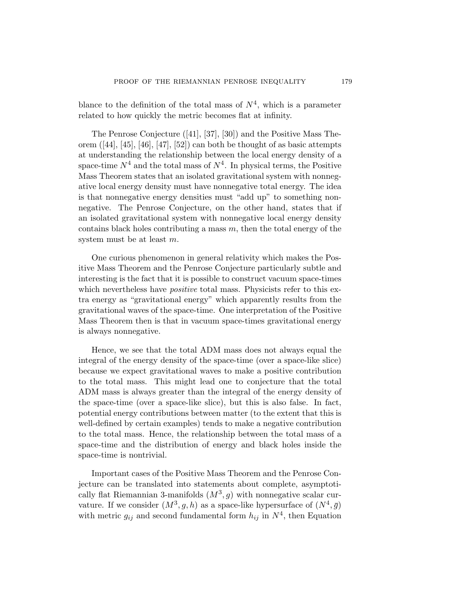blance to the definition of the total mass of  $N^4$ , which is a parameter related to how quickly the metric becomes flat at infinity.

The Penrose Conjecture ([\[41](#page-89-0)], [\[37](#page-89-0)], [[30\]](#page-88-0)) and the Positive Mass Theorem ([[44\]](#page-89-0), [[45\]](#page-89-0), [[46\]](#page-89-0), [[47\]](#page-89-0), [[52\]](#page-90-0)) can both be thought of as basic attempts at understanding the relationship between the local energy density of a space-time  $N^4$  and the total mass of  $N^4$ . In physical terms, the Positive Mass Theorem states that an isolated gravitational system with nonnegative local energy density must have nonnegative total energy. The idea is that nonnegative energy densities must "add up" to something nonnegative. The Penrose Conjecture, on the other hand, states that if an isolated gravitational system with nonnegative local energy density contains black holes contributing a mass  $m$ , then the total energy of the system must be at least m.

One curious phenomenon in general relativity which makes the Positive Mass Theorem and the Penrose Conjecture particularly subtle and interesting is the fact that it is possible to construct vacuum space-times which nevertheless have *positive* total mass. Physicists refer to this extra energy as "gravitational energy" which apparently results from the gravitational waves of the space-time. One interpretation of the Positive Mass Theorem then is that in vacuum space-times gravitational energy is always nonnegative.

Hence, we see that the total ADM mass does not always equal the integral of the energy density of the space-time (over a space-like slice) because we expect gravitational waves to make a positive contribution to the total mass. This might lead one to conjecture that the total ADM mass is always greater than the integral of the energy density of the space-time (over a space-like slice), but this is also false. In fact, potential energy contributions between matter (to the extent that this is well-defined by certain examples) tends to make a negative contribution to the total mass. Hence, the relationship between the total mass of a space-time and the distribution of energy and black holes inside the space-time is nontrivial.

Important cases of the Positive Mass Theorem and the Penrose Conjecture can be translated into statements about complete, asymptotically flat Riemannian 3-manifolds  $(M^3, g)$  with nonnegative scalar curvature. If we consider  $(M^3, g, h)$  as a space-like hypersurface of  $(N^4, \bar{g})$ with metric  $g_{ij}$  and second fundamental form  $h_{ij}$  in  $N^4$ , then Equation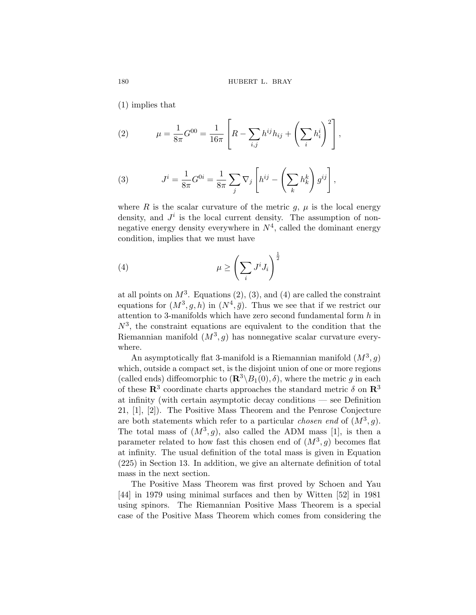([1](#page-1-0)) implies that

(2) 
$$
\mu = \frac{1}{8\pi} G^{00} = \frac{1}{16\pi} \left[ R - \sum_{i,j} h^{ij} h_{ij} + \left( \sum_i h_i^i \right)^2 \right],
$$

(3) 
$$
J^i = \frac{1}{8\pi} G^{0i} = \frac{1}{8\pi} \sum_j \nabla_j \left[ h^{ij} - \left( \sum_k h^k_k \right) g^{ij} \right],
$$

where R is the scalar curvature of the metric  $q, \mu$  is the local energy density, and  $J^i$  is the local current density. The assumption of nonnegative energy density everywhere in  $N^4$ , called the dominant energy condition, implies that we must have

$$
\mu \ge \left(\sum_i J^i J_i\right)^{\frac{1}{2}}
$$

at all points on  $M^3$ . Equations (2), (3), and (4) are called the constraint equations for  $(M^3, g, h)$  in  $(N^4, \bar{g})$ . Thus we see that if we restrict our attention to 3-manifolds which have zero second fundamental form  $h$  in  $N^3$ , the constraint equations are equivalent to the condition that the Riemannian manifold  $(M^3, g)$  has nonnegative scalar curvature everywhere.

An asymptotically flat 3-manifold is a Riemannian manifold  $(M^3, g)$ which, outside a compact set, is the disjoint union of one or more regions (called ends) diffeomorphic to  $(\mathbb{R}^3 \setminus B_1(0), \delta)$ , where the metric g in each of these  $\mathbb{R}^3$  coordinate charts approaches the standard metric  $\delta$  on  $\mathbb{R}^3$ at infinity (with certain asymptotic decay conditions — see Definition [21,](#page-61-0) [\[1\]](#page-87-0), [\[2\]](#page-87-0)). The Positive Mass Theorem and the Penrose Conjecture are both statements which refer to a particular *chosen end* of  $(M^3, g)$ . The total mass of  $(M^3, g)$ , also called the ADM mass [[1](#page-87-0)], is then a parameter related to how fast this chosen end of  $(M^3, g)$  becomes flat at infinity. The usual definition of the total mass is given in Equation ([225](#page-62-0)) in Section [13](#page-61-0). In addition, we give an alternate definition of total mass in the next section.

The Positive Mass Theorem was first proved by Schoen and Yau [[44\]](#page-89-0) in 1979 using minimal surfaces and then by Witten [[52\]](#page-90-0) in 1981 using spinors. The Riemannian Positive Mass Theorem is a special case of the Positive Mass Theorem which comes from considering the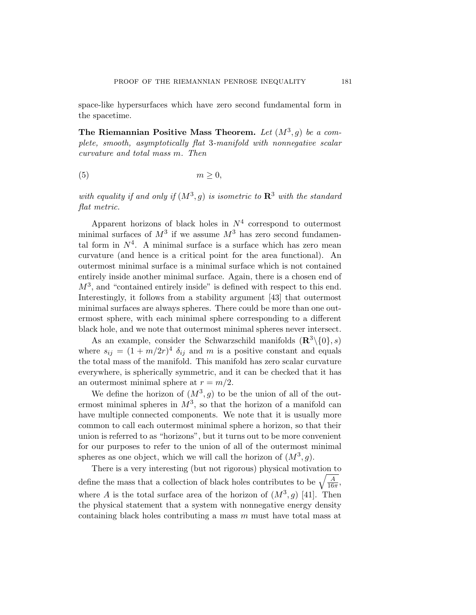space-like hypersurfaces which have zero second fundamental form in the spacetime.

**The Riemannian Positive Mass Theorem.** Let  $(M^3, g)$  be a com*plete, smooth, asymptotically flat* 3*-manifold with nonnegative scalar curvature and total mass* m*. Then*

$$
(5) \t\t\t m \ge 0,
$$

*with equality if and only if*  $(M^3, g)$  *is isometric to*  $\mathbb{R}^3$  *with the standard flat metric.*

Apparent horizons of black holes in  $N^4$  correspond to outermost minimal surfaces of  $M^3$  if we assume  $M^3$  has zero second fundamental form in  $N^4$ . A minimal surface is a surface which has zero mean curvature (and hence is a critical point for the area functional). An outermost minimal surface is a minimal surface which is not contained entirely inside another minimal surface. Again, there is a chosen end of  $M<sup>3</sup>$ , and "contained entirely inside" is defined with respect to this end. Interestingly, it follows from a stability argument [\[43](#page-89-0)] that outermost minimal surfaces are always spheres. There could be more than one outermost sphere, with each minimal sphere corresponding to a different black hole, and we note that outermost minimal spheres never intersect.

As an example, consider the Schwarzschild manifolds  $(\mathbb{R}^3 \setminus \{0\}, s)$ where  $s_{ij} = (1 + m/2r)^4 \delta_{ij}$  and m is a positive constant and equals the total mass of the manifold. This manifold has zero scalar curvature everywhere, is spherically symmetric, and it can be checked that it has an outermost minimal sphere at  $r = m/2$ .

We define the horizon of  $(M^3, g)$  to be the union of all of the outermost minimal spheres in  $M^3$ , so that the horizon of a manifold can have multiple connected components. We note that it is usually more common to call each outermost minimal sphere a horizon, so that their union is referred to as "horizons", but it turns out to be more convenient for our purposes to refer to the union of all of the outermost minimal spheres as one object, which we will call the horizon of  $(M^3, q)$ .

There is a very interesting (but not rigorous) physical motivation to define the mass that a collection of black holes contributes to be  $\sqrt{\frac{A}{16\pi}}$ , where A is the total surface area of the horizon of  $(M^3, g)$  [\[41](#page-89-0)]. Then the physical statement that a system with nonnegative energy density containing black holes contributing a mass  $m$  must have total mass at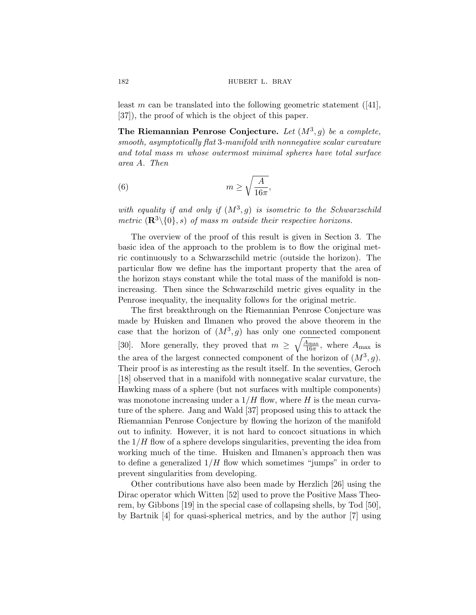#### <span id="page-5-0"></span>182 **hubert L. BRAY**

least m can be translated into the following geometric statement  $([41],$  $([41],$  $([41],$ [[37\]](#page-89-0)), the proof of which is the object of this paper.

**The Riemannian Penrose Conjecture.** Let  $(M^3, g)$  be a complete, *smooth, asymptotically flat* 3*-manifold with nonnegative scalar curvature and total mass* m *whose outermost minimal spheres have total surface area* A*. Then*

(6) 
$$
m \ge \sqrt{\frac{A}{16\pi}},
$$

*with equality if and only if*  $(M^3, g)$  *is isometric to the Schwarzschild metric*  $(\mathbb{R}^3 \setminus \{0\}, s)$  *of mass m outside their respective horizons.* 

The overview of the proof of this result is given in Section [3.](#page-9-0) The basic idea of the approach to the problem is to flow the original metric continuously to a Schwarzschild metric (outside the horizon). The particular flow we define has the important property that the area of the horizon stays constant while the total mass of the manifold is nonincreasing. Then since the Schwarzschild metric gives equality in the Penrose inequality, the inequality follows for the original metric.

The first breakthrough on the Riemannian Penrose Conjecture was made by Huisken and Ilmanen who proved the above theorem in the case that the horizon of  $(M^3, g)$  has only one connected component [[30\]](#page-88-0). More generally, they proved that  $m \geq \sqrt{\frac{A_{\text{max}}}{16\pi}}$ , where  $A_{\text{max}}$  is the area of the largest connected component of the horizon of  $(M^3, g)$ . Their proof is as interesting as the result itself. In the seventies, Geroch [[18\]](#page-88-0) observed that in a manifold with nonnegative scalar curvature, the Hawking mass of a sphere (but not surfaces with multiple components) was monotone increasing under a  $1/H$  flow, where H is the mean curvature of the sphere. Jang and Wald [[37\]](#page-89-0) proposed using this to attack the Riemannian Penrose Conjecture by flowing the horizon of the manifold out to infinity. However, it is not hard to concoct situations in which the  $1/H$  flow of a sphere develops singularities, preventing the idea from working much of the time. Huisken and Ilmanen's approach then was to define a generalized  $1/H$  flow which sometimes "jumps" in order to prevent singularities from developing.

Other contributions have also been made by Herzlich [[26\]](#page-88-0) using the Dirac operator which Witten [\[52](#page-90-0)] used to prove the Positive Mass Theorem, by Gibbons [\[19](#page-88-0)] in the special case of collapsing shells, by Tod [\[50](#page-89-0)], by Bartnik [\[4\]](#page-87-0) for quasi-spherical metrics, and by the author [[7](#page-87-0)] using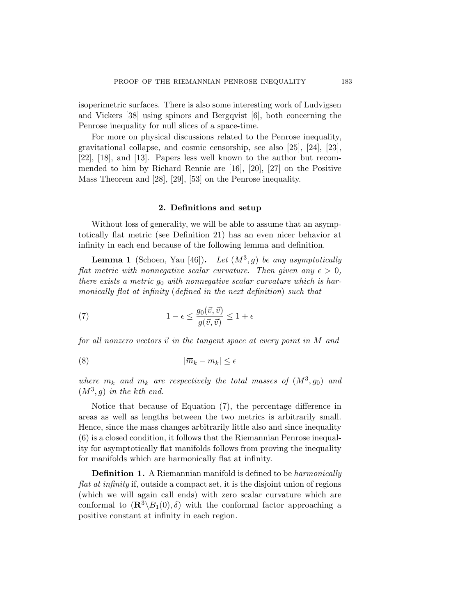<span id="page-6-0"></span>isoperimetric surfaces. There is also some interesting work of Ludvigsen and Vickers [\[38](#page-89-0)] using spinors and Bergqvist [[6](#page-87-0)], both concerning the Penrose inequality for null slices of a space-time.

For more on physical discussions related to the Penrose inequality, gravitational collapse, and cosmic censorship, see also [\[25](#page-88-0)], [\[24](#page-88-0)], [\[23](#page-88-0)], [[22\]](#page-88-0), [[18\]](#page-88-0), and [[13](#page-88-0)]. Papers less well known to the author but recommended to him by Richard Rennie are [[16](#page-88-0)], [\[20](#page-88-0)], [\[27](#page-88-0)] on the Positive Mass Theorem and [[28\]](#page-88-0), [[29](#page-88-0)], [\[53](#page-90-0)] on the Penrose inequality.

#### **2. Definitions and setup**

Without loss of generality, we will be able to assume that an asymptotically flat metric (see Definition [21](#page-61-0)) has an even nicer behavior at infinity in each end because of the following lemma and definition.

**Lemma 1** (Schoen, Yau [[46](#page-89-0)]). Let  $(M^3, g)$  be any asymptotically *flat metric with nonnegative scalar curvature. Then given any*  $\epsilon > 0$ , *there exists a metric go with nonnegative scalar curvature which is harmonically flat at infinity* (*defined in the next definition*) *such that*

(7) 
$$
1 - \epsilon \le \frac{g_0(\vec{v}, \vec{v})}{g(\vec{v}, \vec{v})} \le 1 + \epsilon
$$

*for all nonzero vectors*  $\vec{v}$  *in the tangent space at every point in*  $M$  *and* 

$$
(8) \t\t |\overline{m}_k - m_k| \le \epsilon
$$

*where*  $\overline{m}_k$  *and*  $m_k$  *are respectively the total masses of*  $(M^3, g_0)$  *and*  $(M^3, g)$  *in the kth end.* 

Notice that because of Equation (7), the percentage difference in areas as well as lengths between the two metrics is arbitrarily small. Hence, since the mass changes arbitrarily little also and since inequality [\(6\)](#page-5-0) is a closed condition, it follows that the Riemannian Penrose inequality for asymptotically flat manifolds follows from proving the inequality for manifolds which are harmonically flat at infinity.

**Definition 1.** A Riemannian manifold is defined to be *harmonically flat at infinity* if, outside a compact set, it is the disjoint union of regions (which we will again call ends) with zero scalar curvature which are conformal to  $(\mathbb{R}^3 \setminus B_1(0), \delta)$  with the conformal factor approaching a positive constant at infinity in each region.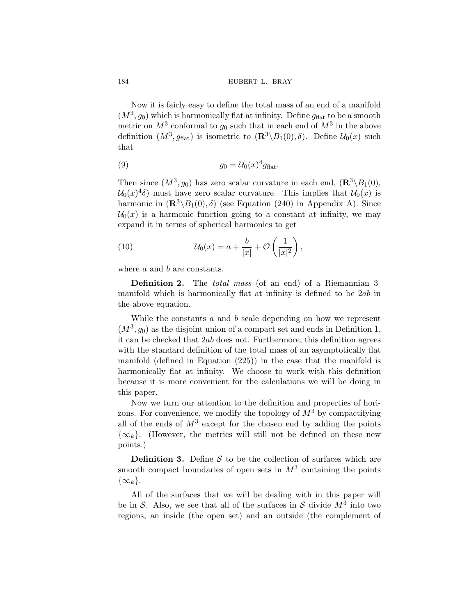Now it is fairly easy to define the total mass of an end of a manifold  $(M^3, g_0)$  which is harmonically flat at infinity. Define  $g_{\text{flat}}$  to be a smooth metric on  $M^3$  conformal to  $g_0$  such that in each end of  $M^3$  in the above definition  $(M^3, g_{\text{flat}})$  is isometric to  $(\mathbb{R}^3 \setminus B_1(0), \delta)$ . Define  $\mathcal{U}_0(x)$  such that

(9) 
$$
g_0 = \mathcal{U}_0(x)^4 g_{\text{flat}}.
$$

Then since  $(M^3, g_0)$  has zero scalar curvature in each end,  $(\mathbb{R}^3 \backslash B_1(0),$  $\mathcal{U}_0(x)^4\delta$  must have zero scalar curvature. This implies that  $\mathcal{U}_0(x)$  is harmonic in  $(\mathbb{R}^3 \setminus B_1(0), \delta)$  (see Equation [\(240](#page-69-0)) in Appendix [A\)](#page-68-0). Since  $\mathcal{U}_0(x)$  is a harmonic function going to a constant at infinity, we may expand it in terms of spherical harmonics to get

(10) 
$$
\mathcal{U}_0(x) = a + \frac{b}{|x|} + \mathcal{O}\left(\frac{1}{|x|^2}\right),
$$

where *a* and *b* are constants.

**Definition 2.** The *total mass* (of an end) of a Riemannian 3 manifold which is harmonically flat at infinity is defined to be 2ab in the above equation.

While the constants a and b scale depending on how we represent  $(M^3, g_0)$  as the disjoint union of a compact set and ends in Definition [1](#page-6-0), it can be checked that 2ab does not. Furthermore, this definition agrees with the standard definition of the total mass of an asymptotically flat manifold (defined in Equation [\(225\)](#page-62-0)) in the case that the manifold is harmonically flat at infinity. We choose to work with this definition because it is more convenient for the calculations we will be doing in this paper.

Now we turn our attention to the definition and properties of horizons. For convenience, we modify the topology of  $M^3$  by compactifying all of the ends of  $M^3$  except for the chosen end by adding the points  $\{\infty_k\}$ . (However, the metrics will still not be defined on these new points.)

**Definition 3.** Define  $S$  to be the collection of surfaces which are smooth compact boundaries of open sets in  $M^3$  containing the points  $\{\infty_k\}.$ 

All of the surfaces that we will be dealing with in this paper will be in S. Also, we see that all of the surfaces in S divide  $M^3$  into two regions, an inside (the open set) and an outside (the complement of

<span id="page-7-0"></span>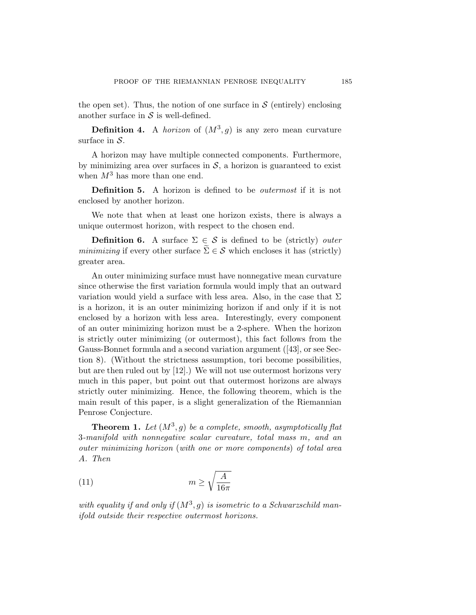<span id="page-8-0"></span>the open set). Thus, the notion of one surface in  $S$  (entirely) enclosing another surface in  $S$  is well-defined.

**Definition 4.** A *horizon* of  $(M^3, g)$  is any zero mean curvature surface in  $S$ .

A horizon may have multiple connected components. Furthermore, by minimizing area over surfaces in  $S$ , a horizon is guaranteed to exist when  $M^3$  has more than one end.

**Definition 5.** A horizon is defined to be *outermost* if it is not enclosed by another horizon.

We note that when at least one horizon exists, there is always a unique outermost horizon, with respect to the chosen end.

**Definition 6.** A surface  $\Sigma \in \mathcal{S}$  is defined to be (strictly) *outer minimizing* if every other surface  $\Sigma \in \mathcal{S}$  which encloses it has (strictly) greater area.

An outer minimizing surface must have nonnegative mean curvature since otherwise the first variation formula would imply that an outward variation would yield a surface with less area. Also, in the case that  $\Sigma$ is a horizon, it is an outer minimizing horizon if and only if it is not enclosed by a horizon with less area. Interestingly, every component of an outer minimizing horizon must be a 2-sphere. When the horizon is strictly outer minimizing (or outermost), this fact follows from the Gauss-Bonnet formula and a second variation argument ([\[43](#page-89-0)], or see Section [8](#page-37-0)). (Without the strictness assumption, tori become possibilities, but are then ruled out by [\[12](#page-87-0)].) We will not use outermost horizons very much in this paper, but point out that outermost horizons are always strictly outer minimizing. Hence, the following theorem, which is the main result of this paper, is a slight generalization of the Riemannian Penrose Conjecture.

**Theorem 1.** Let  $(M^3, g)$  be a complete, smooth, asymptotically flat 3*-manifold with nonnegative scalar curvature, total mass* m*, and an outer minimizing horizon* (*with one or more components*) *of total area* A*. Then*

$$
(11)\t\t\t m \ge \sqrt{\frac{A}{16\pi}}
$$

with equality if and only if  $(M^3, g)$  is isometric to a Schwarzschild man*ifold outside their respective outermost horizons.*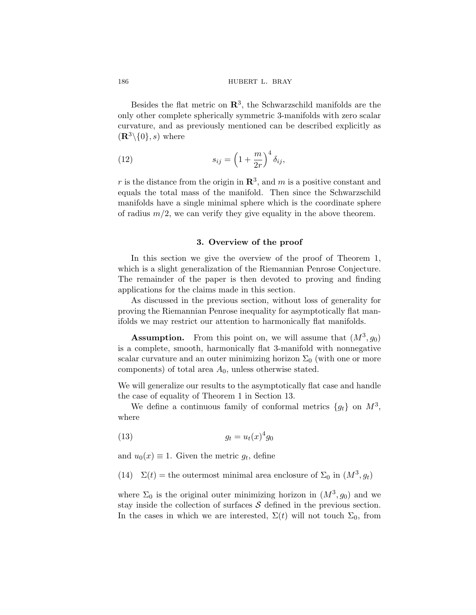Besides the flat metric on **R**3, the Schwarzschild manifolds are the only other complete spherically symmetric 3-manifolds with zero scalar curvature, and as previously mentioned can be described explicitly as  $(\mathbf{R}^3\backslash\{0\},s)$  where

(12) 
$$
s_{ij} = \left(1 + \frac{m}{2r}\right)^4 \delta_{ij},
$$

r is the distance from the origin in  $\mathbb{R}^3$ , and m is a positive constant and equals the total mass of the manifold. Then since the Schwarzschild manifolds have a single minimal sphere which is the coordinate sphere of radius  $m/2$ , we can verify they give equality in the above theorem.

#### **3. Overview of the proof**

In this section we give the overview of the proof of Theorem [1](#page-8-0), which is a slight generalization of the Riemannian Penrose Conjecture. The remainder of the paper is then devoted to proving and finding applications for the claims made in this section.

As discussed in the previous section, without loss of generality for proving the Riemannian Penrose inequality for asymptotically flat manifolds we may restrict our attention to harmonically flat manifolds.

**Assumption.** From this point on, we will assume that  $(M^3, q_0)$ is a complete, smooth, harmonically flat 3-manifold with nonnegative scalar curvature and an outer minimizing horizon  $\Sigma_0$  (with one or more components) of total area  $A_0$ , unless otherwise stated.

We will generalize our results to the asymptotically flat case and handle the case of equality of Theorem [1](#page-8-0) in Section [13.](#page-61-0)

We define a continuous family of conformal metrics  $\{g_t\}$  on  $M^3$ , where

$$
(13) \t\t\t g_t = u_t(x)^4 g_0
$$

and  $u_0(x) \equiv 1$ . Given the metric  $g_t$ , define

(14)  $\Sigma(t) =$  the outermost minimal area enclosure of  $\Sigma_0$  in  $(M^3, g_t)$ 

where  $\Sigma_0$  is the original outer minimizing horizon in  $(M^3, g_0)$  and we stay inside the collection of surfaces  $\mathcal S$  defined in the previous section. In the cases in which we are interested,  $\Sigma(t)$  will not touch  $\Sigma_0$ , from

<span id="page-9-0"></span>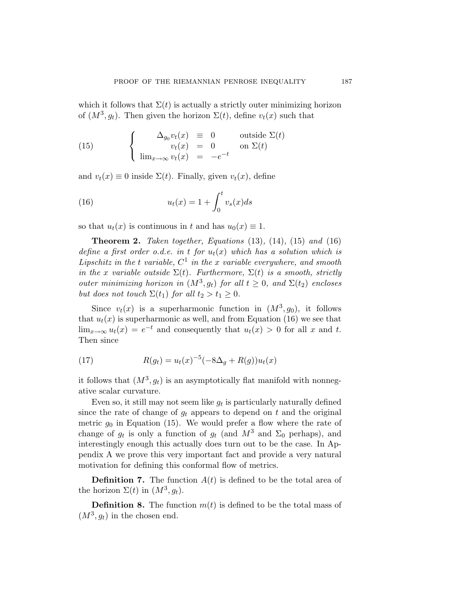<span id="page-10-0"></span>which it follows that  $\Sigma(t)$  is actually a strictly outer minimizing horizon of  $(M^3, g_t)$ . Then given the horizon  $\Sigma(t)$ , define  $v_t(x)$  such that

(15) 
$$
\begin{cases} \Delta_{g_0} v_t(x) = 0 & \text{outside } \Sigma(t) \\ v_t(x) = 0 & \text{on } \Sigma(t) \\ \lim_{x \to \infty} v_t(x) = -e^{-t} \end{cases}
$$

and  $v_t(x) \equiv 0$  inside  $\Sigma(t)$ . Finally, given  $v_t(x)$ , define

(16) 
$$
u_t(x) = 1 + \int_0^t v_s(x)ds
$$

so that  $u_t(x)$  is continuous in t and has  $u_0(x) \equiv 1$ .

**Theorem 2.** *Taken together, Equations* [\(13](#page-9-0))*,* [\(14](#page-9-0))*,* (15) *and* (16) *define a first order o.d.e. in t for*  $u_t(x)$  which has a solution which is *Lipschitz in the t variable,*  $C^1$  *in the x variable everywhere, and smooth in the* x *variable outside*  $\Sigma(t)$ *. Furthermore,*  $\Sigma(t)$  *is a smooth, strictly outer minimizing horizon in*  $(M^3, g_t)$  *for all*  $t \geq 0$ *, and*  $\Sigma(t_2)$  *encloses but does not touch*  $\Sigma(t_1)$  *for all*  $t_2 > t_1 \geq 0$ *.* 

Since  $v_t(x)$  is a superharmonic function in  $(M^3, q_0)$ , it follows that  $u_t(x)$  is superharmonic as well, and from Equation (16) we see that  $\lim_{x\to\infty} u_t(x) = e^{-t}$  and consequently that  $u_t(x) > 0$  for all x and t. Then since

(17) 
$$
R(g_t) = u_t(x)^{-5}(-8\Delta_g + R(g))u_t(x)
$$

it follows that  $(M^3, g_t)$  is an asymptotically flat manifold with nonnegative scalar curvature.

Even so, it still may not seem like  $q_t$  is particularly naturally defined since the rate of change of  $g_t$  appears to depend on t and the original metric  $g_0$  in Equation (15). We would prefer a flow where the rate of change of  $g_t$  is only a function of  $g_t$  (and  $M^3$  and  $\Sigma_0$  perhaps), and interestingly enough this actually does turn out to be the case. In Appendix [A](#page-68-0) we prove this very important fact and provide a very natural motivation for defining this conformal flow of metrics.

**Definition 7.** The function  $A(t)$  is defined to be the total area of the horizon  $\Sigma(t)$  in  $(M^3, g_t)$ .

**Definition 8.** The function  $m(t)$  is defined to be the total mass of  $(M^3, g_t)$  in the chosen end.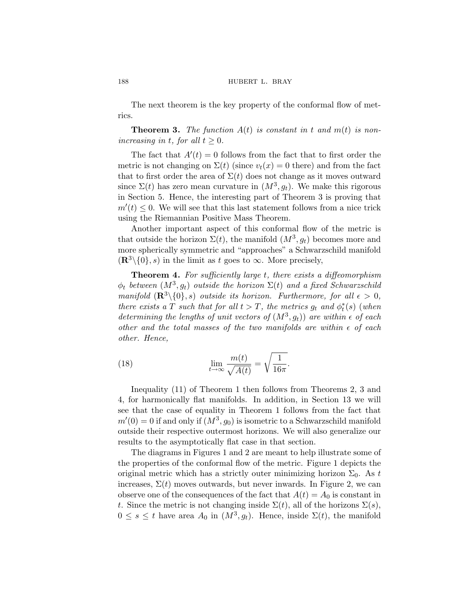The next theorem is the key property of the conformal flow of metrics.

**Theorem 3.** The function  $A(t)$  is constant in t and  $m(t)$  is non*increasing in t, for all*  $t \geq 0$ *.* 

The fact that  $A'(t) = 0$  follows from the fact that to first order the metric is not changing on  $\Sigma(t)$  (since  $v_t(x) = 0$  there) and from the fact that to first order the area of  $\Sigma(t)$  does not change as it moves outward since  $\Sigma(t)$  has zero mean curvature in  $(M^3, g_t)$ . We make this rigorous in Section [5.](#page-22-0) Hence, the interesting part of Theorem 3 is proving that  $m'(t) \leq 0$ . We will see that this last statement follows from a nice trick using the Riemannian Positive Mass Theorem.

Another important aspect of this conformal flow of the metric is that outside the horizon  $\Sigma(t)$ , the manifold  $(M^3, g_t)$  becomes more and more spherically symmetric and "approaches" a Schwarzschild manifold  $(\mathbf{R}^3\setminus\{0\}, s)$  in the limit as t goes to  $\infty$ . More precisely,

**Theorem 4.** *For sufficiently large* t*, there exists a diffeomorphism*  $\phi_t$  *between*  $(M^3, g_t)$  *outside the horizon*  $\Sigma(t)$  *and a fixed Schwarzschild manifold*  $(\mathbb{R}^3 \setminus \{0\}, s)$  *outside its horizon. Furthermore, for all*  $\epsilon > 0$ *, there exists a*  $T$  *such that for all*  $t > T$ *, the metrics*  $g_t$  *and*  $\phi_t^*(s)$  (*when determining the lengths of unit vectors of*  $(M^3, g_t)$  *are within*  $\epsilon$  *of each other and the total masses of the two manifolds are within of each other. Hence,*

(18) 
$$
\lim_{t \to \infty} \frac{m(t)}{\sqrt{A(t)}} = \sqrt{\frac{1}{16\pi}}.
$$

Inequality ([11\)](#page-8-0) of Theorem [1](#page-8-0) then follows from Theorems [2](#page-10-0), 3 and 4, for harmonically flat manifolds. In addition, in Section [13](#page-61-0) we will see that the case of equality in Theorem [1](#page-8-0) follows from the fact that  $m'(0) = 0$  if and only if  $(M^3, g_0)$  is isometric to a Schwarzschild manifold outside their respective outermost horizons. We will also generalize our results to the asymptotically flat case in that section.

The diagrams in Figures [1](#page-12-0) and [2](#page-12-0) are meant to help illustrate some of the properties of the conformal flow of the metric. Figure [1](#page-12-0) depicts the original metric which has a strictly outer minimizing horizon  $\Sigma_0$ . As t increases,  $\Sigma(t)$  moves outwards, but never inwards. In Figure [2](#page-12-0), we can observe one of the consequences of the fact that  $A(t) = A_0$  is constant in t. Since the metric is not changing inside  $\Sigma(t)$ , all of the horizons  $\Sigma(s)$ ,  $0 \leq s \leq t$  have area  $A_0$  in  $(M^3, g_t)$ . Hence, inside  $\Sigma(t)$ , the manifold

<span id="page-11-0"></span>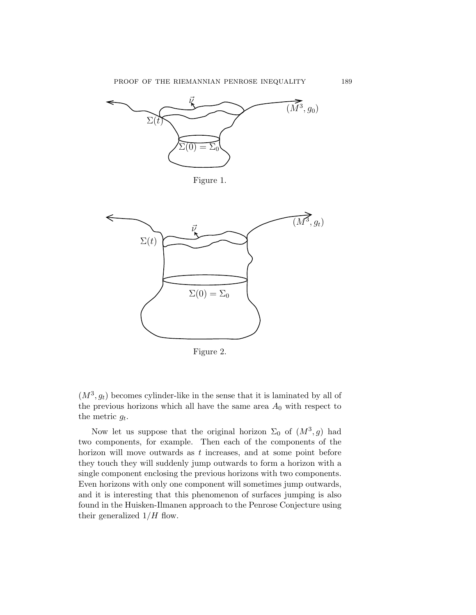<span id="page-12-0"></span>





Figure 2.

 $(M^3, g_t)$  becomes cylinder-like in the sense that it is laminated by all of the previous horizons which all have the same area  $A_0$  with respect to the metric  $g_t$ .

Now let us suppose that the original horizon  $\Sigma_0$  of  $(M^3, g)$  had two components, for example. Then each of the components of the horizon will move outwards as t increases, and at some point before they touch they will suddenly jump outwards to form a horizon with a single component enclosing the previous horizons with two components. Even horizons with only one component will sometimes jump outwards, and it is interesting that this phenomenon of surfaces jumping is also found in the Huisken-Ilmanen approach to the Penrose Conjecture using their generalized  $1/H$  flow.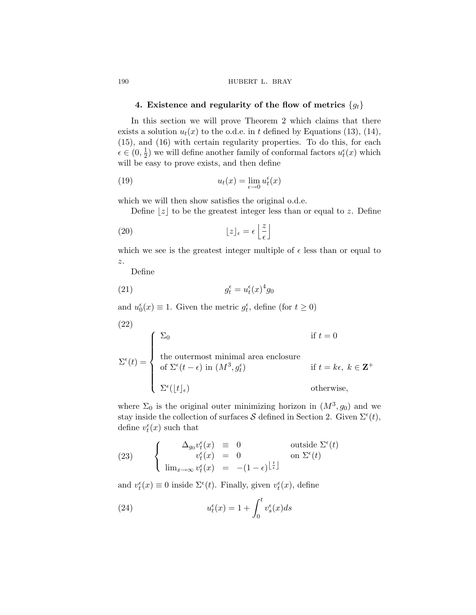#### <span id="page-13-0"></span>190 **hubert L. BRAY**

## **4. Existence and regularity of the flow of metrics**  ${g_t}$

In this section we will prove Theorem [2](#page-10-0) which claims that there exists a solution  $u_t(x)$  to the o.d.e. in t defined by Equations [\(13](#page-9-0)), ([14\)](#page-9-0), ([15\)](#page-10-0), and ([16\)](#page-10-0) with certain regularity properties. To do this, for each  $\epsilon \in (0, \frac{1}{2})$  we will define another family of conformal factors  $u_t^{\epsilon}(x)$  which will be easy to prove exists, and then define

(19) 
$$
u_t(x) = \lim_{\epsilon \to 0} u_t^{\epsilon}(x)
$$

which we will then show satisfies the original o.d.e.

Define  $|z|$  to be the greatest integer less than or equal to z. Define

(20) 
$$
\lfloor z \rfloor_{\epsilon} = \epsilon \left\lfloor \frac{z}{\epsilon} \right\rfloor
$$

which we see is the greatest integer multiple of  $\epsilon$  less than or equal to z.

Define

(21) 
$$
g_t^{\epsilon} = u_t^{\epsilon}(x)^{4} g_0
$$

and  $u_0^{\epsilon}(x) \equiv 1$ . Given the metric  $g_t^{\epsilon}$ , define (for  $t \ge 0$ )

(22)  
\n
$$
\Sigma^{\epsilon}(t) = \begin{cases}\n\Sigma_0 & \text{if } t = 0 \\
\text{the outermost minimal area enclosure} \\
\text{of } \Sigma^{\epsilon}(t - \epsilon) \text{ in } (M^3, g_t^{\epsilon}) & \text{if } t = k\epsilon, \ k \in \mathbb{Z}^+ \\
\Sigma^{\epsilon}(\lfloor t \rfloor_{\epsilon}) & \text{otherwise,} \n\end{cases}
$$

where  $\Sigma_0$  is the original outer minimizing horizon in  $(M^3, g_0)$  and we stay inside the collection of surfaces S defined in Section [2](#page-6-0). Given  $\Sigma^{\epsilon}(t)$ , define  $v_t^{\epsilon}(x)$  such that

(23) 
$$
\begin{cases} \Delta_{g_0} v_t^{\epsilon}(x) \equiv 0 & \text{outside } \Sigma^{\epsilon}(t) \\ v_t^{\epsilon}(x) = 0 & \text{on } \Sigma^{\epsilon}(t) \\ \lim_{x \to \infty} v_t^{\epsilon}(x) = -(1-\epsilon)^{\lfloor \frac{t}{\epsilon} \rfloor} \end{cases}
$$

and  $v_t^{\epsilon}(x) \equiv 0$  inside  $\Sigma^{\epsilon}(t)$ . Finally, given  $v_t^{\epsilon}(x)$ , define

(24) 
$$
u_t^{\epsilon}(x) = 1 + \int_0^t v_s^{\epsilon}(x)ds
$$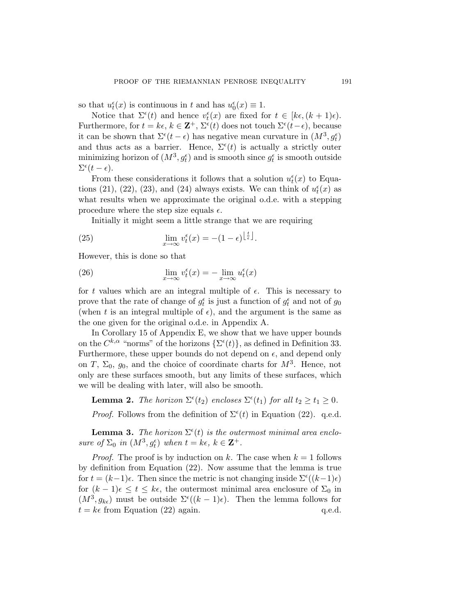<span id="page-14-0"></span>so that  $u_t^{\epsilon}(x)$  is continuous in t and has  $u_0^{\epsilon}(x) \equiv 1$ .

Notice that  $\Sigma^{\epsilon}(t)$  and hence  $v_t^{\epsilon}(x)$  are fixed for  $t \in [k\epsilon, (k+1)\epsilon)$ . Furthermore, for  $t = k\epsilon, k \in \mathbf{Z}^+, \Sigma^{\epsilon}(t)$  does not touch  $\Sigma^{\epsilon}(t-\epsilon)$ , because it can be shown that  $\Sigma^{\epsilon}(t - \epsilon)$  has negative mean curvature in  $(M^3, g_t^{\epsilon})$ and thus acts as a barrier. Hence,  $\Sigma^{\epsilon}(t)$  is actually a strictly outer minimizing horizon of  $(M^3, g_t^{\epsilon})$  and is smooth since  $g_t^{\epsilon}$  is smooth outside  $\Sigma^{\epsilon}(t-\epsilon).$ 

From these considerations it follows that a solution  $u_t^{\epsilon}(x)$  to Equa-tions ([21\)](#page-13-0), [\(22](#page-13-0)), [\(23](#page-13-0)), and ([24\)](#page-13-0) always exists. We can think of  $u_t^{\epsilon}(x)$  as what results when we approximate the original o.d.e. with a stepping procedure where the step size equals  $\epsilon$ .

Initially it might seem a little strange that we are requiring

(25) 
$$
\lim_{x \to \infty} v_t^{\epsilon}(x) = -(1 - \epsilon)^{\left\lfloor \frac{t}{\epsilon} \right\rfloor}.
$$

However, this is done so that

(26) 
$$
\lim_{x \to \infty} v_t^{\epsilon}(x) = -\lim_{x \to \infty} u_t^{\epsilon}(x)
$$

for t values which are an integral multiple of  $\epsilon$ . This is necessary to prove that the rate of change of  $g_t^{\epsilon}$  is just a function of  $g_t^{\epsilon}$  and not of  $g_0$ (when t is an integral multiple of  $\epsilon$ ), and the argument is the same as the one given for the original o.d.e. in Appendix [A](#page-68-0).

In Corollary [15](#page-87-0) of Appendix [E](#page-76-0), we show that we have upper bounds on the  $C^{k,\alpha}$  "norms" of the horizons  $\{\Sigma^{\epsilon}(t)\}\)$ , as defined in Definition [33](#page-81-0). Furthermore, these upper bounds do not depend on  $\epsilon$ , and depend only on T,  $\Sigma_0$ ,  $g_0$ , and the choice of coordinate charts for  $M^3$ . Hence, not only are these surfaces smooth, but any limits of these surfaces, which we will be dealing with later, will also be smooth.

**Lemma 2.** *The horizon*  $\Sigma^{\epsilon}(t_2)$  *encloses*  $\Sigma^{\epsilon}(t_1)$  *for all*  $t_2 \ge t_1 \ge 0$ *. Proof.* Follows from the definition of  $\Sigma^{\epsilon}(t)$  in Equation ([22\)](#page-13-0). q.e.d.

**Lemma 3.** The horizon  $\Sigma^{\epsilon}(t)$  is the outermost minimal area enclo*sure of*  $\Sigma_0$  *in*  $(M^3, g_t^{\epsilon})$  *when*  $t = k\epsilon, k \in \mathbf{Z}^+$ *.* 

*Proof.* The proof is by induction on k. The case when  $k = 1$  follows by definition from Equation ([22\)](#page-13-0). Now assume that the lemma is true for  $t = (k-1)\epsilon$ . Then since the metric is not changing inside  $\Sigma^{\epsilon}((k-1)\epsilon)$ for  $(k-1)\epsilon \leq t \leq k\epsilon$ , the outermost minimal area enclosure of  $\Sigma_0$  in  $(M^3, g_{k\epsilon})$  must be outside  $\Sigma^{\epsilon}((k-1)\epsilon)$ . Then the lemma follows for  $t = k\epsilon$  from Equation ([22\)](#page-13-0) again. q.e.d.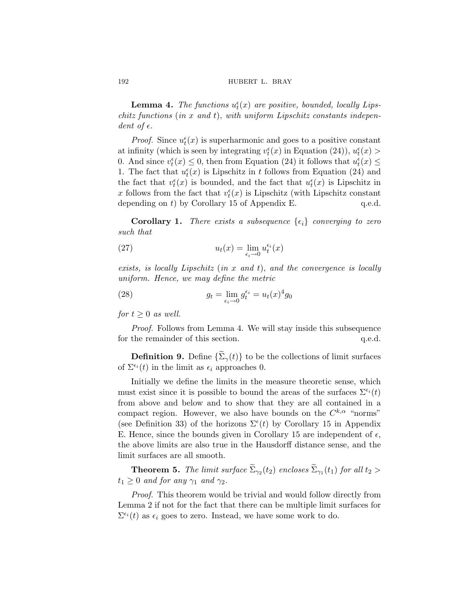#### <span id="page-15-0"></span>192 **hubert L. BRAY**

**Lemma 4.** *The functions*  $u_t^{\epsilon}(x)$  *are positive, bounded, locally Lipschitz functions* (*in* x *and* t), *with uniform Lipschitz constants independent of*  $\epsilon$ .

*Proof.* Since  $u_t^{\epsilon}(x)$  is superharmonic and goes to a positive constant at infinity (which is seen by integrating  $v_t^{\epsilon}(x)$  in Equation [\(24](#page-13-0))),  $u_t^{\epsilon}(x)$ 0. And since  $v_t^{\epsilon}(x) \le 0$ , then from Equation [\(24](#page-13-0)) it follows that  $u_t^{\epsilon}(x) \le$ 1. The fact that  $u_t^{\epsilon}(x)$  is Lipschitz in t follows from Equation ([24\)](#page-13-0) and the fact that  $v_t^{\epsilon}(x)$  is bounded, and the fact that  $u_t^{\epsilon}(x)$  is Lipschitz in x follows from the fact that  $v_t^{\epsilon}(x)$  is Lipschitz (with Lipschitz constant depending on  $t$ ) by Corollary [15](#page-87-0) of Appendix [E.](#page-76-0) q.e.d.

**Corollary 1.** *There exists a subsequence*  $\{\epsilon_i\}$  *converging to zero such that*

(27) 
$$
u_t(x) = \lim_{\epsilon_i \to 0} u_t^{\epsilon_i}(x)
$$

*exists, is locally Lipschitz* (*in* x *and* t), *and the convergence is locally uniform. Hence, we may define the metric*

(28) 
$$
g_t = \lim_{\epsilon_i \to 0} g_t^{\epsilon_i} = u_t(x)^4 g_0
$$

*for*  $t \geq 0$  *as well.* 

*Proof.* Follows from Lemma 4. We will stay inside this subsequence for the remainder of this section.  $q.e.d.$ 

**Definition 9.** Define  $\{\widetilde{\Sigma}_{\gamma}(t)\}\)$  to be the collections of limit surfaces of  $\Sigma^{\epsilon_i}(t)$  in the limit as  $\epsilon_i$  approaches 0.

Initially we define the limits in the measure theoretic sense, which must exist since it is possible to bound the areas of the surfaces  $\Sigma^{\epsilon_i}(t)$ from above and below and to show that they are all contained in a compact region. However, we also have bounds on the  $C^{k,\alpha}$  "norms" (see Definition [33\)](#page-81-0) of the horizons  $\Sigma^{\epsilon}(t)$  by Corollary [15](#page-87-0) in Appendix [E](#page-76-0). Hence, since the bounds given in Corollary [15](#page-87-0) are independent of  $\epsilon$ , the above limits are also true in the Hausdorff distance sense, and the limit surfaces are all smooth.

**Theorem 5.** *The limit surface*  $\widetilde{\Sigma}_{\gamma_2}(t_2)$  *encloses*  $\widetilde{\Sigma}_{\gamma_1}(t_1)$  *for all*  $t_2 >$  $t_1 \geq 0$  *and for any*  $\gamma_1$  *and*  $\gamma_2$ *.* 

*Proof.* This theorem would be trivial and would follow directly from Lemma [2](#page-14-0) if not for the fact that there can be multiple limit surfaces for  $\Sigma^{\epsilon_i}(t)$  as  $\epsilon_i$  goes to zero. Instead, we have some work to do.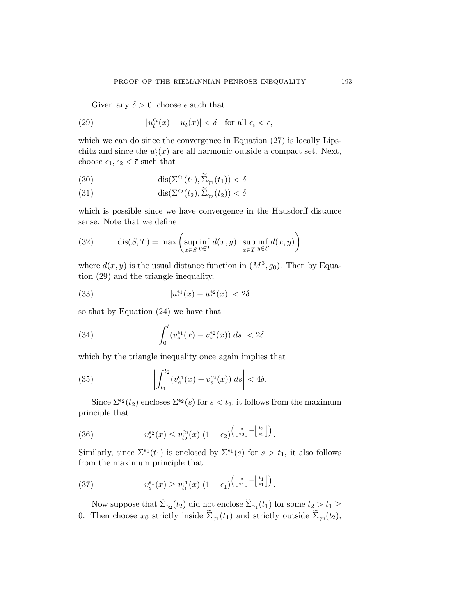<span id="page-16-0"></span>Given any  $\delta > 0$ , choose  $\bar{\epsilon}$  such that

(29) 
$$
|u_t^{\epsilon_i}(x) - u_t(x)| < \delta \quad \text{for all } \epsilon_i < \bar{\epsilon},
$$

which we can do since the convergence in Equation  $(27)$  $(27)$  is locally Lipschitz and since the  $u_t^{\epsilon}(x)$  are all harmonic outside a compact set. Next, choose  $\epsilon_1, \epsilon_2 < \bar{\epsilon}$  such that

(30) 
$$
\operatorname{dis}(\Sigma^{\epsilon_1}(t_1), \widetilde{\Sigma}_{\gamma_1}(t_1)) < \delta
$$

(31) 
$$
\operatorname{dis}(\Sigma^{\epsilon_2}(t_2), \widetilde{\Sigma}_{\gamma_2}(t_2)) < \delta
$$

which is possible since we have convergence in the Hausdorff distance sense. Note that we define

(32) 
$$
\operatorname{dis}(S,T) = \max \left( \sup_{x \in S} \inf_{y \in T} d(x,y), \sup_{x \in T} \inf_{y \in S} d(x,y) \right)
$$

where  $d(x, y)$  is the usual distance function in  $(M^3, g_0)$ . Then by Equation (29) and the triangle inequality,

(33) 
$$
|u_t^{\epsilon_1}(x) - u_t^{\epsilon_2}(x)| < 2\delta
$$

so that by Equation [\(24](#page-13-0)) we have that

(34) 
$$
\left| \int_0^t (v_s^{\epsilon_1}(x) - v_s^{\epsilon_2}(x)) ds \right| < 2\delta
$$

which by the triangle inequality once again implies that

(35) 
$$
\left| \int_{t_1}^{t_2} (v_s^{\epsilon_1}(x) - v_s^{\epsilon_2}(x)) ds \right| < 4\delta.
$$

Since  $\Sigma^{\epsilon_2}(t_2)$  encloses  $\Sigma^{\epsilon_2}(s)$  for  $s < t_2$ , it follows from the maximum principle that

(36) 
$$
v_s^{\epsilon_2}(x) \leq v_{t_2}^{\epsilon_2}(x) \left(1 - \epsilon_2\right) \left(\left\lfloor \frac{s}{\epsilon_2} \right\rfloor - \left\lfloor \frac{t_2}{\epsilon_2} \right\rfloor\right).
$$

Similarly, since  $\Sigma^{\epsilon_1}(t_1)$  is enclosed by  $\Sigma^{\epsilon_1}(s)$  for  $s > t_1$ , it also follows from the maximum principle that

(37) 
$$
v_s^{\epsilon_1}(x) \ge v_{t_1}^{\epsilon_1}(x) \left(1 - \epsilon_1\right) \left(\left\lfloor \frac{s}{\epsilon_1} \right\rfloor - \left\lfloor \frac{t_1}{\epsilon_1} \right\rfloor\right).
$$

Now suppose that  $\widetilde{\Sigma}_{\gamma_2}(t_2)$  did not enclose  $\widetilde{\Sigma}_{\gamma_1}(t_1)$  for some  $t_2 > t_1 \geq$ 0. Then choose  $x_0$  strictly inside  $\widetilde{\Sigma}_{\gamma_1}(t_1)$  and strictly outside  $\widetilde{\Sigma}_{\gamma_2}(t_2)$ ,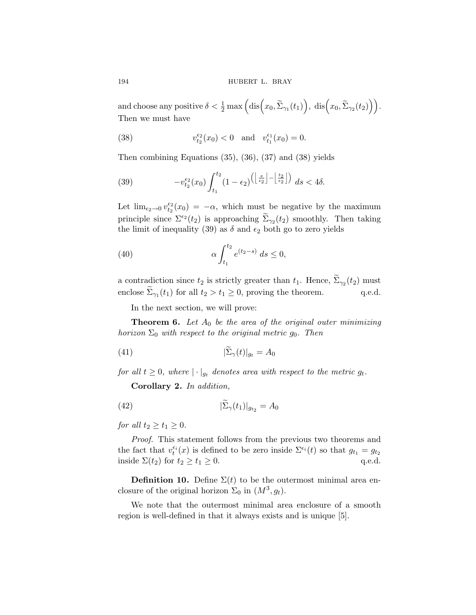<span id="page-17-0"></span>194 **hubert L. BRAY** 

and choose any positive  $\delta < \frac{1}{2} \max \Big( \text{dis} (x_0, \tilde{\Sigma}_{\gamma_1}(t_1)), \text{ dis} (x_0, \tilde{\Sigma}_{\gamma_2}(t_2) \Big) \Big).$ Then we must have

(38) 
$$
v_{t_2}^{\epsilon_2}(x_0) < 0
$$
 and  $v_{t_1}^{\epsilon_1}(x_0) = 0$ .

Then combining Equations [\(35](#page-16-0)), [\(36](#page-16-0)), [\(37](#page-16-0)) and (38) yields

(39) 
$$
-v_{t_2}^{\epsilon_2}(x_0)\int_{t_1}^{t_2} (1-\epsilon_2)^{\left(\left\lfloor \frac{s}{\epsilon_2}\right\rfloor - \left\lfloor \frac{t_2}{\epsilon_2}\right\rfloor\right)} ds < 4\delta.
$$

Let  $\lim_{\epsilon_2 \to 0} v_{t_2}^{\epsilon_2}(x_0) = -\alpha$ , which must be negative by the maximum principle since  $\Sigma^{\epsilon_2}(t_2)$  is approaching  $\widetilde{\Sigma}_{\gamma_2}(t_2)$  smoothly. Then taking the limit of inequality (39) as  $\delta$  and  $\epsilon_2$  both go to zero yields

(40) 
$$
\alpha \int_{t_1}^{t_2} e^{(t_2-s)} ds \le 0,
$$

a contradiction since  $t_2$  is strictly greater than  $t_1$ . Hence,  $\Sigma_{\gamma_2}(t_2)$  must enclose  $\Sigma_{\gamma_1}(t_1)$  for all  $t_2 > t_1 \geq 0$ , proving the theorem. q.e.d.

In the next section, we will prove:

**Theorem 6.** Let  $A_0$  be the area of the original outer minimizing *horizon*  $\Sigma_0$  *with respect to the original metric g<sub>0</sub>. Then* 

$$
(41)\qquad \qquad |\widetilde{\Sigma}_{\gamma}(t)|_{g_t} = A_0
$$

*for all*  $t \geq 0$ *, where*  $|\cdot|_{q_t}$  *denotes area with respect to the metric g<sub>t</sub>.* 

**Corollary 2.** *In addition,*

$$
(42)\qquad \qquad |\tilde{\Sigma}_{\gamma}(t_1)|_{g_{t_2}} = A_0
$$

*for all*  $t_2 \geq t_1 \geq 0$ *.* 

*Proof.* This statement follows from the previous two theorems and the fact that  $v_t^{\epsilon_i}(x)$  is defined to be zero inside  $\Sigma^{\epsilon_i}(t)$  so that  $g_{t_1} = g_{t_2}$ inside  $\Sigma(t_2)$  for  $t_2 \ge t_1 \ge 0$ . q.e.d.

**Definition 10.** Define  $\Sigma(t)$  to be the outermost minimal area enclosure of the original horizon  $\Sigma_0$  in  $(M^3, g_t)$ .

We note that the outermost minimal area enclosure of a smooth region is well-defined in that it always exists and is unique [\[5\]](#page-87-0).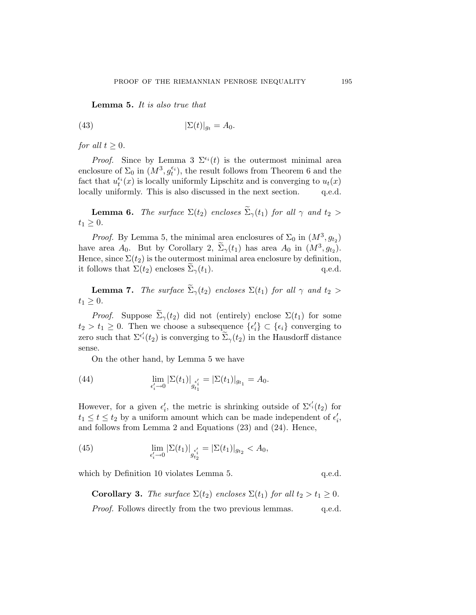<span id="page-18-0"></span>**Lemma 5.** *It is also true that*

(43) 
$$
|\Sigma(t)|_{g_t} = A_0.
$$

*for all*  $t \geq 0$ *.* 

*Proof.* Since by Lemma [3](#page-14-0)  $\Sigma^{\epsilon_i}(t)$  is the outermost minimal area enclosure of  $\Sigma_0$  in  $(M^3, g_t^{\epsilon_i})$ , the result follows from Theorem [6](#page-17-0) and the fact that  $u_t^{\epsilon_i}(x)$  is locally uniformly Lipschitz and is converging to  $u_t(x)$ locally uniformly. This is also discussed in the next section. q.e.d.

**Lemma 6.** *The surface*  $\Sigma(t_2)$  *encloses*  $\widetilde{\Sigma}_{\gamma}(t_1)$  *for all*  $\gamma$  *and*  $t_2 >$  $t_1 \geq 0$ .

*Proof.* By Lemma 5, the minimal area enclosures of  $\Sigma_0$  in  $(M^3, g_{t_2})$ have area  $A_0$ . But by Corollary [2,](#page-17-0)  $\Sigma_{\gamma}(t_1)$  has area  $A_0$  in  $(M^3, g_{t_2})$ . Hence, since  $\Sigma(t_2)$  is the outermost minimal area enclosure by definition, it follows that  $\Sigma(t_2)$  encloses  $\Sigma_{\gamma}(t_1)$ . q.e.d.

**Lemma 7.** *The surface*  $\widetilde{\Sigma}_{\gamma}(t_2)$  *encloses*  $\Sigma(t_1)$  *for all*  $\gamma$  *and*  $t_2 >$  $t_1 \geq 0$ .

*Proof.* Suppose  $\widetilde{\Sigma}_{\gamma}(t_2)$  did not (entirely) enclose  $\Sigma(t_1)$  for some  $t_2 > t_1 \geq 0$ . Then we choose a subsequence  $\{\epsilon'_i\} \subset \{\epsilon_i\}$  converging to zero such that  $\Sigma^{\epsilon'_i}(t_2)$  is converging to  $\widetilde{\Sigma}_{\gamma}(t_2)$  in the Hausdorff distance sense.

On the other hand, by Lemma 5 we have

(44) 
$$
\lim_{\epsilon'_i \to 0} |\Sigma(t_1)|_{\epsilon'_i} = |\Sigma(t_1)|_{g_{t_1}} = A_0.
$$

However, for a given  $\epsilon'_i$ , the metric is shrinking outside of  $\Sigma^{\epsilon'_i}(t_2)$  for  $t_1 \leq t \leq t_2$  by a uniform amount which can be made independent of  $\epsilon'_i$ , and follows from Lemma [2](#page-14-0) and Equations ([23\)](#page-13-0) and ([24\)](#page-13-0). Hence,

(45) 
$$
\lim_{\epsilon'_i \to 0} |\Sigma(t_1)|_{g_{t_2}^{\epsilon'_i}} = |\Sigma(t_1)|_{g_{t_2}} < A_0,
$$

which by Definition [10](#page-17-0) violates Lemma 5. q.e.d.

**Corollary 3.** *The surface*  $\Sigma(t_2)$  *encloses*  $\Sigma(t_1)$  *for all*  $t_2 > t_1 \geq 0$ *. Proof.* Follows directly from the two previous lemmas. q.e.d.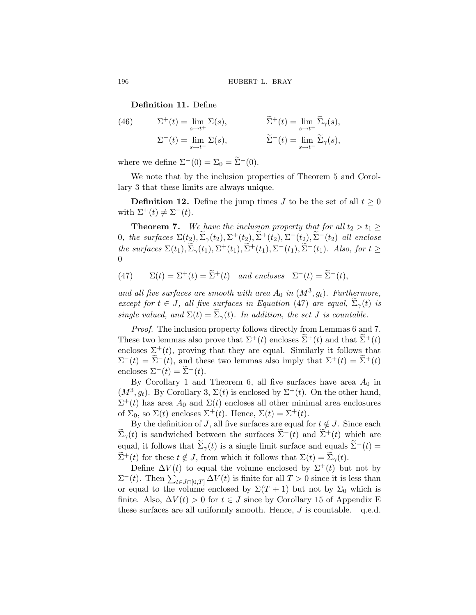**Definition 11.** Define

(46) 
$$
\Sigma^{+}(t) = \lim_{s \to t^{+}} \Sigma(s), \qquad \widetilde{\Sigma}^{+}(t) = \lim_{s \to t^{+}} \widetilde{\Sigma}_{\gamma}(s),
$$

$$
\Sigma^{-}(t) = \lim_{s \to t^{-}} \Sigma(s), \qquad \widetilde{\Sigma}^{-}(t) = \lim_{s \to t^{-}} \widetilde{\Sigma}_{\gamma}(s),
$$

where we define  $\Sigma^-(0) = \Sigma_0 = \widetilde{\Sigma}^-(0)$ .

We note that by the inclusion properties of Theorem [5](#page-15-0) and Corollary [3](#page-18-0) that these limits are always unique.

**Definition 12.** Define the jump times J to be the set of all  $t \geq 0$ with  $\Sigma^+(t) \neq \Sigma^-(t)$ .

**Theorem 7.** *We have the inclusion property that for all*  $t_2 > t_1 \ge$ 0, the surfaces  $\Sigma(t_2), \widetilde{\Sigma}_{\gamma}(t_2), \Sigma^+(t_2), \widetilde{\Sigma}^+(t_2), \Sigma^-(t_2), \widetilde{\Sigma}^-(t_2)$  all enclose *the surfaces*  $\Sigma(t_1), \widetilde{\Sigma}_{\gamma}(t_1), \Sigma^+(t_1), \widetilde{\Sigma}^+(t_1), \Sigma^-(t_1), \widetilde{\Sigma}^-(t_1)$ *. Also, for*  $t \geq$ 0

(47) 
$$
\Sigma(t) = \Sigma^+(t) = \tilde{\Sigma}^+(t)
$$
 and encloses  $\Sigma^-(t) = \tilde{\Sigma}^-(t)$ ,

and all five surfaces are smooth with area  $A_0$  in  $(M^3, g_t)$ . Furthermore, *except for*  $t \in J$ *, all five surfaces in Equation* (47) *are equal,*  $\Sigma_{\gamma}(t)$  *is single valued, and*  $\Sigma(t) = \widetilde{\Sigma}_{\gamma}(t)$ *. In addition, the set J is countable.* 

*Proof.* The inclusion property follows directly from Lemmas [6](#page-18-0) and [7](#page-18-0). These two lemmas also prove that  $\Sigma^+(t)$  encloses  $\tilde{\Sigma}^+(t)$  and that  $\tilde{\Sigma}^+(t)$ encloses  $\Sigma^+(t)$ , proving that they are equal. Similarly it follows that  $\Sigma^{-}(t) = \Sigma^{-}(t)$ , and these two lemmas also imply that  $\Sigma^{+}(t) = \Sigma^{+}(t)$ encloses  $\Sigma^{-}(t) = \overline{\Sigma}^{-}(t)$ .

By Corollary [1](#page-15-0) and Theorem [6,](#page-17-0) all five surfaces have area  $A_0$  in  $(M^3, g_t)$ . By Corollary [3,](#page-18-0)  $\Sigma(t)$  is enclosed by  $\Sigma^+(t)$ . On the other hand,  $\Sigma^+(t)$  has area  $A_0$  and  $\Sigma(t)$  encloses all other minimal area enclosures of  $\Sigma_0$ , so  $\Sigma(t)$  encloses  $\Sigma^+(t)$ . Hence,  $\Sigma(t)=\Sigma^+(t)$ .

By the definition of J, all five surfaces are equal for  $t \notin J$ . Since each  $\Sigma_{\gamma}(t)$  is sandwiched between the surfaces  $\Sigma^{-}(t)$  and  $\Sigma^{+}(t)$  which are equal, it follows that  $\widetilde{\Sigma}_{\gamma}(t)$  is a single limit surface and equals  $\widetilde{\Sigma}^{-}(t)$  =  $\sum^+(t)$  for these  $t \notin J$ , from which it follows that  $\Sigma(t) = \Sigma_\gamma(t)$ .

Define  $\Delta V(t)$  to equal the volume enclosed by  $\Sigma^+(t)$  but not by  $\Sigma^-(t)$ . Then  $\sum_{t \in J \cap [0,T]} \Delta V(t)$  is finite for all  $T > 0$  since it is less than or equal to the volume enclosed by  $\Sigma(T+1)$  but not by  $\Sigma_0$  which is finite. Also,  $\Delta V(t) > 0$  for  $t \in J$  since by Corollary [15](#page-87-0) of Appendix [E](#page-76-0) these surfaces are all uniformly smooth. Hence,  $J$  is countable. q.e.d.

<span id="page-19-0"></span>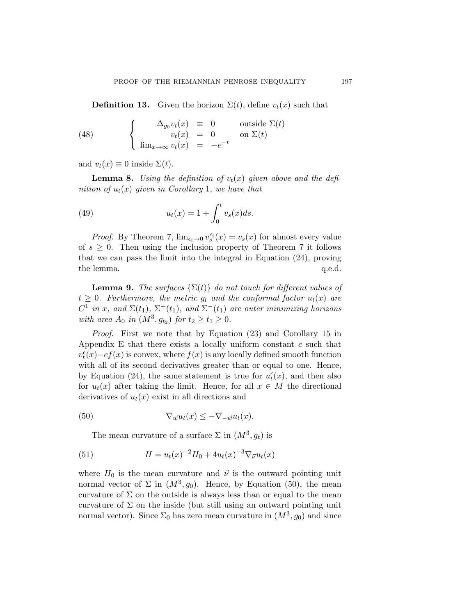<span id="page-20-0"></span>**Definition 13.** Given the horizon  $\Sigma(t)$ , define  $v_t(x)$  such that

(48) 
$$
\begin{cases} \Delta_{g_0} v_t(x) = 0 & \text{outside } \Sigma(t) \\ v_t(x) = 0 & \text{on } \Sigma(t) \\ \lim_{x \to \infty} v_t(x) = -e^{-t} \end{cases}
$$

and  $v_t(x) \equiv 0$  inside  $\Sigma(t)$ .

**Lemma 8.** Using the definition of  $v_t(x)$  given above and the defi*nition of*  $u_t(x)$  *given in Corollary* [1](#page-15-0), *we have that* 

(49) 
$$
u_t(x) = 1 + \int_0^t v_s(x)ds.
$$

*Proof.* By Theorem [7](#page-19-0),  $\lim_{\epsilon_i \to 0} v_s^{\epsilon_i}(x) = v_s(x)$  for almost every value of  $s \geq 0$ . Then using the inclusion property of Theorem [7](#page-19-0) it follows that we can pass the limit into the integral in Equation ([24\)](#page-13-0), proving the lemma.  $q.e.d.$ 

**Lemma 9.** *The surfaces*  $\{\Sigma(t)\}\$  *do not touch for different values of*  $t \geq 0$ *. Furthermore, the metric*  $g_t$  *and the conformal factor*  $u_t(x)$  *are*  $C^1$  *in* x, and  $\Sigma(t_1)$ ,  $\Sigma^+(t_1)$ , and  $\Sigma^-(t_1)$  are outer minimizing horizons *with area*  $A_0$  *in*  $(M^3, g_{t_2})$  *for*  $t_2 \ge t_1 \ge 0$ *.* 

*Proof.* First we note that by Equation ([23](#page-13-0)) and Corollary [15](#page-87-0) in Appendix [E](#page-76-0) that there exists a locally uniform constant  $c$  such that  $v_t^{\epsilon}(x) - cf(x)$  is convex, where  $f(x)$  is any locally defined smooth function with all of its second derivatives greater than or equal to one. Hence, by Equation [\(24](#page-13-0)), the same statement is true for  $u_t^{\epsilon}(x)$ , and then also for  $u_t(x)$  after taking the limit. Hence, for all  $x \in M$  the directional derivatives of  $u_t(x)$  exist in all directions and

(50) 
$$
\nabla_{\vec{w}} u_t(x) \leq -\nabla_{-\vec{w}} u_t(x).
$$

The mean curvature of a surface  $\Sigma$  in  $(M^3, g_t)$  is

(51) 
$$
H = u_t(x)^{-2}H_0 + 4u_t(x)^{-3}\nabla_{\vec{\nu}}u_t(x)
$$

where  $H_0$  is the mean curvature and  $\vec{\nu}$  is the outward pointing unit normal vector of  $\Sigma$  in  $(M^3, g_0)$ . Hence, by Equation (50), the mean curvature of  $\Sigma$  on the outside is always less than or equal to the mean curvature of  $\Sigma$  on the inside (but still using an outward pointing unit normal vector). Since  $\Sigma_0$  has zero mean curvature in  $(M^3, g_0)$  and since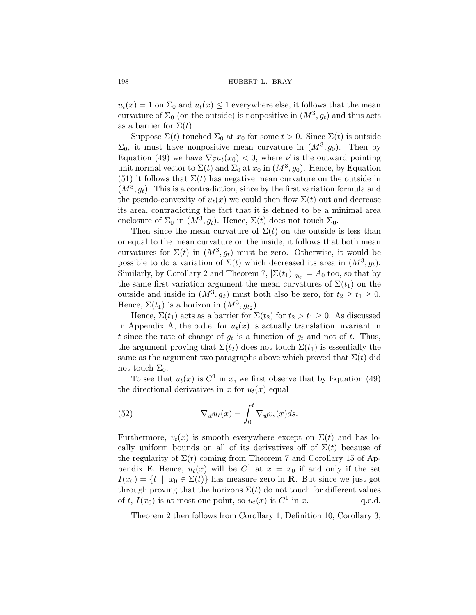$u_t(x) = 1$  on  $\Sigma_0$  and  $u_t(x) \leq 1$  everywhere else, it follows that the mean curvature of  $\Sigma_0$  (on the outside) is nonpositive in  $(M^3, g_t)$  and thus acts as a barrier for  $\Sigma(t)$ .

Suppose  $\Sigma(t)$  touched  $\Sigma_0$  at  $x_0$  for some  $t > 0$ . Since  $\Sigma(t)$  is outside  $\Sigma_0$ , it must have nonpositive mean curvature in  $(M^3, g_0)$ . Then by Equation [\(49](#page-20-0)) we have  $\nabla_{\vec{v}} u_t(x_0) < 0$ , where  $\vec{v}$  is the outward pointing unit normal vector to  $\Sigma(t)$  and  $\Sigma_0$  at  $x_0$  in  $(M^3, g_0)$ . Hence, by Equation ([51\)](#page-20-0) it follows that  $\Sigma(t)$  has negative mean curvature on the outside in  $(M^3, q_t)$ . This is a contradiction, since by the first variation formula and the pseudo-convexity of  $u_t(x)$  we could then flow  $\Sigma(t)$  out and decrease its area, contradicting the fact that it is defined to be a minimal area enclosure of  $\Sigma_0$  in  $(M^3, g_t)$ . Hence,  $\Sigma(t)$  does not touch  $\Sigma_0$ .

Then since the mean curvature of  $\Sigma(t)$  on the outside is less than or equal to the mean curvature on the inside, it follows that both mean curvatures for  $\Sigma(t)$  in  $(M^3, g_t)$  must be zero. Otherwise, it would be possible to do a variation of  $\Sigma(t)$  which decreased its area in  $(M^3, g_t)$ . Similarly, by Corollary [2](#page-17-0) and Theorem [7,](#page-19-0)  $|\Sigma(t_1)|_{g_{t_2}} = A_0$  too, so that by the same first variation argument the mean curvatures of  $\Sigma(t_1)$  on the outside and inside in  $(M^3, g_2)$  must both also be zero, for  $t_2 \ge t_1 \ge 0$ . Hence,  $\Sigma(t_1)$  is a horizon in  $(M^3, g_{t_2})$ .

Hence,  $\Sigma(t_1)$  acts as a barrier for  $\Sigma(t_2)$  for  $t_2 > t_1 \geq 0$ . As discussed in Appendix [A,](#page-68-0) the o.d.e. for  $u_t(x)$  is actually translation invariant in t since the rate of change of  $g_t$  is a function of  $g_t$  and not of t. Thus, the argument proving that  $\Sigma(t_2)$  does not touch  $\Sigma(t_1)$  is essentially the same as the argument two paragraphs above which proved that  $\Sigma(t)$  did not touch  $\Sigma_0$ .

To see that  $u_t(x)$  is  $C^1$  in x, we first observe that by Equation ([49\)](#page-20-0) the directional derivatives in x for  $u_t(x)$  equal

(52) 
$$
\nabla_{\vec{w}} u_t(x) = \int_0^t \nabla_{\vec{w}} v_s(x) ds.
$$

Furthermore,  $v_t(x)$  is smooth everywhere except on  $\Sigma(t)$  and has locally uniform bounds on all of its derivatives off of  $\Sigma(t)$  because of the regularity of  $\Sigma(t)$  coming from Theorem [7](#page-19-0) and Corollary [15](#page-87-0) of Ap-pendix [E](#page-76-0). Hence,  $u_t(x)$  will be  $C^1$  at  $x = x_0$  if and only if the set  $I(x_0) = \{t \mid x_0 \in \Sigma(t)\}\$  has measure zero in **R**. But since we just got through proving that the horizons  $\Sigma(t)$  do not touch for different values of t,  $I(x_0)$  is at most one point, so  $u_t(x)$  is  $C^1$  in x. q.e.d.

Theorem [2](#page-10-0) then follows from Corollary [1](#page-15-0), Definition [10,](#page-17-0) Corollary [3](#page-18-0),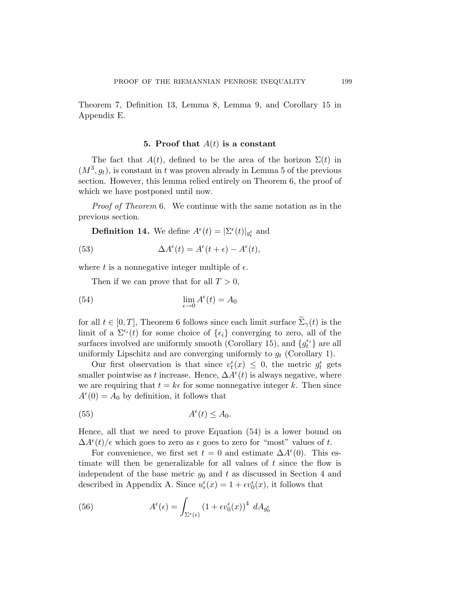<span id="page-22-0"></span>Theorem [7,](#page-19-0) Definition [13](#page-20-0), Lemma [8](#page-20-0), Lemma [9,](#page-20-0) and Corollary [15](#page-87-0) in Appendix [E](#page-76-0).

#### **5. Proof that** A(t) **is a constant**

The fact that  $A(t)$ , defined to be the area of the horizon  $\Sigma(t)$  in  $(M^3, g_t)$ , is constant in t was proven already in Lemma [5](#page-18-0) of the previous section. However, this lemma relied entirely on Theorem [6,](#page-17-0) the proof of which we have postponed until now.

*Proof of Theorem* [6](#page-17-0). We continue with the same notation as in the previous section.

**Definition 14.** We define  $A^{\epsilon}(t) = |\Sigma^{\epsilon}(t)|_{g_t^{\epsilon}}$  and

(53) 
$$
\Delta A^{\epsilon}(t) = A^{\epsilon}(t + \epsilon) - A^{\epsilon}(t),
$$

where t is a nonnegative integer multiple of  $\epsilon$ .

Then if we can prove that for all  $T > 0$ ,

(54) 
$$
\lim_{\epsilon \to 0} A^{\epsilon}(t) = A_0
$$

for all  $t \in [0, T]$ , Theorem [6](#page-17-0) follows since each limit surface  $\tilde{\Sigma}_{\gamma}(t)$  is the limit of a  $\Sigma^{\epsilon_i}(t)$  for some choice of  $\{\epsilon_i\}$  converging to zero, all of the surfaces involved are uniformly smooth (Corollary [15\)](#page-87-0), and  $\{g_t^{\epsilon_i}\}$  are all uniformly Lipschitz and are converging uniformly to  $g_t$  (Corollary [1](#page-15-0)).

Our first observation is that since  $v_t^{\epsilon}(x) \leq 0$ , the metric  $g_t^{\epsilon}$  gets smaller pointwise as t increase. Hence,  $\Delta A^{\epsilon}(t)$  is always negative, where we are requiring that  $t = k\epsilon$  for some nonnegative integer k. Then since  $A^{\epsilon}(0) = A_0$  by definition, it follows that

(55) 
$$
A^{\epsilon}(t) \leq A_0.
$$

Hence, all that we need to prove Equation (54) is a lower bound on  $\Delta A^{\epsilon}(t)/\epsilon$  which goes to zero as  $\epsilon$  goes to zero for "most" values of t.

For convenience, we first set  $t = 0$  and estimate  $\Delta A^{\epsilon}(0)$ . This estimate will then be generalizable for all values of  $t$  since the flow is independent of the base metric  $g_0$  and t as discussed in Section [4](#page-13-0) and described in [A](#page-68-0)ppendix A. Since  $u_{\epsilon}^{\epsilon}(x) = 1 + \epsilon v_0^{\epsilon}(x)$ , it follows that

(56) 
$$
A^{\epsilon}(\epsilon) = \int_{\Sigma^{\epsilon}(\epsilon)} (1 + \epsilon v_0^{\epsilon}(x))^4 dA_{g_0^{\epsilon}}
$$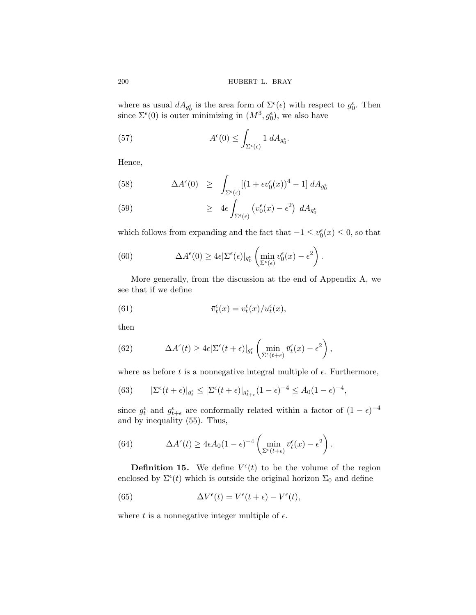where as usual  $dA_{g_0^{\epsilon}}$  is the area form of  $\Sigma^{\epsilon}(\epsilon)$  with respect to  $g_0^{\epsilon}$ . Then since  $\Sigma^{\epsilon}(0)$  is outer minimizing in  $(M^3, g_0^{\epsilon})$ , we also have

(57) 
$$
A^{\epsilon}(0) \leq \int_{\Sigma^{\epsilon}(\epsilon)} 1 \ dA_{g_0^{\epsilon}}.
$$

Hence,

(58) 
$$
\Delta A^{\epsilon}(0) \geq \int_{\Sigma^{\epsilon}(\epsilon)} [(1 + \epsilon v_0^{\epsilon}(x))^4 - 1] dA_{g_0^{\epsilon}}
$$

(59) 
$$
\geq 4\epsilon \int_{\Sigma^{\epsilon}(\epsilon)} \left( v_0^{\epsilon}(x) - \epsilon^2 \right) dA_{g_0^{\epsilon}}
$$

which follows from expanding and the fact that  $-1 \le v_0^{\epsilon}(x) \le 0$ , so that

(60) 
$$
\Delta A^{\epsilon}(0) \geq 4\epsilon |\Sigma^{\epsilon}(\epsilon)|_{g_0^{\epsilon}} \left( \min_{\Sigma^{\epsilon}(\epsilon)} v_0^{\epsilon}(x) - \epsilon^2 \right).
$$

More generally, from the discussion at the end of Appendix [A](#page-68-0), we see that if we define

(61) 
$$
\overline{v}_t^{\epsilon}(x) = v_t^{\epsilon}(x)/u_t^{\epsilon}(x),
$$

then

(62) 
$$
\Delta A^{\epsilon}(t) \geq 4\epsilon |\Sigma^{\epsilon}(t+\epsilon)|_{g_t^{\epsilon}} \left( \min_{\Sigma^{\epsilon}(t+\epsilon)} \overline{v}_t^{\epsilon}(x) - \epsilon^2 \right),
$$

where as before t is a nonnegative integral multiple of  $\epsilon$ . Furthermore,

(63) 
$$
|\Sigma^{\epsilon}(t+\epsilon)|_{g_t^{\epsilon}} \leq |\Sigma^{\epsilon}(t+\epsilon)|_{g_{t+\epsilon}^{\epsilon}} (1-\epsilon)^{-4} \leq A_0 (1-\epsilon)^{-4},
$$

since  $g_t^{\epsilon}$  and  $g_{t+\epsilon}^{\epsilon}$  are conformally related within a factor of  $(1 - \epsilon)^{-4}$ and by inequality [\(55](#page-22-0)). Thus,

(64) 
$$
\Delta A^{\epsilon}(t) \geq 4\epsilon A_0 (1-\epsilon)^{-4} \left( \min_{\Sigma^{\epsilon}(t+\epsilon)} \bar{v}_t^{\epsilon}(x) - \epsilon^2 \right).
$$

**Definition 15.** We define  $V^{\epsilon}(t)$  to be the volume of the region enclosed by  $\Sigma^{\epsilon}(t)$  which is outside the original horizon  $\Sigma_0$  and define

(65) 
$$
\Delta V^{\epsilon}(t) = V^{\epsilon}(t + \epsilon) - V^{\epsilon}(t),
$$

where t is a nonnegative integer multiple of  $\epsilon$ .

<span id="page-23-0"></span>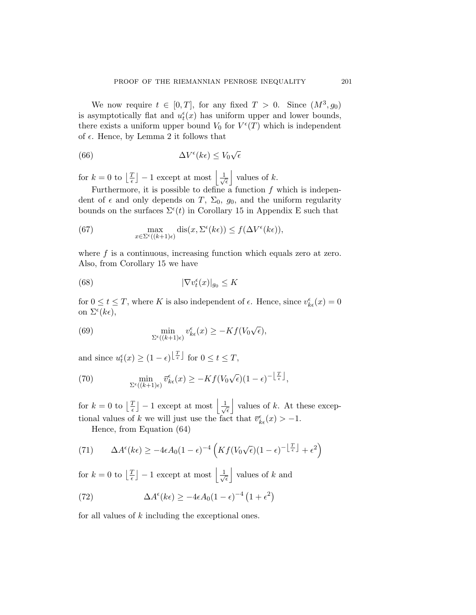We now require  $t \in [0, T]$ , for any fixed  $T > 0$ . Since  $(M^3, g_0)$ is asymptotically flat and  $u_t^{\epsilon}(x)$  has uniform upper and lower bounds, there exists a uniform upper bound  $V_0$  for  $V^{\epsilon}(T)$  which is independent of  $\epsilon$ . Hence, by Lemma [2](#page-14-0) it follows that

(66) 
$$
\Delta V^{\epsilon}(k\epsilon) \leq V_0 \sqrt{\epsilon}
$$

for  $k = 0$  to  $\left\lfloor \frac{T}{\epsilon} \right\rfloor - 1$  except at most  $\left\lfloor \frac{1}{\sqrt{2\epsilon}} \right\rfloor$  $\overline{\epsilon}$ | values of  $k$ .

Furthermore, it is possible to define a function  $f$  which is independent of  $\epsilon$  and only depends on T,  $\Sigma_0$ ,  $g_0$ , and the uniform regularity bounds on the surfaces  $\Sigma^{\epsilon}(t)$  in Corollary [15](#page-87-0) in Appendix [E](#page-76-0) such that

(67) 
$$
\max_{x \in \Sigma^{\epsilon}((k+1)\epsilon)} \text{dis}(x, \Sigma^{\epsilon}(k\epsilon)) \le f(\Delta V^{\epsilon}(k\epsilon)),
$$

where  $f$  is a continuous, increasing function which equals zero at zero. Also, from Corollary [15](#page-87-0) we have

(68) 
$$
|\nabla v_t^{\epsilon}(x)|_{g_0} \leq K
$$

for  $0 \le t \le T$ , where K is also independent of  $\epsilon$ . Hence, since  $v_{k\epsilon}^{\epsilon}(x) = 0$ on  $\Sigma^{\epsilon}(k\epsilon)$ ,

(69) 
$$
\min_{\Sigma^{\epsilon}((k+1)\epsilon)} v^{\epsilon}_{k\epsilon}(x) \ge -Kf(V_0\sqrt{\epsilon}),
$$

and since  $u_t^{\epsilon}(x) \ge (1 - \epsilon)^{\left\lfloor \frac{T}{\epsilon} \right\rfloor}$  for  $0 \le t \le T$ ,

(70) 
$$
\min_{\Sigma^{\epsilon}((k+1)\epsilon)} \overline{v}_{k\epsilon}^{\epsilon}(x) \ge -Kf(V_0\sqrt{\epsilon})(1-\epsilon)^{-\left\lfloor \frac{T}{\epsilon} \right\rfloor},
$$

for  $k = 0$  to  $\left\lfloor \frac{T}{\epsilon} \right\rfloor - 1$  except at most  $\left\lfloor \frac{1}{\sqrt{2\epsilon}} \right\rfloor$  $\overline{\epsilon}$ | values of  $k$ . At these exceptional values of k we will just use the fact that  $\bar{v}_{k\epsilon}^{\epsilon}(x) > -1$ .

Hence, from Equation [\(64](#page-23-0))

(71) 
$$
\Delta A^{\epsilon}(k\epsilon) \ge -4\epsilon A_0 (1-\epsilon)^{-4} \left( K f(V_0\sqrt{\epsilon})(1-\epsilon)^{-\left\lfloor \frac{T}{\epsilon} \right\rfloor} + \epsilon^2 \right)
$$

for  $k = 0$  to  $\left\lfloor \frac{T}{\epsilon} \right\rfloor - 1$  except at most  $\left\lfloor \frac{1}{\sqrt{2\epsilon}} \right\rfloor$  $\overline{\epsilon}$ | values of  $k$  and

(72) 
$$
\Delta A^{\epsilon}(k\epsilon) \ge -4\epsilon A_0 (1-\epsilon)^{-4} (1+\epsilon^2)
$$

for all values of k including the exceptional ones.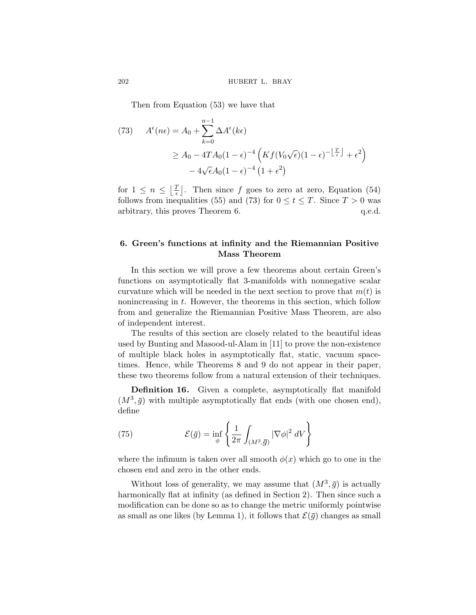Then from Equation [\(53](#page-22-0)) we have that

(73) 
$$
A^{\epsilon}(n\epsilon) = A_0 + \sum_{k=0}^{n-1} \Delta A^{\epsilon}(k\epsilon)
$$

$$
\geq A_0 - 4TA_0(1-\epsilon)^{-4} \left( Kf(V_0\sqrt{\epsilon})(1-\epsilon)^{-1} \frac{T}{\epsilon} + \epsilon^2 \right)
$$

$$
- 4\sqrt{\epsilon}A_0(1-\epsilon)^{-4} (1+\epsilon^2)
$$

for  $1 \leq n \leq \lfloor \frac{T}{\epsilon} \rfloor$ . Then since f goes to zero at zero, Equation ([54\)](#page-22-0) follows from inequalities [\(55](#page-22-0)) and (73) for  $0 \le t \le T$ . Since  $T > 0$  was arbitrary, this proves Theorem [6.](#page-17-0) q.e.d.

### **6. Green's functions at infinity and the Riemannian Positive Mass Theorem**

In this section we will prove a few theorems about certain Green's functions on asymptotically flat 3-manifolds with nonnegative scalar curvature which will be needed in the next section to prove that  $m(t)$  is nonincreasing in  $t$ . However, the theorems in this section, which follow from and generalize the Riemannian Positive Mass Theorem, are also of independent interest.

The results of this section are closely related to the beautiful ideas used by Bunting and Masood-ul-Alam in [[11\]](#page-87-0) to prove the non-existence of multiple black holes in asymptotically flat, static, vacuum spacetimes. Hence, while Theorems [8](#page-26-0) and [9](#page-29-0) do not appear in their paper, these two theorems follow from a natural extension of their techniques.

**Definition 16.** Given a complete, asymptotically flat manifold  $(M^3, \bar{g})$  with multiple asymptotically flat ends (with one chosen end), define

(75) 
$$
\mathcal{E}(\bar{g}) = \inf_{\phi} \left\{ \frac{1}{2\pi} \int_{(M^3, \bar{g})} |\nabla \phi|^2 dV \right\}
$$

where the infimum is taken over all smooth  $\phi(x)$  which go to one in the chosen end and zero in the other ends.

Without loss of generality, we may assume that  $(M^3, \bar{g})$  is actually harmonically flat at infinity (as defined in Section [2](#page-6-0)). Then since such a modification can be done so as to change the metric uniformly pointwise as small as one likes (by Lemma [1](#page-6-0)), it follows that  $\mathcal{E}(\bar{g})$  changes as small

<span id="page-25-0"></span>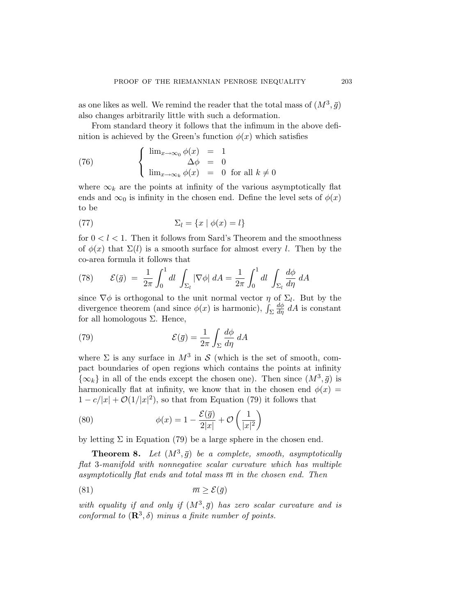<span id="page-26-0"></span>as one likes as well. We remind the reader that the total mass of  $(M^3, \bar{g})$ also changes arbitrarily little with such a deformation.

From standard theory it follows that the infimum in the above definition is achieved by the Green's function  $\phi(x)$  which satisfies

(76) 
$$
\begin{cases} \lim_{x \to \infty_0} \phi(x) = 1 \\ \lim_{x \to \infty_k} \phi(x) = 0 \text{ for all } k \neq 0 \end{cases}
$$

where  $\infty_k$  are the points at infinity of the various asymptotically flat ends and  $\infty_0$  is infinity in the chosen end. Define the level sets of  $\phi(x)$ to be

(77) 
$$
\Sigma_l = \{x \mid \phi(x) = l\}
$$

for  $0 < l < 1$ . Then it follows from Sard's Theorem and the smoothness of  $\phi(x)$  that  $\Sigma(l)$  is a smooth surface for almost every l. Then by the co-area formula it follows that

(78) 
$$
\mathcal{E}(\bar{g}) = \frac{1}{2\pi} \int_0^1 dl \int_{\Sigma_l} |\nabla \phi| dA = \frac{1}{2\pi} \int_0^1 dl \int_{\Sigma_l} \frac{d\phi}{d\eta} dA
$$

since  $\nabla \phi$  is orthogonal to the unit normal vector  $\eta$  of  $\Sigma_l$ . But by the divergence theorem (and since  $\phi(x)$  is harmonic),  $\int_{\Sigma}$  $\frac{d\phi}{d\eta} dA$  is constant for all homologous Σ. Hence,

(79) 
$$
\mathcal{E}(\bar{g}) = \frac{1}{2\pi} \int_{\Sigma} \frac{d\phi}{d\eta} dA
$$

where  $\Sigma$  is any surface in  $M^3$  in S (which is the set of smooth, compact boundaries of open regions which contains the points at infinity  $\{\infty_k\}$  in all of the ends except the chosen one). Then since  $(M^3, \bar{g})$  is harmonically flat at infinity, we know that in the chosen end  $\phi(x)$  $1 - c/|x| + \mathcal{O}(1/|x|^2)$ , so that from Equation (79) it follows that

(80) 
$$
\phi(x) = 1 - \frac{\mathcal{E}(\bar{g})}{2|x|} + \mathcal{O}\left(\frac{1}{|x|^2}\right)
$$

by letting  $\Sigma$  in Equation (79) be a large sphere in the chosen end.

**Theorem 8.** Let  $(M^3, \bar{g})$  be a complete, smooth, asymptotically *flat* 3*-manifold with nonnegative scalar curvature which has multiple asymptotically flat ends and total mass*  $\overline{m}$  *in the chosen end. Then* 

$$
(81) \t\t \overline{m} \ge \mathcal{E}(\bar{g})
$$

*with equality if and only if*  $(M^3, \bar{g})$  *has zero scalar curvature and is conformal to*  $(\mathbb{R}^3, \delta)$  *minus a finite number of points.*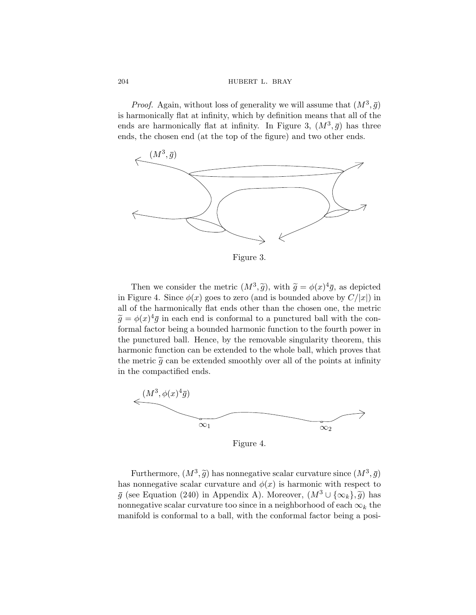*Proof.* Again, without loss of generality we will assume that  $(M^3, \bar{g})$ is harmonically flat at infinity, which by definition means that all of the ends are harmonically flat at infinity. In Figure 3,  $(M^3, \bar{g})$  has three ends, the chosen end (at the top of the figure) and two other ends.



Figure 3.

Then we consider the metric  $(M^3, \tilde{g})$ , with  $\tilde{g} = \phi(x)^4 \bar{g}$ , as depicted in Figure 4. Since  $\phi(x)$  goes to zero (and is bounded above by  $C/|x|$ ) in all of the harmonically flat ends other than the chosen one, the metric  $\tilde{g} = \phi(x)^4 \bar{g}$  in each end is conformal to a punctured ball with the conformal factor being a bounded harmonic function to the fourth power in the punctured ball. Hence, by the removable singularity theorem, this harmonic function can be extended to the whole ball, which proves that the metric  $\tilde{g}$  can be extended smoothly over all of the points at infinity in the compactified ends.



Figure 4.

Furthermore,  $(M^3, \tilde{g})$  has nonnegative scalar curvature since  $(M^3, \bar{g})$ has nonnegative scalar curvature and  $\phi(x)$  is harmonic with respect to  $\bar{g}$  (see Equation ([240\)](#page-69-0) in [A](#page-68-0)ppendix A). Moreover,  $(M^3 \cup {\infty_k}, \tilde{g})$  has nonnegative scalar curvature too since in a neighborhood of each  $\infty_k$  the manifold is conformal to a ball, with the conformal factor being a posi-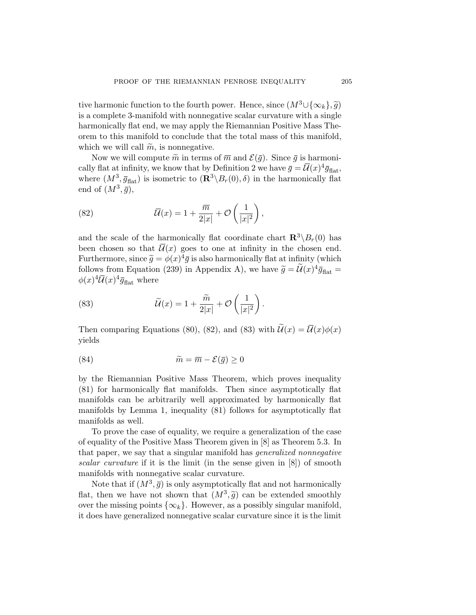tive harmonic function to the fourth power. Hence, since  $(M^3\cup{\{\infty_k\}}\mathfrak{g})$ is a complete 3-manifold with nonnegative scalar curvature with a single harmonically flat end, we may apply the Riemannian Positive Mass Theorem to this manifold to conclude that the total mass of this manifold, which we will call  $\widetilde{m}$ , is nonnegative.

Now we will compute  $\tilde{m}$  in terms of  $\overline{m}$  and  $\mathcal{E}(\overline{q})$ . Since  $\overline{q}$  is harmoni-cally flat at infinity, we know that by Definition [2](#page-7-0) we have  $\bar{g} = \bar{U}(x)^4 \bar{g}_{\text{flat}}$ , where  $(M^3, \bar{g}_{\text{flat}})$  is isometric to  $(\mathbb{R}^3 \setminus B_r(0), \delta)$  in the harmonically flat end of  $(M^3, \bar{q})$ ,

(82) 
$$
\overline{\mathcal{U}}(x) = 1 + \frac{\overline{m}}{2|x|} + \mathcal{O}\left(\frac{1}{|x|^2}\right),
$$

and the scale of the harmonically flat coordinate chart  $\mathbb{R}^3 \setminus B_r(0)$  has been chosen so that  $\overline{\mathcal{U}}(x)$  goes to one at infinity in the chosen end. Furthermore, since  $\tilde{g} = \phi(x)^4 \bar{g}$  is also harmonically flat at infinity (which follows from Equation [\(239](#page-68-0)) in [A](#page-68-0)ppendix A), we have  $\tilde{g} = \tilde{\mathcal{U}}(x)^4 \bar{g}_{\text{flat}} =$  $\phi(x)^4 \overline{\mathcal{U}}(x)^4 \overline{g}_{\text{flat}}$  where

(83) 
$$
\widetilde{\mathcal{U}}(x) = 1 + \frac{\widetilde{m}}{2|x|} + \mathcal{O}\left(\frac{1}{|x|^2}\right).
$$

Then comparing Equations [\(80](#page-26-0)), (82), and (83) with  $\widetilde{\mathcal{U}}(x) = \overline{\mathcal{U}}(x)\phi(x)$ yields

(84) 
$$
\widetilde{m} = \overline{m} - \mathcal{E}(\overline{g}) \ge 0
$$

by the Riemannian Positive Mass Theorem, which proves inequality [\(81](#page-26-0)) for harmonically flat manifolds. Then since asymptotically flat manifolds can be arbitrarily well approximated by harmonically flat manifolds by Lemma [1](#page-6-0), inequality ([81\)](#page-26-0) follows for asymptotically flat manifolds as well.

To prove the case of equality, we require a generalization of the case of equality of the Positive Mass Theorem given in [\[8\]](#page-87-0) as Theorem 5.3. In that paper, we say that a singular manifold has *generalized nonnegative scalar curvature* if it is the limit (in the sense given in [\[8\]](#page-87-0)) of smooth manifolds with nonnegative scalar curvature.

Note that if  $(M^3, \bar{g})$  is only asymptotically flat and not harmonically flat, then we have not shown that  $(M^3, \tilde{g})$  can be extended smoothly over the missing points  $\{\infty_k\}$ . However, as a possibly singular manifold, it does have generalized nonnegative scalar curvature since it is the limit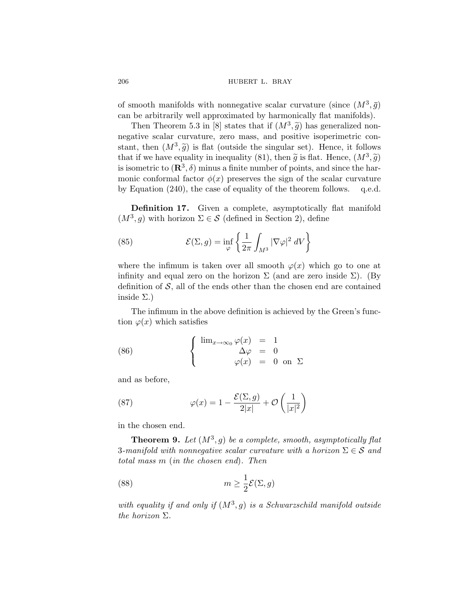of smooth manifolds with nonnegative scalar curvature (since  $(M^3, \bar{g})$ can be arbitrarily well approximated by harmonically flat manifolds).

Then Theorem 5.3 in [[8](#page-87-0)] states that if  $(M^3, \tilde{g})$  has generalized nonnegative scalar curvature, zero mass, and positive isoperimetric constant, then  $(M^3, \tilde{g})$  is flat (outside the singular set). Hence, it follows that if we have equality in inequality ([81\)](#page-26-0), then  $\tilde{g}$  is flat. Hence,  $(M^3, \tilde{g})$ is isometric to  $(\mathbb{R}^3, \delta)$  minus a finite number of points, and since the harmonic conformal factor  $\phi(x)$  preserves the sign of the scalar curvature by Equation [\(240\)](#page-69-0), the case of equality of the theorem follows. q.e.d.

**Definition 17.** Given a complete, asymptotically flat manifold  $(M^3, g)$  with horizon  $\Sigma \in \mathcal{S}$  (defined in Section [2\)](#page-6-0), define

(85) 
$$
\mathcal{E}(\Sigma, g) = \inf_{\varphi} \left\{ \frac{1}{2\pi} \int_{M^3} |\nabla \varphi|^2 dV \right\}
$$

where the infimum is taken over all smooth  $\varphi(x)$  which go to one at infinity and equal zero on the horizon  $\Sigma$  (and are zero inside  $\Sigma$ ). (By definition of  $S$ , all of the ends other than the chosen end are contained inside  $\Sigma$ .)

The infimum in the above definition is achieved by the Green's function  $\varphi(x)$  which satisfies

(86) 
$$
\begin{cases} \lim_{x \to \infty_0} \varphi(x) = 1 \\ \Delta \varphi = 0 \\ \varphi(x) = 0 \text{ on } \Sigma \end{cases}
$$

and as before,

(87) 
$$
\varphi(x) = 1 - \frac{\mathcal{E}(\Sigma, g)}{2|x|} + \mathcal{O}\left(\frac{1}{|x|^2}\right)
$$

in the chosen end.

**Theorem 9.** Let  $(M^3, g)$  be a complete, smooth, asymptotically flat 3-manifold with nonnegative scalar curvature with a horizon  $\Sigma \in \mathcal{S}$  and *total mass* m (*in the chosen end*)*. Then*

(88) 
$$
m \geq \frac{1}{2} \mathcal{E}(\Sigma, g)
$$

*with equality if and only if*  $(M^3, g)$  *is a Schwarzschild manifold outside the horizon* Σ*.*

<span id="page-29-0"></span>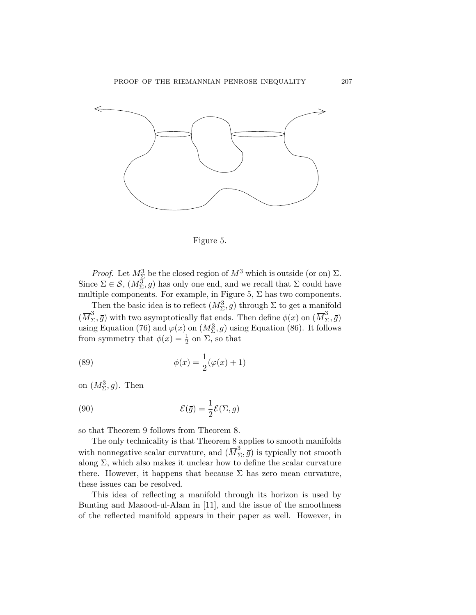<span id="page-30-0"></span>



*Proof.* Let  $M_{\Sigma}^{3}$  be the closed region of  $M^{3}$  which is outside (or on)  $\Sigma$ . Since  $\Sigma \in \mathcal{S}$ ,  $(M_{\Sigma}^3, g)$  has only one end, and we recall that  $\Sigma$  could have multiple components. For example, in Figure 5,  $\Sigma$  has two components.

Then the basic idea is to reflect  $(M_{\Sigma}^3, g)$  through  $\Sigma$  to get a manifold  $(\overline{M}_{\Sigma}^3, \bar{g})$  with two asymptotically flat ends. Then define  $\phi(x)$  on  $(\overline{M}_{\Sigma}^3, \bar{g})$ using Equation [\(76](#page-26-0)) and  $\varphi(x)$  on  $(M_{\Sigma}^3, g)$  using Equation [\(86](#page-29-0)). It follows from symmetry that  $\phi(x) = \frac{1}{2}$  on  $\Sigma$ , so that

(89) 
$$
\phi(x) = \frac{1}{2}(\varphi(x) + 1)
$$

on  $(M^3_{\Sigma}, g)$ . Then

(90) 
$$
\mathcal{E}(\bar{g}) = \frac{1}{2}\mathcal{E}(\Sigma, g)
$$

so that Theorem [9](#page-29-0) follows from Theorem [8](#page-26-0).

The only technicality is that Theorem [8](#page-26-0) applies to smooth manifolds with nonnegative scalar curvature, and  $(\overline{M}_{\Sigma}^3, \overline{g})$  is typically not smooth along  $\Sigma$ , which also makes it unclear how to define the scalar curvature there. However, it happens that because  $\Sigma$  has zero mean curvature, these issues can be resolved.

This idea of reflecting a manifold through its horizon is used by Bunting and Masood-ul-Alam in [\[11](#page-87-0)], and the issue of the smoothness of the reflected manifold appears in their paper as well. However, in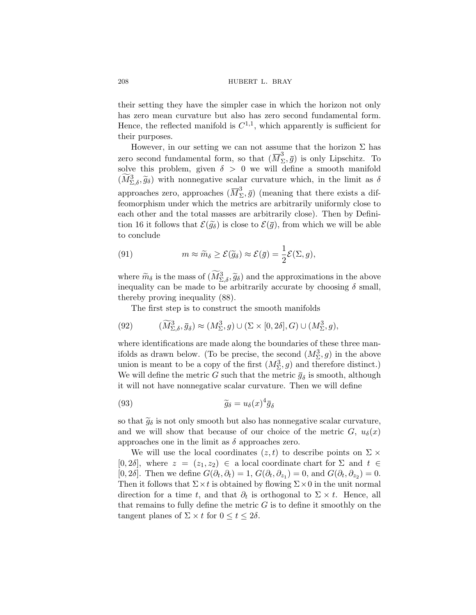their setting they have the simpler case in which the horizon not only has zero mean curvature but also has zero second fundamental form. Hence, the reflected manifold is  $C^{1,1}$ , which apparently is sufficient for their purposes.

However, in our setting we can not assume that the horizon  $\Sigma$  has zero second fundamental form, so that  $(\overline{M}_{\Sigma}^3, \overline{g})$  is only Lipschitz. To solve this problem, given  $\delta > 0$  we will define a smooth manifold  $(M_{\Sigma,\delta}^3, \widetilde{g}_{\delta})$  with nonnegative scalar curvature which, in the limit as  $\delta$ approaches zero, approaches  $(\overline{M}_{\Sigma}^3, \overline{g})$  (meaning that there exists a diffeomorphism under which the metrics are arbitrarily uniformly close to each other and the total masses are arbitrarily close). Then by Defini-tion [16](#page-25-0) it follows that  $\mathcal{E}(\tilde{g}_{\delta})$  is close to  $\mathcal{E}(\bar{g})$ , from which we will be able to conclude

(91) 
$$
m \approx \widetilde{m}_{\delta} \ge \mathcal{E}(\widetilde{g}_{\delta}) \approx \mathcal{E}(\bar{g}) = \frac{1}{2}\mathcal{E}(\Sigma, g),
$$

where  $\widetilde{m}_{\delta}$  is the mass of  $(\widetilde{M}_{\Sigma,\delta}^3, \widetilde{g}_{\delta})$  and the approximations in the above inequality can be made to be arbitrarily accurate by choosing  $\delta$  small, thereby proving inequality ([88](#page-29-0)).

The first step is to construct the smooth manifolds

(92) 
$$
(\widetilde{M}_{\Sigma,\delta}^3, \bar{g}_{\delta}) \approx (M_{\Sigma}^3, g) \cup (\Sigma \times [0, 2\delta], G) \cup (M_{\Sigma}^3, g),
$$

where identifications are made along the boundaries of these three manifolds as drawn below. (To be precise, the second  $(M_{\Sigma}^3, g)$  in the above union is meant to be a copy of the first  $(M^3_{\Sigma}, g)$  and therefore distinct.) We will define the metric G such that the metric  $\bar{g}_{\delta}$  is smooth, although it will not have nonnegative scalar curvature. Then we will define

(93) 
$$
\widetilde{g}_{\delta} = u_{\delta}(x)^{4} \overline{g}_{\delta}
$$

so that  $\widetilde{g}_{\delta}$  is not only smooth but also has nonnegative scalar curvature, and we will show that because of our choice of the metric  $G, u_{\delta}(x)$ approaches one in the limit as  $\delta$  approaches zero.

We will use the local coordinates  $(z, t)$  to describe points on  $\Sigma \times$  $[0, 2\delta]$ , where  $z = (z_1, z_2) \in$  a local coordinate chart for  $\Sigma$  and  $t \in$ [0, 2 $\delta$ ]. Then we define  $G(\partial_t, \partial_t) = 1$ ,  $G(\partial_t, \partial_{z_1}) = 0$ , and  $G(\partial_t, \partial_{z_2}) = 0$ . Then it follows that  $\Sigma \times t$  is obtained by flowing  $\Sigma \times 0$  in the unit normal direction for a time t, and that  $\partial_t$  is orthogonal to  $\Sigma \times t$ . Hence, all that remains to fully define the metric  $G$  is to define it smoothly on the tangent planes of  $\Sigma \times t$  for  $0 \le t \le 2\delta$ .

<span id="page-31-0"></span>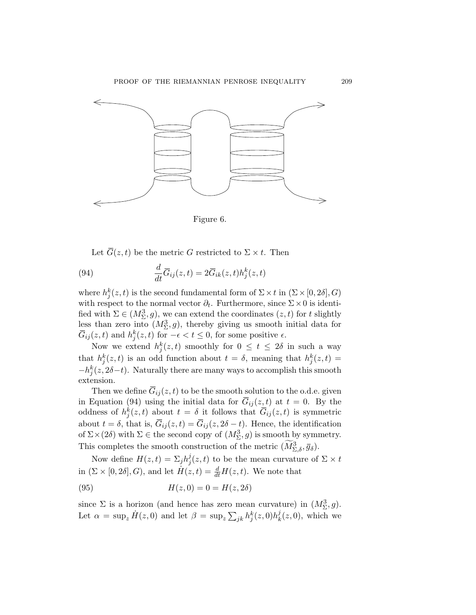<span id="page-32-0"></span>

Figure 6.

Let  $\overline{G}(z,t)$  be the metric G restricted to  $\Sigma \times t$ . Then

(94) 
$$
\frac{d}{dt}\overline{G}_{ij}(z,t) = 2\overline{G}_{ik}(z,t)h_j^k(z,t)
$$

where  $h_j^k(z, t)$  is the second fundamental form of  $\Sigma \times t$  in  $(\Sigma \times [0, 2\delta], G)$ with respect to the normal vector  $\partial_t$ . Furthermore, since  $\Sigma \times 0$  is identified with  $\Sigma \in (M_{\Sigma}^3, g)$ , we can extend the coordinates  $(z, t)$  for t slightly less than zero into  $(M_{\Sigma}^3, g)$ , thereby giving us smooth initial data for  $\overline{G}_{ij}(z,t)$  and  $h_j^k(z,t)$  for  $-\epsilon < t \leq 0$ , for some positive  $\epsilon$ .

Now we extend  $h_j^k(z,t)$  smoothly for  $0 \leq t \leq 2\delta$  in such a way that  $h_j^k(z,t)$  is an odd function about  $t=\delta$ , meaning that  $h_j^k(z,t)$  $-h_j^k(z, 2\delta-t)$ . Naturally there are many ways to accomplish this smooth extension.

Then we define  $\overline{G}_{ij}(z,t)$  to be the smooth solution to the o.d.e. given in Equation (94) using the initial data for  $\overline{G}_{ij}(z,t)$  at  $t=0$ . By the oddness of  $h_j^k(z,t)$  about  $t = \delta$  it follows that  $\overline{G}_{ij}(z,t)$  is symmetric about  $t = \delta$ , that is,  $\overline{G}_{ij}(z, t) = \overline{G}_{ij}(z, 2\delta - t)$ . Hence, the identification of  $\Sigma \times (2\delta)$  with  $\Sigma \in \mathbb{R}$  be second copy of  $(M_{\Sigma}^3, g)$  is smooth by symmetry. This completes the smooth construction of the metric  $(\widetilde{M}_{\Sigma,\delta}^3, \bar{g}_{\delta}).$ 

Now define  $H(z,t) = \sum_j h_j^j(z,t)$  to be the mean curvature of  $\Sigma \times t$ in  $(\Sigma \times [0, 2\delta], G)$ , and let  $\dot{H}(z, t) = \frac{d}{dt} H(z, t)$ . We note that

(95) 
$$
H(z,0) = 0 = H(z,2\delta)
$$

since  $\Sigma$  is a horizon (and hence has zero mean curvature) in  $(M_{\Sigma}^3, g)$ . Let  $\alpha = \sup_z \dot{H}(z,0)$  and let  $\beta = \sup_z \sum_{jk} h_j^k(z,0) h_k^j(z,0)$ , which we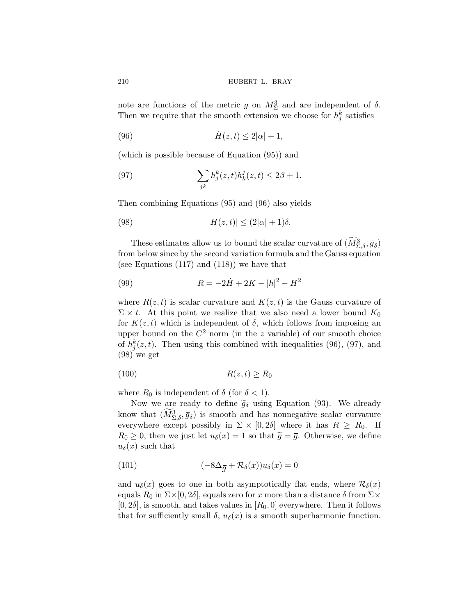note are functions of the metric g on  $M_{\Sigma}^3$  and are independent of  $\delta$ . Then we require that the smooth extension we choose for  $h_j^k$  satisfies

$$
(96) \qquad \qquad \dot{H}(z,t) \le 2|\alpha|+1,
$$

(which is possible because of Equation [\(95](#page-32-0))) and

(97) 
$$
\sum_{jk} h_j^k(z, t) h_k^j(z, t) \leq 2\beta + 1.
$$

Then combining Equations [\(95](#page-32-0)) and (96) also yields

(98) 
$$
|H(z,t)| \le (2|\alpha|+1)\delta.
$$

These estimates allow us to bound the scalar curvature of  $(\widetilde{M}_{\Sigma,\delta}^3, \bar{g}_{\delta})$ from below since by the second variation formula and the Gauss equation (see Equations [\(117\)](#page-37-0) and ([118](#page-38-0))) we have that

(99) 
$$
R = -2\dot{H} + 2K - |h|^2 - H^2
$$

where  $R(z, t)$  is scalar curvature and  $K(z, t)$  is the Gauss curvature of  $\Sigma \times t$ . At this point we realize that we also need a lower bound  $K_0$ for  $K(z, t)$  which is independent of  $\delta$ , which follows from imposing an upper bound on the  $C^2$  norm (in the z variable) of our smooth choice of  $h_j^k(z,t)$ . Then using this combined with inequalities (96), (97), and (98) we get

$$
(100) \t\t R(z,t) \ge R_0
$$

where  $R_0$  is independent of  $\delta$  (for  $\delta < 1$ ).

Now we are ready to define  $\tilde{g}_{\delta}$  using Equation [\(93\)](#page-31-0). We already know that  $(\widetilde{M}_{\Sigma,\delta}^3, \bar{g}_{\delta})$  is smooth and has nonnegative scalar curvature everywhere except possibly in  $\Sigma \times [0, 2\delta]$  where it has  $R \geq R_0$ . If  $R_0 \geq 0$ , then we just let  $u_{\delta}(x) = 1$  so that  $\tilde{g} = \bar{g}$ . Otherwise, we define  $u_{\delta}(x)$  such that

(101) 
$$
(-8\Delta_{\overline{g}} + \mathcal{R}_{\delta}(x))u_{\delta}(x) = 0
$$

and  $u_{\delta}(x)$  goes to one in both asymptotically flat ends, where  $\mathcal{R}_{\delta}(x)$ equals  $R_0$  in  $\Sigma \times [0, 2\delta]$ , equals zero for x more than a distance  $\delta$  from  $\Sigma \times$  $[0, 2\delta]$ , is smooth, and takes values in  $[R_0, 0]$  everywhere. Then it follows that for sufficiently small  $\delta$ ,  $u_{\delta}(x)$  is a smooth superharmonic function.

<span id="page-33-0"></span>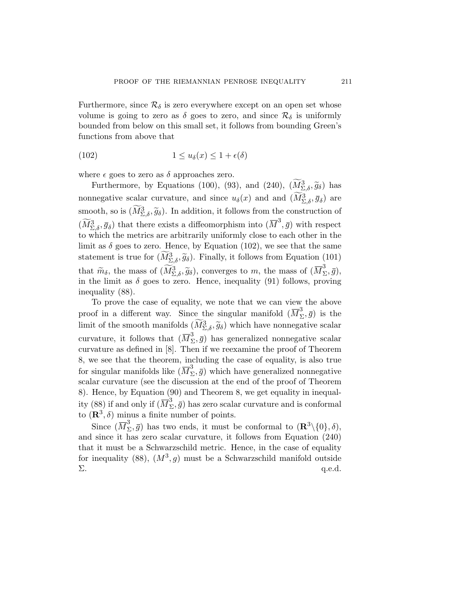Furthermore, since  $\mathcal{R}_{\delta}$  is zero everywhere except on an open set whose volume is going to zero as  $\delta$  goes to zero, and since  $\mathcal{R}_{\delta}$  is uniformly bounded from below on this small set, it follows from bounding Green's functions from above that

(102) 
$$
1 \le u_{\delta}(x) \le 1 + \epsilon(\delta)
$$

where  $\epsilon$  goes to zero as  $\delta$  approaches zero.

Furthermore, by Equations [\(100\)](#page-33-0), ([93](#page-31-0)), and ([240](#page-69-0)),  $(\widetilde{M}_{\Sigma,\delta}^3, \widetilde{g}_{\delta})$  has nonnegative scalar curvature, and since  $u_{\delta}(x)$  and and  $(\widetilde{M}_{\Sigma,\delta}^3, \overline{g}_{\delta})$  are smooth, so is  $(M_{\Sigma,\delta}^3, \tilde{g}_\delta)$ . In addition, it follows from the construction of  $(\widetilde{M}^3_{\Sigma,\delta},\bar{g}_\delta)$  that there exists a diffeomorphism into  $(\overline{M}^3,\bar{g})$  with respect to which the metrics are arbitrarily uniformly close to each other in the limit as  $\delta$  goes to zero. Hence, by Equation (102), we see that the same statement is true for  $(M^3_{\Sigma,\delta}, \tilde{g}_\delta)$ . Finally, it follows from Equation ([101](#page-33-0)) that  $\widetilde{m}_{\delta}$ , the mass of  $(\widetilde{M}_{\Sigma,\delta}^3, \widetilde{g}_{\delta})$ , converges to m, the mass of  $(\overline{M}_{\Sigma}^3, \overline{g})$ , in the limit as  $\delta$  goes to zero. Hence, inequality [\(91](#page-31-0)) follows, proving inequality ([88\)](#page-29-0).

To prove the case of equality, we note that we can view the above proof in a different way. Since the singular manifold  $(\overline{M}_{\Sigma}^3, \overline{g})$  is the limit of the smooth manifolds  $(\widetilde{M}_{\Sigma,\delta}^3, \widetilde{g}_{\delta})$  which have nonnegative scalar curvature, it follows that  $(\overline{M}_{\Sigma}^3, \overline{g})$  has generalized nonnegative scalar curvature as defined in [[8](#page-87-0)]. Then if we reexamine the proof of Theorem [8](#page-26-0), we see that the theorem, including the case of equality, is also true for singular manifolds like  $(\overline{M}_{\Sigma}^3, \overline{g})$  which have generalized nonnegative scalar curvature (see the discussion at the end of the proof of Theorem [8](#page-26-0)). Hence, by Equation ([90\)](#page-30-0) and Theorem [8,](#page-26-0) we get equality in inequal-ity ([88\)](#page-29-0) if and only if  $(\overline{M}_{\Sigma}^3, \overline{g})$  has zero scalar curvature and is conformal to  $(\mathbb{R}^3, \delta)$  minus a finite number of points.

Since  $(\overline{M}_{\Sigma}^3, \overline{g})$  has two ends, it must be conformal to  $(\mathbf{R}^3 \setminus \{0\}, \delta)$ , and since it has zero scalar curvature, it follows from Equation ([240](#page-69-0)) that it must be a Schwarzschild metric. Hence, in the case of equality for inequality [\(88\)](#page-29-0),  $(M^3, g)$  must be a Schwarzschild manifold outside  $\Sigma$ . q.e.d.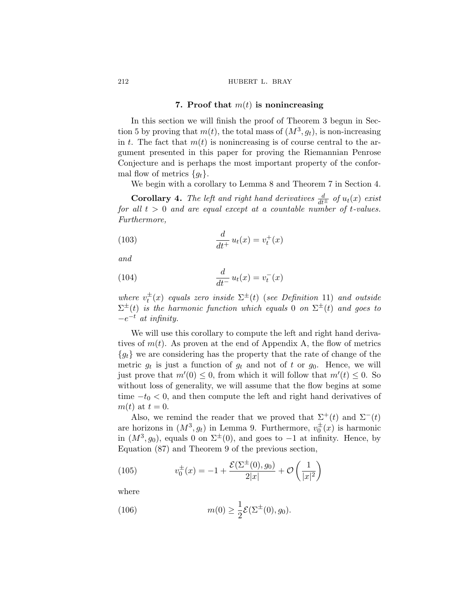#### **7. Proof that** m(t) **is nonincreasing**

In this section we will finish the proof of Theorem [3](#page-11-0) begun in Sec-tion [5](#page-22-0) by proving that  $m(t)$ , the total mass of  $(M^3, g_t)$ , is non-increasing in t. The fact that  $m(t)$  is nonincreasing is of course central to the argument presented in this paper for proving the Riemannian Penrose Conjecture and is perhaps the most important property of the conformal flow of metrics  ${g_t}$ .

We begin with a corollary to Lemma [8](#page-20-0) and Theorem [7](#page-19-0) in Section [4](#page-13-0).

**Corollary 4.** The left and right hand derivatives  $\frac{d}{dt^{\pm}}$  of  $u_t(x)$  exist *for all* t > 0 *and are equal except at a countable number of* t*-values. Furthermore,*

$$
\frac{d}{dt^+}u_t(x) = v_t^+(x)
$$

*and*

(104) 
$$
\frac{d}{dt^{-}} u_t(x) = v_t^{-}(x)
$$

where  $v_t^{\pm}(x)$  equals zero inside  $\Sigma^{\pm}(t)$  (*see Definition* [11](#page-19-0)) and outside  $\Sigma^{\pm}(t)$  *is the harmonic function which equals* 0 *on*  $\Sigma^{\pm}(t)$  *and goes to*  $-e^{-t}$  *at infinity.* 

We will use this corollary to compute the left and right hand derivatives of  $m(t)$ . As proven at the end of Appendix [A,](#page-68-0) the flow of metrics  ${g_t}$  we are considering has the property that the rate of change of the metric  $g_t$  is just a function of  $g_t$  and not of t or  $g_0$ . Hence, we will just prove that  $m'(0) \leq 0$ , from which it will follow that  $m'(t) \leq 0$ . So without loss of generality, we will assume that the flow begins at some time  $-t_0 < 0$ , and then compute the left and right hand derivatives of  $m(t)$  at  $t=0$ .

Also, we remind the reader that we proved that  $\Sigma^+(t)$  and  $\Sigma^-(t)$ are horizons in  $(M^3, g_t)$  in Lemma [9](#page-20-0). Furthermore,  $v_0^{\pm}(x)$  is harmonic in  $(M^3, g_0)$ , equals 0 on  $\Sigma^{\pm}(0)$ , and goes to −1 at infinity. Hence, by Equation [\(87\)](#page-29-0) and Theorem [9](#page-29-0) of the previous section,

(105) 
$$
v_0^{\pm}(x) = -1 + \frac{\mathcal{E}(\Sigma^{\pm}(0), g_0)}{2|x|} + \mathcal{O}\left(\frac{1}{|x|^2}\right)
$$

where

(106) 
$$
m(0) \ge \frac{1}{2} \mathcal{E}(\Sigma^{\pm}(0), g_0).
$$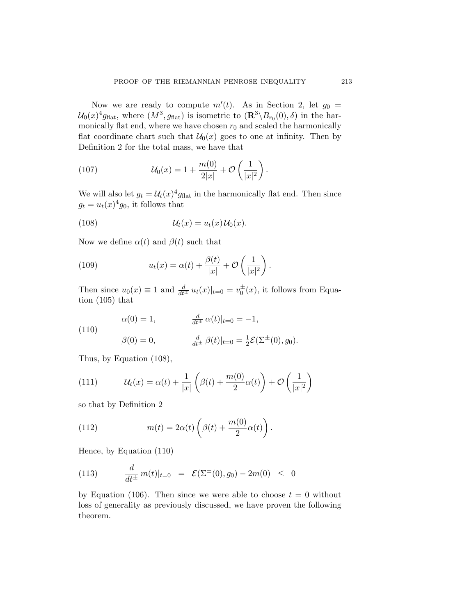<span id="page-36-0"></span>Now we are ready to compute  $m'(t)$ . As in Section [2](#page-6-0), let  $g_0 =$  $U_0(x)^4 g_{\text{flat}}$ , where  $(M^3, g_{\text{flat}})$  is isometric to  $(\mathbb{R}^3 \setminus B_{r_0}(0), \delta)$  in the harmonically flat end, where we have chosen  $r_0$  and scaled the harmonically flat coordinate chart such that  $\mathcal{U}_0(x)$  goes to one at infinity. Then by Definition [2](#page-7-0) for the total mass, we have that

(107) 
$$
U_0(x) = 1 + \frac{m(0)}{2|x|} + \mathcal{O}\left(\frac{1}{|x|^2}\right).
$$

We will also let  $g_t = \mathcal{U}_t(x)^4 g_{\text{flat}}$  in the harmonically flat end. Then since  $g_t = u_t(x)^4 g_0$ , it follows that

(108) 
$$
\mathcal{U}_t(x) = u_t(x) \mathcal{U}_0(x).
$$

Now we define  $\alpha(t)$  and  $\beta(t)$  such that

(109) 
$$
u_t(x) = \alpha(t) + \frac{\beta(t)}{|x|} + \mathcal{O}\left(\frac{1}{|x|^2}\right).
$$

Then since  $u_0(x) \equiv 1$  and  $\frac{d}{dt^{\pm}} u_t(x)|_{t=0} = v_0^{\pm}(x)$ , it follows from Equation ([105\)](#page-35-0) that

(110)  
\n
$$
\alpha(0) = 1, \qquad \frac{d}{dt^{\pm}} \alpha(t)|_{t=0} = -1,
$$
\n
$$
\beta(0) = 0, \qquad \frac{d}{dt^{\pm}} \beta(t)|_{t=0} = \frac{1}{2} \mathcal{E}(\Sigma^{\pm}(0), g_0).
$$

Thus, by Equation (108),

(111) 
$$
\mathcal{U}_t(x) = \alpha(t) + \frac{1}{|x|} \left( \beta(t) + \frac{m(0)}{2} \alpha(t) \right) + \mathcal{O}\left(\frac{1}{|x|^2}\right)
$$

so that by Definition [2](#page-7-0)

(112) 
$$
m(t) = 2\alpha(t) \left(\beta(t) + \frac{m(0)}{2}\alpha(t)\right).
$$

Hence, by Equation (110)

(113) 
$$
\frac{d}{dt^{\pm}} m(t)|_{t=0} = \mathcal{E}(\Sigma^{\pm}(0), g_0) - 2m(0) \leq 0
$$

by Equation ([106](#page-35-0)). Then since we were able to choose  $t = 0$  without loss of generality as previously discussed, we have proven the following theorem.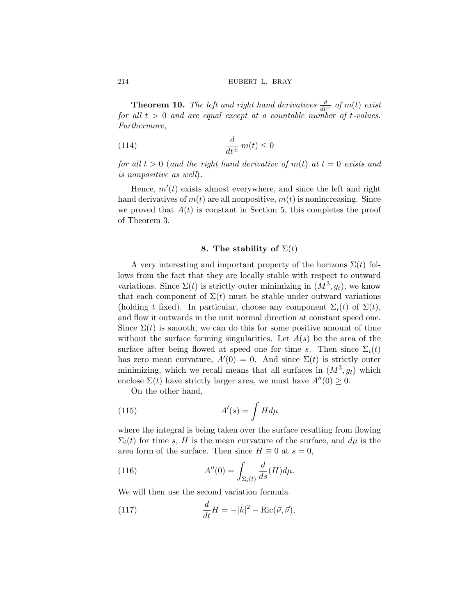**Theorem 10.** *The left and right hand derivatives*  $\frac{d}{dt^{\pm}}$  *of*  $m(t)$  *exist for all*  $t > 0$  *and are equal except at a countable number of t-values. Furthermore,*

(114) 
$$
\frac{d}{dt^{\pm}} m(t) \le 0
$$

*for all*  $t > 0$  (*and the right hand derivative of*  $m(t)$  *at*  $t = 0$  *exists and is nonpositive as well*)*.*

Hence,  $m'(t)$  exists almost everywhere, and since the left and right hand derivatives of  $m(t)$  are all nonpositive,  $m(t)$  is nonincreasing. Since we proved that  $A(t)$  is constant in Section [5](#page-22-0), this completes the proof of Theorem [3.](#page-11-0)

## **8.** The stability of  $\Sigma(t)$

A very interesting and important property of the horizons  $\Sigma(t)$  follows from the fact that they are locally stable with respect to outward variations. Since  $\Sigma(t)$  is strictly outer minimizing in  $(M^3, g_t)$ , we know that each component of  $\Sigma(t)$  must be stable under outward variations (holding t fixed). In particular, choose any component  $\Sigma_i(t)$  of  $\Sigma(t)$ , and flow it outwards in the unit normal direction at constant speed one. Since  $\Sigma(t)$  is smooth, we can do this for some positive amount of time without the surface forming singularities. Let  $A(s)$  be the area of the surface after being flowed at speed one for time s. Then since  $\Sigma_i(t)$ has zero mean curvature,  $A'(0) = 0$ . And since  $\Sigma(t)$  is strictly outer minimizing, which we recall means that all surfaces in  $(M^3, g_t)$  which enclose  $\Sigma(t)$  have strictly larger area, we must have  $A''(0) \geq 0$ .

On the other hand,

(115) 
$$
A'(s) = \int H d\mu
$$

where the integral is being taken over the surface resulting from flowing  $\Sigma_i(t)$  for time s, H is the mean curvature of the surface, and  $d\mu$  is the area form of the surface. Then since  $H \equiv 0$  at  $s = 0$ ,

(116) 
$$
A''(0) = \int_{\Sigma_i(t)} \frac{d}{ds}(H)d\mu.
$$

We will then use the second variation formula

(117) 
$$
\frac{d}{dt}H = -|h|^2 - \text{Ric}(\vec{\nu}, \vec{\nu}),
$$

<span id="page-37-0"></span>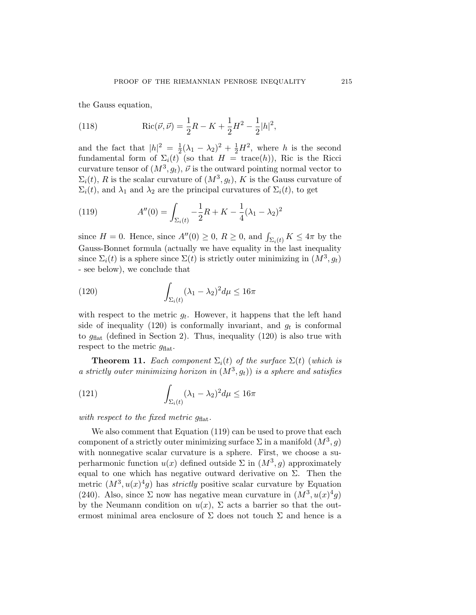<span id="page-38-0"></span>the Gauss equation,

(118) 
$$
Ric(\vec{\nu}, \vec{\nu}) = \frac{1}{2}R - K + \frac{1}{2}H^2 - \frac{1}{2}|h|^2,
$$

and the fact that  $|h|^2 = \frac{1}{2}(\lambda_1 - \lambda_2)^2 + \frac{1}{2}H^2$ , where h is the second fundamental form of  $\Sigma_i(t)$  (so that  $H = \text{trace}(h)$ ), Ric is the Ricci curvature tensor of  $(M^3, g_t)$ ,  $\vec{\nu}$  is the outward pointing normal vector to  $\Sigma_i(t)$ , R is the scalar curvature of  $(M^3, g_t)$ , K is the Gauss curvature of  $\Sigma_i(t)$ , and  $\lambda_1$  and  $\lambda_2$  are the principal curvatures of  $\Sigma_i(t)$ , to get

(119) 
$$
A''(0) = \int_{\Sigma_i(t)} -\frac{1}{2}R + K - \frac{1}{4}(\lambda_1 - \lambda_2)^2
$$

since  $H = 0$ . Hence, since  $A''(0) \ge 0$ ,  $R \ge 0$ , and  $\int_{\Sigma_i(t)} K \le 4\pi$  by the Gauss-Bonnet formula (actually we have equality in the last inequality since  $\Sigma_i(t)$  is a sphere since  $\Sigma(t)$  is strictly outer minimizing in  $(M^3, g_t)$ - see below), we conclude that

(120) 
$$
\int_{\Sigma_i(t)} (\lambda_1 - \lambda_2)^2 d\mu \le 16\pi
$$

with respect to the metric  $g_t$ . However, it happens that the left hand side of inequality (120) is conformally invariant, and  $g_t$  is conformal to  $g_{\text{flat}}$  (defined in Section [2](#page-6-0)). Thus, inequality (120) is also true with respect to the metric  $g_{\text{flat}}$ .

**Theorem 11.** *Each component*  $\Sigma_i(t)$  *of the surface*  $\Sigma(t)$  (*which is a strictly outer minimizing horizon in*  $(M^3, g_t)$ *) is a sphere and satisfies* 

(121) 
$$
\int_{\Sigma_i(t)} (\lambda_1 - \lambda_2)^2 d\mu \le 16\pi
$$

*with respect to the fixed metric*  $q_{\text{flat}}$ *.* 

We also comment that Equation (119) can be used to prove that each component of a strictly outer minimizing surface  $\Sigma$  in a manifold  $(M^3, g)$ with nonnegative scalar curvature is a sphere. First, we choose a superharmonic function  $u(x)$  defined outside  $\Sigma$  in  $(M^3, g)$  approximately equal to one which has negative outward derivative on  $\Sigma$ . Then the metric  $(M^3, u(x)^4g)$  has *strictly* positive scalar curvature by Equation [\(240](#page-69-0)). Also, since  $\Sigma$  now has negative mean curvature in  $(M^3, u(x)^4g)$ by the Neumann condition on  $u(x)$ ,  $\Sigma$  acts a barrier so that the outermost minimal area enclosure of  $\Sigma$  does not touch  $\Sigma$  and hence is a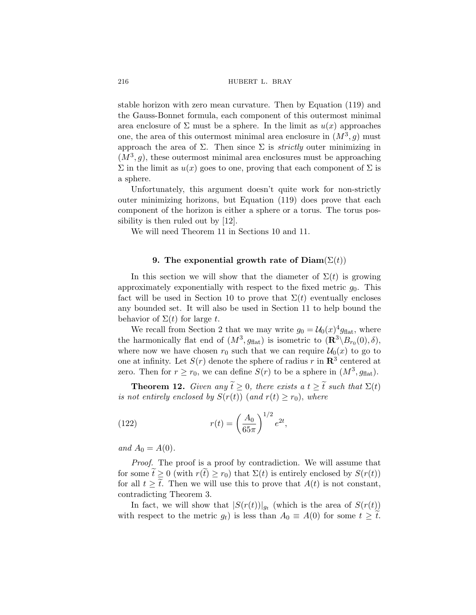<span id="page-39-0"></span>stable horizon with zero mean curvature. Then by Equation [\(119\)](#page-38-0) and the Gauss-Bonnet formula, each component of this outermost minimal area enclosure of  $\Sigma$  must be a sphere. In the limit as  $u(x)$  approaches one, the area of this outermost minimal area enclosure in  $(M^3, g)$  must approach the area of  $\Sigma$ . Then since  $\Sigma$  is *strictly* outer minimizing in  $(M^3, g)$ , these outermost minimal area enclosures must be approaching  $\Sigma$  in the limit as  $u(x)$  goes to one, proving that each component of  $\Sigma$  is a sphere.

Unfortunately, this argument doesn't quite work for non-strictly outer minimizing horizons, but Equation ([119\)](#page-38-0) does prove that each component of the horizon is either a sphere or a torus. The torus possibility is then ruled out by [[12\]](#page-87-0).

We will need Theorem [11](#page-38-0) in Sections [10](#page-41-0) and [11](#page-46-0).

# **9.** The exponential growth rate of  $Diam(\Sigma(t))$

In this section we will show that the diameter of  $\Sigma(t)$  is growing approximately exponentially with respect to the fixed metric  $g_0$ . This fact will be used in Section [10](#page-41-0) to prove that  $\Sigma(t)$  eventually encloses any bounded set. It will also be used in Section [11](#page-46-0) to help bound the behavior of  $\Sigma(t)$  for large t.

We recall from Section [2](#page-6-0) that we may write  $g_0 = \mathcal{U}_0(x)^4 g_{\text{flat}}$ , where the harmonically flat end of  $(M^3, g_{\text{flat}})$  is isometric to  $(\mathbf{R}^3 \setminus B_{r_0}(0), \delta)$ , where now we have chosen  $r_0$  such that we can require  $\mathcal{U}_0(x)$  to go to one at infinity. Let  $S(r)$  denote the sphere of radius r in  $\mathbb{R}^3$  centered at zero. Then for  $r \ge r_0$ , we can define  $S(r)$  to be a sphere in  $(M^3, q_{\text{flat}})$ .

**Theorem 12.** *Given any*  $\tilde{t} \geq 0$ *, there exists a*  $t \geq \tilde{t}$  *such that*  $\Sigma(t)$ *is not entirely enclosed by*  $S(r(t))$  (*and*  $r(t) \geq r_0$ ), *where* 

(122) 
$$
r(t) = \left(\frac{A_0}{65\pi}\right)^{1/2} e^{2t},
$$

*and*  $A_0 = A(0)$ *.* 

*Proof.* The proof is a proof by contradiction. We will assume that for some  $\tilde{t} \geq 0$  (with  $r(\tilde{t}) \geq r_0$ ) that  $\Sigma(t)$  is entirely enclosed by  $S(r(t))$ for all  $t \geq \tilde{t}$ . Then we will use this to prove that  $A(t)$  is not constant, contradicting Theorem [3.](#page-11-0)

In fact, we will show that  $|S(r(t))|_{g_t}$  (which is the area of  $S(r(t))$ ) with respect to the metric  $g_t$ ) is less than  $A_0 \equiv A(0)$  for some  $t \geq t$ .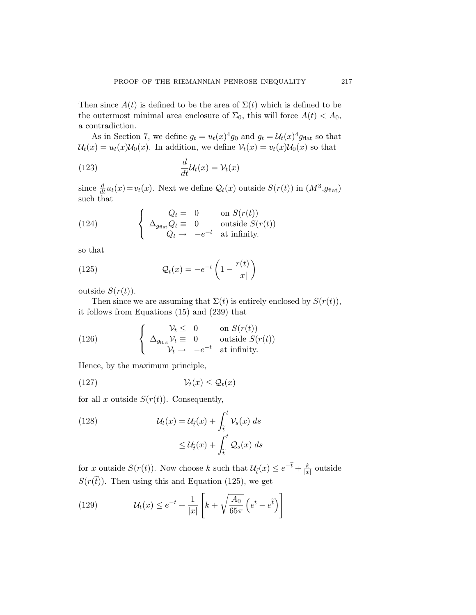<span id="page-40-0"></span>Then since  $A(t)$  is defined to be the area of  $\Sigma(t)$  which is defined to be the outermost minimal area enclosure of  $\Sigma_0$ , this will force  $A(t) < A_0$ , a contradiction.

As in Section [7](#page-35-0), we define  $g_t = u_t(x)^4 g_0$  and  $g_t = \mathcal{U}_t(x)^4 g_{\text{flat}}$  so that  $\mathcal{U}_t(x) = u_t(x)\mathcal{U}_0(x)$ . In addition, we define  $\mathcal{V}_t(x) = v_t(x)\mathcal{U}_0(x)$  so that

(123) 
$$
\frac{d}{dt}\mathcal{U}_t(x) = \mathcal{V}_t(x)
$$

since  $\frac{d}{dt}u_t(x) = v_t(x)$ . Next we define  $\mathcal{Q}_t(x)$  outside  $S(r(t))$  in  $(M^3, g_{\text{flat}})$ such that

(124) 
$$
\begin{cases} Q_t = 0 & \text{on } S(r(t)) \\ \Delta_{g_{\text{flat}}} Q_t = 0 & \text{outside } S(r(t)) \\ Q_t \rightarrow -e^{-t} & \text{at infinity.} \end{cases}
$$

so that

(125) 
$$
\mathcal{Q}_t(x) = -e^{-t} \left( 1 - \frac{r(t)}{|x|} \right)
$$

outside  $S(r(t))$ .

Then since we are assuming that  $\Sigma(t)$  is entirely enclosed by  $S(r(t))$ , it follows from Equations [\(15](#page-10-0)) and [\(239\)](#page-68-0) that

(126) 
$$
\begin{cases} \n\mathcal{V}_t \leq 0 & \text{on } S(r(t)) \\ \n\Delta_{g_{\text{flat}}} \mathcal{V}_t \equiv 0 & \text{outside } S(r(t)) \\ \n\mathcal{V}_t \rightarrow -e^{-t} & \text{at infinity.} \n\end{cases}
$$

Hence, by the maximum principle,

$$
(127) \t\t\t\t $\mathcal{V}_t(x) \leq \mathcal{Q}_t(x)$
$$

for all x outside  $S(r(t))$ . Consequently,

(128) 
$$
\mathcal{U}_t(x) = \mathcal{U}_{\tilde{t}}(x) + \int_{\tilde{t}}^t \mathcal{V}_s(x) ds
$$

$$
\leq \mathcal{U}_{\tilde{t}}(x) + \int_{\tilde{t}}^t \mathcal{Q}_s(x) ds
$$

for x outside  $S(r(t))$ . Now choose k such that  $\mathcal{U}_{\tilde{t}}(x) \leq e^{-\tilde{t}} + \frac{k}{|x|}$  outside  $S(r(\tilde{t}))$ . Then using this and Equation (125), we get

(129) 
$$
\mathcal{U}_t(x) \leq e^{-t} + \frac{1}{|x|} \left[ k + \sqrt{\frac{A_0}{65\pi}} \left( e^t - e^{\tilde{t}} \right) \right]
$$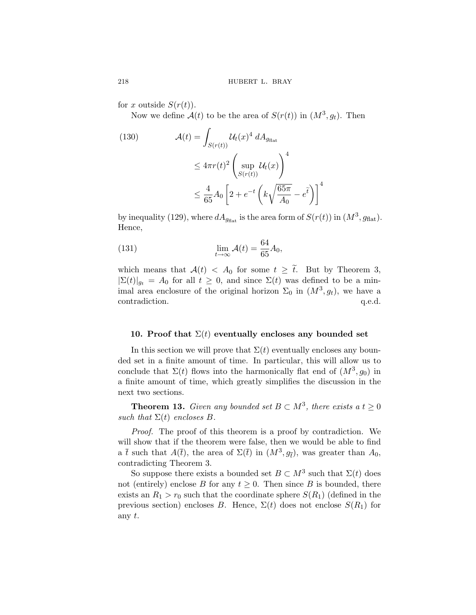for x outside  $S(r(t))$ .

Now we define  $\mathcal{A}(t)$  to be the area of  $S(r(t))$  in  $(M^3, g_t)$ . Then

(130) 
$$
\mathcal{A}(t) = \int_{S(r(t))} \mathcal{U}_t(x)^4 dA_{g_{\text{flat}}} \leq 4\pi r(t)^2 \left(\sup_{S(r(t))} \mathcal{U}_t(x)\right)^4 \leq \frac{4}{65} A_0 \left[2 + e^{-t} \left(k\sqrt{\frac{65\pi}{A_0}} - e^t\right)\right]^4
$$

by inequality [\(129\)](#page-40-0), where  $dA_{g_{\text{flat}}}$  is the area form of  $S(r(t))$  in  $(M^3, g_{\text{flat}})$ . Hence,

(131) 
$$
\lim_{t \to \infty} \mathcal{A}(t) = \frac{64}{65} A_0,
$$

which means that  $\mathcal{A}(t) < A_0$  for some  $t \geq \tilde{t}$ . But by Theorem [3](#page-11-0),  $|\Sigma(t)|_{g_t} = A_0$  for all  $t \geq 0$ , and since  $\Sigma(t)$  was defined to be a minimal area enclosure of the original horizon  $\Sigma_0$  in  $(M^3, g_t)$ , we have a contradiction.  $q.e.d.$ 

### **10. Proof that**  $\Sigma(t)$  eventually encloses any bounded set

In this section we will prove that  $\Sigma(t)$  eventually encloses any bounded set in a finite amount of time. In particular, this will allow us to conclude that  $\Sigma(t)$  flows into the harmonically flat end of  $(M^3, g_0)$  in a finite amount of time, which greatly simplifies the discussion in the next two sections.

**Theorem 13.** *Given any bounded set*  $B \subset M^3$ *, there exists a*  $t \geq 0$ *such that*  $\Sigma(t)$  *encloses*  $B$ *.* 

*Proof.* The proof of this theorem is a proof by contradiction. We will show that if the theorem were false, then we would be able to find a  $\bar{t}$  such that  $A(\bar{t})$ , the area of  $\Sigma(\bar{t})$  in  $(M^3, g_{\bar{t}})$ , was greater than  $A_0$ , contradicting Theorem [3.](#page-11-0)

So suppose there exists a bounded set  $B \subset M^3$  such that  $\Sigma(t)$  does not (entirely) enclose B for any  $t \geq 0$ . Then since B is bounded, there exists an  $R_1 > r_0$  such that the coordinate sphere  $S(R_1)$  (defined in the previous section) encloses B. Hence,  $\Sigma(t)$  does not enclose  $S(R_1)$  for any t.

<span id="page-41-0"></span>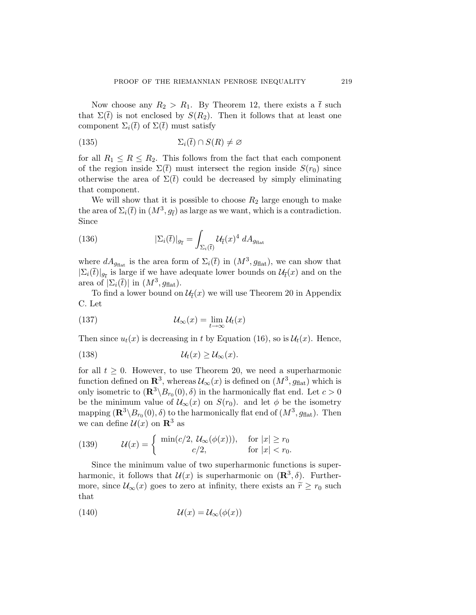<span id="page-42-0"></span>Now choose any  $R_2 > R_1$ . By Theorem [12,](#page-39-0) there exists a  $\bar{t}$  such that  $\Sigma(\bar{t})$  is not enclosed by  $S(R_2)$ . Then it follows that at least one component  $\Sigma_i(\bar{t})$  of  $\Sigma(\bar{t})$  must satisfy

(135) 
$$
\Sigma_i(\bar{t}) \cap S(R) \neq \varnothing
$$

for all  $R_1 \leq R \leq R_2$ . This follows from the fact that each component of the region inside  $\Sigma(\bar{t})$  must intersect the region inside  $S(r_0)$  since otherwise the area of  $\Sigma(\bar{t})$  could be decreased by simply eliminating that component.

We will show that it is possible to choose  $R_2$  large enough to make the area of  $\Sigma_i(\bar{t})$  in  $(M^3, g_{\bar{t}})$  as large as we want, which is a contradiction. Since

(136) 
$$
|\Sigma_i(\bar{t})|_{g_{\bar{t}}} = \int_{\Sigma_i(\bar{t})} \mathcal{U}_{\bar{t}}(x)^4 dA_{g_{\text{flat}}}
$$

where  $dA_{g_{\text{flat}}}$  is the area form of  $\Sigma_i(\bar{t})$  in  $(M^3, g_{\text{flat}})$ , we can show that  $|\Sigma_i(\bar{t})|_{g_{\bar{t}}}$  is large if we have adequate lower bounds on  $\mathcal{U}_{\bar{t}}(x)$  and on the area of  $|\Sigma_i(\bar{t})|$  in  $(M^3, g_{\text{flat}})$ .

To find a lower bound on  $\mathcal{U}_{\bar{t}}(x)$  we will use Theorem [20](#page-73-0) in Appendix [C.](#page-73-0) Let

(137) 
$$
\mathcal{U}_{\infty}(x) = \lim_{t \to \infty} \mathcal{U}_t(x)
$$

Then since  $u_t(x)$  is decreasing in t by Equation [\(16\)](#page-10-0), so is  $\mathcal{U}_t(x)$ . Hence,

(138) 
$$
\mathcal{U}_t(x) \geq \mathcal{U}_{\infty}(x).
$$

for all  $t \geq 0$ . However, to use Theorem [20](#page-73-0), we need a superharmonic function defined on  $\mathbb{R}^3$ , whereas  $\mathcal{U}_{\infty}(x)$  is defined on  $(M^3, g_{\text{flat}})$  which is only isometric to  $(\mathbb{R}^3 \setminus B_{r_0}(0), \delta)$  in the harmonically flat end. Let  $c > 0$ be the minimum value of  $\mathcal{U}_{\infty}(x)$  on  $S(r_0)$ . and let  $\phi$  be the isometry mapping  $(\mathbb{R}^3 \setminus B_{r_0}(0), \delta)$  to the harmonically flat end of  $(M^3, g_{\text{flat}})$ . Then we can define  $\mathcal{U}(x)$  on  $\mathbb{R}^3$  as

(139) 
$$
\mathcal{U}(x) = \begin{cases} \min(c/2, \mathcal{U}_{\infty}(\phi(x))), & \text{for } |x| \ge r_0 \\ c/2, & \text{for } |x| < r_0. \end{cases}
$$

Since the minimum value of two superharmonic functions is superharmonic, it follows that  $\mathcal{U}(x)$  is superharmonic on  $(\mathbb{R}^3, \delta)$ . Furthermore, since  $\mathcal{U}_{\infty}(x)$  goes to zero at infinity, there exists an  $\tilde{r} \geq r_0$  such that

(140) 
$$
\mathcal{U}(x) = \mathcal{U}_{\infty}(\phi(x))
$$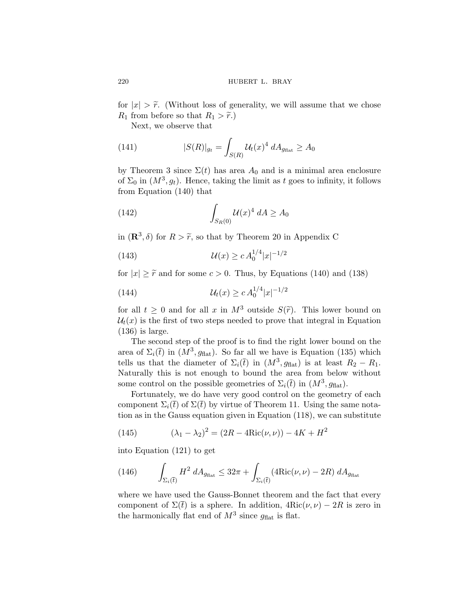for  $|x| > \tilde{r}$ . (Without loss of generality, we will assume that we chose  $R_1$  from before so that  $R_1 > \tilde{r}$ .

Next, we observe that

(141) 
$$
|S(R)|_{g_t} = \int_{S(R)} \mathcal{U}_t(x)^4 \, dA_{g_{\text{flat}}} \ge A_0
$$

by Theorem [3](#page-11-0) since  $\Sigma(t)$  has area  $A_0$  and is a minimal area enclosure of  $\Sigma_0$  in  $(M^3, g_t)$ . Hence, taking the limit as t goes to infinity, it follows from Equation ([140](#page-42-0)) that

(142) 
$$
\int_{S_R(0)} \mathcal{U}(x)^4 \ dA \ge A_0
$$

in  $(\mathbb{R}^3, \delta)$  for  $R > \tilde{r}$ , so that by Theorem [20](#page-73-0) in Appendix [C](#page-73-0)

(143) 
$$
\mathcal{U}(x) \ge c A_0^{1/4} |x|^{-1/2}
$$

for  $|x| \geq \tilde{r}$  and for some  $c > 0$ . Thus, by Equations [\(140\)](#page-42-0) and [\(138](#page-42-0))

(144) 
$$
\mathcal{U}_t(x) \ge c A_0^{1/4} |x|^{-1/2}
$$

for all  $t \geq 0$  and for all x in  $M^3$  outside  $S(\tilde{r})$ . This lower bound on  $\mathcal{U}_t(x)$  is the first of two steps needed to prove that integral in Equation ([136](#page-42-0)) is large.

The second step of the proof is to find the right lower bound on the area of  $\Sigma_i(\bar{t})$  in  $(M^3, g_{\text{flat}})$ . So far all we have is Equation [\(135](#page-42-0)) which tells us that the diameter of  $\Sigma_i(\bar{t})$  in  $(M^3, g_{\text{flat}})$  is at least  $R_2 - R_1$ . Naturally this is not enough to bound the area from below without some control on the possible geometries of  $\Sigma_i(\bar{t})$  in  $(M^3, g_{\text{flat}})$ .

Fortunately, we do have very good control on the geometry of each component  $\Sigma_i(\bar{t})$  of  $\Sigma(\bar{t})$  by virtue of Theorem [11.](#page-38-0) Using the same notation as in the Gauss equation given in Equation ([118\)](#page-38-0), we can substitute

(145) 
$$
(\lambda_1 - \lambda_2)^2 = (2R - 4Ric(\nu, \nu)) - 4K + H^2
$$

into Equation [\(121\)](#page-38-0) to get

(146) 
$$
\int_{\Sigma_i(\bar{t})} H^2 dA_{g_{\text{flat}}} \leq 32\pi + \int_{\Sigma_i(\bar{t})} (4\text{Ric}(\nu,\nu) - 2R) dA_{g_{\text{flat}}}
$$

where we have used the Gauss-Bonnet theorem and the fact that every component of  $\Sigma(\bar{t})$  is a sphere. In addition,  $4Ric(\nu,\nu) - 2R$  is zero in the harmonically flat end of  $M^3$  since  $g_{\text{flat}}$  is flat.

<span id="page-43-0"></span>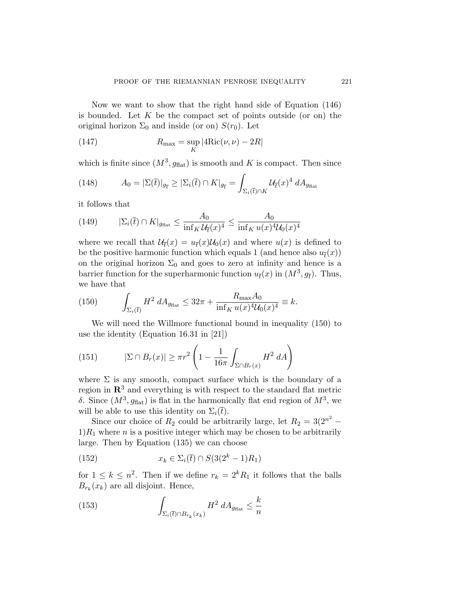Now we want to show that the right hand side of Equation ([146](#page-43-0)) is bounded. Let  $K$  be the compact set of points outside (or on) the original horizon  $\Sigma_0$  and inside (or on)  $S(r_0)$ . Let

(147) 
$$
R_{\max} = \sup_{K} |4Ric(\nu, \nu) - 2R|
$$

which is finite since  $(M^3, g_{\text{flat}})$  is smooth and K is compact. Then since

(148) 
$$
A_0 = |\Sigma(\bar{t})|_{g_{\bar{t}}} \geq |\Sigma_i(\bar{t}) \cap K|_{g_{\bar{t}}} = \int_{\Sigma_i(\bar{t}) \cap K} \mathcal{U}_{\bar{t}}(x)^4 dA_{g_{\text{flat}}}
$$

it follows that

(149) 
$$
|\Sigma_i(\bar{t}) \cap K|_{g_{\text{flat}}} \le \frac{A_0}{\inf_K \mathcal{U}_{\bar{t}}(x)^4} \le \frac{A_0}{\inf_K u(x)^4 \mathcal{U}_0(x)^4}
$$

where we recall that  $\mathcal{U}_{\tau}(x) = u_{\tau}(x)\mathcal{U}_{0}(x)$  and where  $u(x)$  is defined to be the positive harmonic function which equals 1 (and hence also  $u_{\bar{t}}(x)$ ) on the original horizon  $\Sigma_0$  and goes to zero at infinity and hence is a barrier function for the superharmonic function  $u_{\bar{t}}(x)$  in  $(M^3, g_{\bar{t}})$ . Thus, we have that

(150) 
$$
\int_{\Sigma_i(\bar{t})} H^2 dA_{g_{\text{flat}}} \leq 32\pi + \frac{R_{\text{max}} A_0}{\inf_K u(x)^4 \mathcal{U}_0(x)^4} \equiv k.
$$

We will need the Willmore functional bound in inequality (150) to use the identity (Equation 16.31 in [\[21](#page-88-0)])

(151) 
$$
|\Sigma \cap B_r(x)| \ge \pi r^2 \left(1 - \frac{1}{16\pi} \int_{\Sigma \cap B_r(x)} H^2 dA\right)
$$

where  $\Sigma$  is any smooth, compact surface which is the boundary of a region in  $\mathbb{R}^3$  and everything is with respect to the standard flat metric δ. Since  $(M^3, g_{\text{flat}})$  is flat in the harmonically flat end region of  $M^3$ , we will be able to use this identity on  $\Sigma_i(\bar{t})$ .

Since our choice of  $R_2$  could be arbitrarily large, let  $R_2 = 3(2^{n^2} 1)R_1$  where *n* is a positive integer which may be chosen to be arbitrarily large. Then by Equation ([135](#page-42-0)) we can choose

(152) 
$$
x_k \in \Sigma_i(\bar{t}) \cap S(3(2^k - 1)R_1)
$$

for  $1 \leq k \leq n^2$ . Then if we define  $r_k = 2^k R_1$  it follows that the balls  $B_{r_k}(x_k)$  are all disjoint. Hence,

(153) 
$$
\int_{\Sigma_i(\bar{t}) \cap B_{r_k}(x_k)} H^2 dA_{g_{\text{flat}}} \leq \frac{k}{n}
$$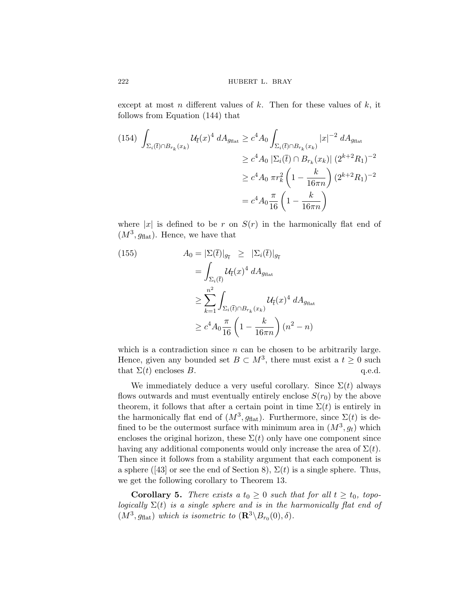except at most n different values of  $k$ . Then for these values of  $k$ , it follows from Equation ([144](#page-43-0)) that

$$
(154) \int_{\Sigma_{i}(\bar{t}) \cap B_{r_{k}}(x_{k})} \mathcal{U}_{\bar{t}}(x)^{4} dA_{g_{\text{flat}}} \geq c^{4} A_{0} \int_{\Sigma_{i}(\bar{t}) \cap B_{r_{k}}(x_{k})} |x|^{-2} dA_{g_{\text{flat}}}
$$

$$
\geq c^{4} A_{0} |\Sigma_{i}(\bar{t}) \cap B_{r_{k}}(x_{k})| (2^{k+2} R_{1})^{-2}
$$

$$
\geq c^{4} A_{0} \pi r_{k}^{2} \left(1 - \frac{k}{16\pi n}\right) (2^{k+2} R_{1})^{-2}
$$

$$
= c^{4} A_{0} \frac{\pi}{16} \left(1 - \frac{k}{16\pi n}\right)
$$

where |x| is defined to be r on  $S(r)$  in the harmonically flat end of  $(M^3, g_{\text{flat}})$ . Hence, we have that

(155)  
\n
$$
A_0 = |\Sigma(\bar{t})|_{g_{\bar{t}}} \geq |\Sigma_i(\bar{t})|_{g_{\bar{t}}}
$$
\n
$$
= \int_{\Sigma_i(\bar{t})} \mathcal{U}_{\bar{t}}(x)^4 \, dA_{g_{\text{flat}}}
$$
\n
$$
\geq \sum_{k=1}^{n^2} \int_{\Sigma_i(\bar{t}) \cap B_{r_k}(x_k)} \mathcal{U}_{\bar{t}}(x)^4 \, dA_{g_{\text{flat}}}
$$
\n
$$
\geq c^4 A_0 \frac{\pi}{16} \left(1 - \frac{k}{16\pi n}\right) (n^2 - n)
$$

which is a contradiction since  $n$  can be chosen to be arbitrarily large. Hence, given any bounded set  $B \subset M^3$ , there must exist a  $t \geq 0$  such that  $\Sigma(t)$  encloses B. q.e.d.

We immediately deduce a very useful corollary. Since  $\Sigma(t)$  always flows outwards and must eventually entirely enclose  $S(r_0)$  by the above theorem, it follows that after a certain point in time  $\Sigma(t)$  is entirely in the harmonically flat end of  $(M^3, g_{\text{flat}})$ . Furthermore, since  $\Sigma(t)$  is defined to be the outermost surface with minimum area in  $(M^3, g_t)$  which encloses the original horizon, these  $\Sigma(t)$  only have one component since having any additional components would only increase the area of  $\Sigma(t)$ . Then since it follows from a stability argument that each component is a sphere ([\[43](#page-89-0)] or see the end of Section [8\)](#page-37-0),  $\Sigma(t)$  is a single sphere. Thus, we get the following corollary to Theorem [13](#page-41-0).

**Corollary 5.** *There exists a*  $t_0 \geq 0$  *such that for all*  $t \geq t_0$ *, topologically*  $\Sigma(t)$  *is a single sphere and is in the harmonically flat end of*  $(M^3, g_{\text{flat}})$  *which is isometric to*  $(\mathbb{R}^3 \setminus B_{r_0}(0), \delta)$ *.* 

<span id="page-45-0"></span>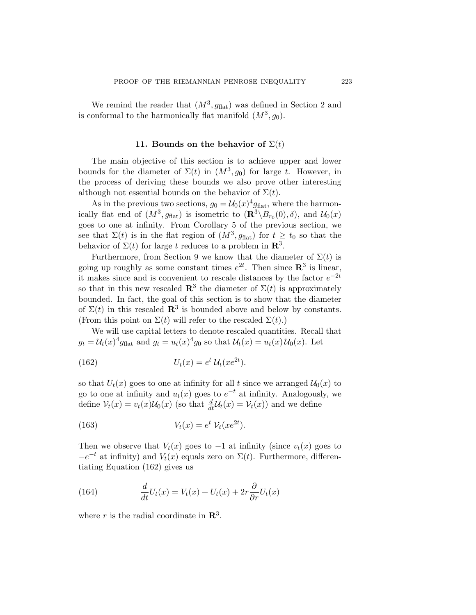<span id="page-46-0"></span>We remind the reader that  $(M^3, g_{\text{flat}})$  was defined in Section [2](#page-6-0) and is conformal to the harmonically flat manifold  $(M^3, g_0)$ .

## **11. Bounds on the behavior of**  $\Sigma(t)$

The main objective of this section is to achieve upper and lower bounds for the diameter of  $\Sigma(t)$  in  $(M^3, g_0)$  for large t. However, in the process of deriving these bounds we also prove other interesting although not essential bounds on the behavior of  $\Sigma(t)$ .

As in the previous two sections,  $g_0 = \mathcal{U}_0(x)^4 g_{\text{flat}}$ , where the harmonically flat end of  $(M^3, g_{\text{flat}})$  is isometric to  $(\mathbb{R}^3 \setminus B_{r_0}(0), \delta)$ , and  $\mathcal{U}_0(x)$ goes to one at infinity. From Corollary [5](#page-45-0) of the previous section, we see that  $\Sigma(t)$  is in the flat region of  $(M^3, g_{\text{flat}})$  for  $t \ge t_0$  so that the behavior of  $\Sigma(t)$  for large t reduces to a problem in  $\mathbb{R}^3$ .

Furthermore, from Section [9](#page-39-0) we know that the diameter of  $\Sigma(t)$  is going up roughly as some constant times  $e^{2t}$ . Then since  $\mathbb{R}^3$  is linear, it makes since and is convenient to rescale distances by the factor  $e^{-2t}$ so that in this new rescaled  $\mathbb{R}^3$  the diameter of  $\Sigma(t)$  is approximately bounded. In fact, the goal of this section is to show that the diameter of  $\Sigma(t)$  in this rescaled  $\mathbb{R}^3$  is bounded above and below by constants. (From this point on  $\Sigma(t)$  will refer to the rescaled  $\Sigma(t)$ .)

We will use capital letters to denote rescaled quantities. Recall that  $g_t = \mathcal{U}_t(x)^4 g_{\text{flat}}$  and  $g_t = u_t(x)^4 g_0$  so that  $\mathcal{U}_t(x) = u_t(x) \mathcal{U}_0(x)$ . Let

(162) 
$$
U_t(x) = e^t \mathcal{U}_t(xe^{2t}).
$$

so that  $U_t(x)$  goes to one at infinity for all t since we arranged  $\mathcal{U}_0(x)$  to go to one at infinity and  $u_t(x)$  goes to  $e^{-t}$  at infinity. Analogously, we define  $V_t(x) = v_t(x)U_0(x)$  (so that  $\frac{d}{dt}U_t(x) = V_t(x)$ ) and we define

(163) 
$$
V_t(x) = e^t \mathcal{V}_t(xe^{2t}).
$$

Then we observe that  $V_t(x)$  goes to  $-1$  at infinity (since  $v_t(x)$  goes to  $-e^{-t}$  at infinity) and  $V_t(x)$  equals zero on  $\Sigma(t)$ . Furthermore, differentiating Equation (162) gives us

(164) 
$$
\frac{d}{dt}U_t(x) = V_t(x) + U_t(x) + 2r\frac{\partial}{\partial r}U_t(x)
$$

where r is the radial coordinate in  $\mathbb{R}^3$ .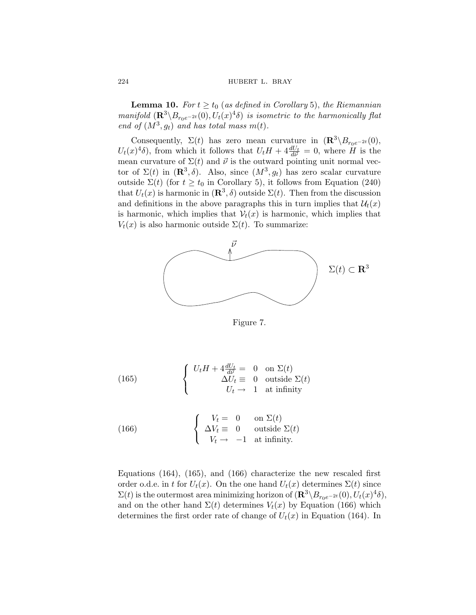<span id="page-47-0"></span>**Lemma 10.** *For*  $t \ge t_0$  (*as defined in Corollary* [5](#page-45-0)), *the Riemannian manifold*  $(\mathbb{R}^3 \setminus B_{r_0e^{-2t}}(0), U_t(x)^4\delta)$  *is isometric to the harmonically flat end of*  $(M^3, g_t)$  *and has total mass*  $m(t)$ *.* 

Consequently,  $\Sigma(t)$  has zero mean curvature in  $(\mathbb{R}^3 \setminus B_{r_0e^{-2t}}(0))$ ,  $U_t(x)^4\delta$ , from which it follows that  $U_t H + 4\frac{dU_t}{d\vec{\nu}} = 0$ , where  $H$  is the mean curvature of  $\Sigma(t)$  and  $\vec{\nu}$  is the outward pointing unit normal vector of  $\Sigma(t)$  in  $(\mathbb{R}^3, \delta)$ . Also, since  $(M^3, g_t)$  has zero scalar curvature outside  $\Sigma(t)$  (for  $t \geq t_0$  in Corollary [5\)](#page-45-0), it follows from Equation [\(240\)](#page-69-0) that  $U_t(x)$  is harmonic in  $(\mathbb{R}^3, \delta)$  outside  $\Sigma(t)$ . Then from the discussion and definitions in the above paragraphs this in turn implies that  $\mathcal{U}_t(x)$ is harmonic, which implies that  $V_t(x)$  is harmonic, which implies that  $V_t(x)$  is also harmonic outside  $\Sigma(t)$ . To summarize:



Figure 7.

(165) 
$$
\begin{cases} U_t H + 4 \frac{dU_t}{d\vec{\nu}} = 0 & \text{on } \Sigma(t) \\ \Delta U_t \equiv 0 & \text{outside } \Sigma(t) \\ U_t \rightarrow 1 & \text{at infinity} \end{cases}
$$

(166) 
$$
\begin{cases}\nV_t = 0 & \text{on } \Sigma(t) \\
\Delta V_t \equiv 0 & \text{outside } \Sigma(t) \\
V_t \rightarrow -1 & \text{at infinity.}\n\end{cases}
$$

Equations ([164](#page-46-0)), (165), and (166) characterize the new rescaled first order o.d.e. in t for  $U_t(x)$ . On the one hand  $U_t(x)$  determines  $\Sigma(t)$  since  $\Sigma(t)$  is the outermost area minimizing horizon of  $(\mathbf{R}^3 \setminus B_{r_0e^{-2t}}(0), U_t(x)^4\delta)$ , and on the other hand  $\Sigma(t)$  determines  $V_t(x)$  by Equation (166) which determines the first order rate of change of  $U_t(x)$  in Equation ([164](#page-46-0)). In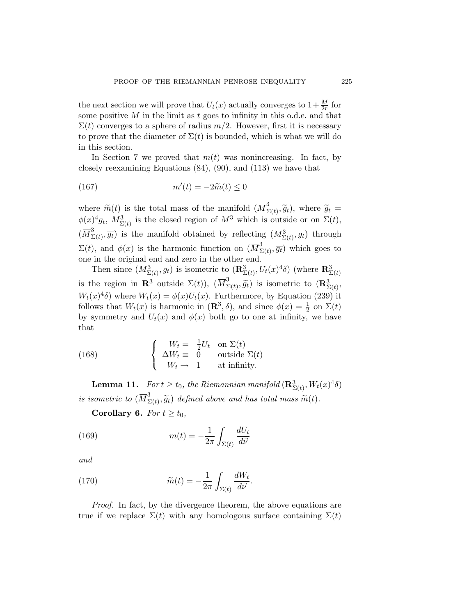<span id="page-48-0"></span>the next section we will prove that  $U_t(x)$  actually converges to  $1+\frac{M}{2r}$  for some positive  $M$  in the limit as  $t$  goes to infinity in this o.d.e. and that  $\Sigma(t)$  converges to a sphere of radius  $m/2$ . However, first it is necessary to prove that the diameter of  $\Sigma(t)$  is bounded, which is what we will do in this section.

In Section [7](#page-35-0) we proved that  $m(t)$  was nonincreasing. In fact, by closely reexamining Equations [\(84\)](#page-28-0), [\(90](#page-30-0)), and [\(113\)](#page-36-0) we have that

$$
(167) \t\t\t m'(t) = -2\widetilde{m}(t) \le 0
$$

where  $\widetilde{m}(t)$  is the total mass of the manifold  $(\overline{M}_{\Sigma(t)}^3, \widetilde{g}_t)$ , where  $\widetilde{g}_t =$  $\phi(x)^4 \overline{g_t}$ ,  $M^3_{\Sigma(t)}$  is the closed region of  $M^3$  which is outside or on  $\Sigma(t)$ ,  $(\overline{M}_{\Sigma(t)}^3, \overline{g_t})$  is the manifold obtained by reflecting  $(M_{\Sigma(t)}^3, g_t)$  through  $\Sigma(t)$ , and  $\phi(x)$  is the harmonic function on  $(\overline{M}_{\Sigma(t)}^3, \overline{g_t})$  which goes to one in the original end and zero in the other end.

Then since  $(M^3_{\Sigma(t)}, g_t)$  is isometric to  $(\mathbf{R}^3_{\Sigma(t)}, U_t(x)^4\delta)$  (where  $\mathbf{R}^3_{\Sigma(t)}$ is the region in **R**<sup>3</sup> outside  $\Sigma(t)$ ),  $(\overline{M}_{\Sigma(t)}^3, \widetilde{g}_t)$  is isometric to  $(\mathbf{R}_{\Sigma(t)}^3, \widetilde{g}_t)$  $W_t(x)^4\delta$  where  $W_t(x) = \phi(x)U_t(x)$ . Furthermore, by Equation [\(239](#page-68-0)) it follows that  $W_t(x)$  is harmonic in  $(\mathbb{R}^3, \delta)$ , and since  $\phi(x) = \frac{1}{2}$  on  $\Sigma(t)$ by symmetry and  $U_t(x)$  and  $\phi(x)$  both go to one at infinity, we have that

(168) 
$$
\begin{cases}\nW_t = \frac{1}{2}U_t & \text{on } \Sigma(t) \\
\Delta W_t \equiv 0 & \text{outside } \Sigma(t) \\
W_t \rightarrow 1 & \text{at infinity.}\n\end{cases}
$$

**Lemma 11.** *For*  $t \ge t_0$ *, the Riemannian manifold*  $(\mathbf{R}_{\Sigma(t)}^3, W_t(x)^4\delta)$ *is isometric to*  $(\overline{M}_{\Sigma(t)}^3, \widetilde{g}_t)$  *defined above and has total mass*  $\widetilde{m}(t)$ *.* 

**Corollary 6.** *For*  $t \geq t_0$ *,* 

(169) 
$$
m(t) = -\frac{1}{2\pi} \int_{\Sigma(t)} \frac{dU_t}{d\vec{\nu}}
$$

*and*

(170) 
$$
\widetilde{m}(t) = -\frac{1}{2\pi} \int_{\Sigma(t)} \frac{dW_t}{d\vec{\nu}}.
$$

*Proof.* In fact, by the divergence theorem, the above equations are true if we replace  $\Sigma(t)$  with any homologous surface containing  $\Sigma(t)$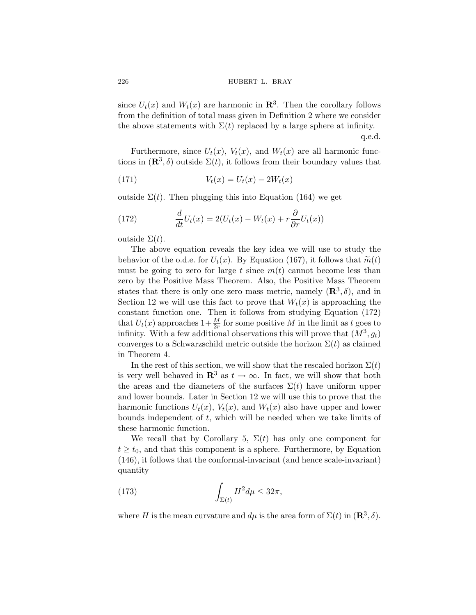<span id="page-49-0"></span>226 **hubert L. BRAY** 

since  $U_t(x)$  and  $W_t(x)$  are harmonic in  $\mathbb{R}^3$ . Then the corollary follows from the definition of total mass given in Definition [2](#page-7-0) where we consider the above statements with  $\Sigma(t)$  replaced by a large sphere at infinity.

q.e.d.

Furthermore, since  $U_t(x)$ ,  $V_t(x)$ , and  $W_t(x)$  are all harmonic functions in  $(\mathbb{R}^3, \delta)$  outside  $\Sigma(t)$ , it follows from their boundary values that

(171) 
$$
V_t(x) = U_t(x) - 2W_t(x)
$$

outside  $\Sigma(t)$ . Then plugging this into Equation [\(164](#page-46-0)) we get

(172) 
$$
\frac{d}{dt}U_t(x) = 2(U_t(x) - W_t(x) + r\frac{\partial}{\partial r}U_t(x))
$$

outside  $\Sigma(t)$ .

The above equation reveals the key idea we will use to study the behavior of the o.d.e. for  $U_t(x)$ . By Equation [\(167](#page-48-0)), it follows that  $\widetilde{m}(t)$ must be going to zero for large t since  $m(t)$  cannot become less than zero by the Positive Mass Theorem. Also, the Positive Mass Theorem states that there is only one zero mass metric, namely  $(\mathbb{R}^3, \delta)$ , and in Section [12](#page-52-0) we will use this fact to prove that  $W_t(x)$  is approaching the constant function one. Then it follows from studying Equation (172) that  $U_t(x)$  approaches  $1+\frac{M}{2r}$  for some positive M in the limit as t goes to infinity. With a few additional observations this will prove that  $(M^3, g_t)$ converges to a Schwarzschild metric outside the horizon  $\Sigma(t)$  as claimed in Theorem [4.](#page-11-0)

In the rest of this section, we will show that the rescaled horizon  $\Sigma(t)$ is very well behaved in  $\mathbb{R}^3$  as  $t \to \infty$ . In fact, we will show that both the areas and the diameters of the surfaces  $\Sigma(t)$  have uniform upper and lower bounds. Later in Section [12](#page-52-0) we will use this to prove that the harmonic functions  $U_t(x)$ ,  $V_t(x)$ , and  $W_t(x)$  also have upper and lower bounds independent of  $t$ , which will be needed when we take limits of these harmonic function.

We recall that by Corollary [5](#page-45-0),  $\Sigma(t)$  has only one component for  $t \geq t_0$ , and that this component is a sphere. Furthermore, by Equation ([146](#page-43-0)), it follows that the conformal-invariant (and hence scale-invariant) quantity

(173) 
$$
\int_{\Sigma(t)} H^2 d\mu \leq 32\pi,
$$

where H is the mean curvature and  $d\mu$  is the area form of  $\Sigma(t)$  in  $(\mathbb{R}^3, \delta)$ .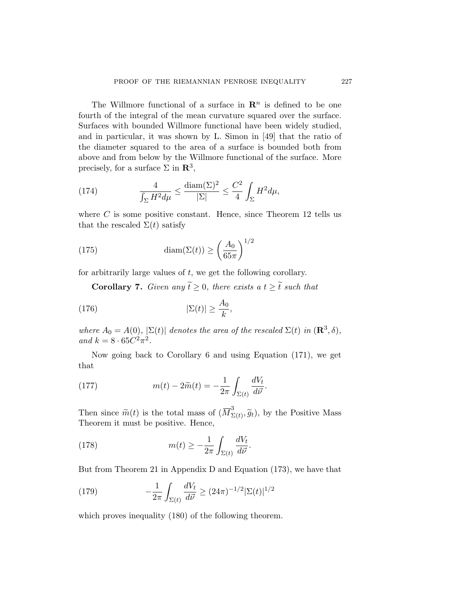<span id="page-50-0"></span>The Willmore functional of a surface in  $\mathbb{R}^n$  is defined to be one fourth of the integral of the mean curvature squared over the surface. Surfaces with bounded Willmore functional have been widely studied, and in particular, it was shown by L. Simon in [[49\]](#page-89-0) that the ratio of the diameter squared to the area of a surface is bounded both from above and from below by the Willmore functional of the surface. More precisely, for a surface  $\Sigma$  in  $\mathbb{R}^3$ ,

(174) 
$$
\frac{4}{\int_{\Sigma} H^2 d\mu} \le \frac{\text{diam}(\Sigma)^2}{|\Sigma|} \le \frac{C^2}{4} \int_{\Sigma} H^2 d\mu,
$$

where  $C$  is some positive constant. Hence, since Theorem [12](#page-39-0) tells us that the rescaled  $\Sigma(t)$  satisfy

(175) 
$$
\text{diam}(\Sigma(t)) \ge \left(\frac{A_0}{65\pi}\right)^{1/2}
$$

for arbitrarily large values of  $t$ , we get the following corollary.

**Corollary 7.** *Given any*  $\widetilde{t} \geq 0$ *, there exists a*  $t \geq \widetilde{t}$  *such that* 

(176) 
$$
|\Sigma(t)| \geq \frac{A_0}{k},
$$

*where*  $A_0 = A(0)$ *,*  $|\Sigma(t)|$  *denotes the area of the rescaled*  $\Sigma(t)$  *in*  $(\mathbb{R}^3, \delta)$ *, and*  $k = 8 \cdot 65C^2 \pi^2$ .

Now going back to Corollary [6](#page-48-0) and using Equation ([171](#page-49-0)), we get that

(177) 
$$
m(t) - 2\widetilde{m}(t) = -\frac{1}{2\pi} \int_{\Sigma(t)} \frac{dV_t}{d\vec{\nu}}.
$$

Then since  $\widetilde{m}(t)$  is the total mass of  $(\overline{M}_{\Sigma(t)}^3, \widetilde{g}_t)$ , by the Positive Mass Theorem it must be positive. Hence,

(178) 
$$
m(t) \geq -\frac{1}{2\pi} \int_{\Sigma(t)} \frac{dV_t}{d\vec{\nu}}.
$$

But from Theorem [21](#page-76-0) in Appendix [D](#page-74-0) and Equation [\(173](#page-49-0)), we have that

(179) 
$$
-\frac{1}{2\pi} \int_{\Sigma(t)} \frac{dV_t}{d\vec{\nu}} \ge (24\pi)^{-1/2} |\Sigma(t)|^{1/2}
$$

which proves inequality  $(180)$  $(180)$  $(180)$  of the following theorem.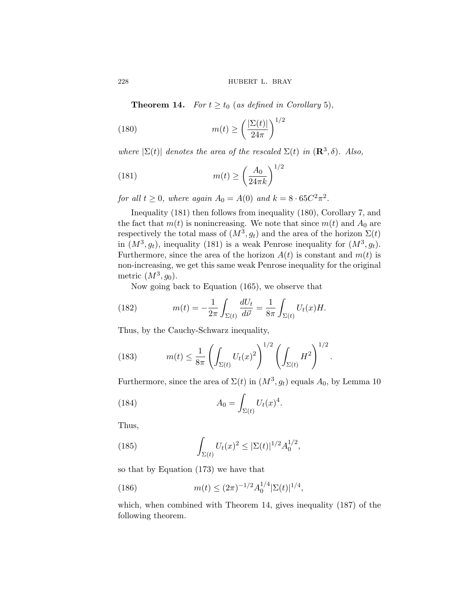**Theorem 14.** *For*  $t \ge t_0$  (*as defined in Corollary* [5](#page-45-0)),

(180) 
$$
m(t) \ge \left(\frac{|\Sigma(t)|}{24\pi}\right)^{1/2}
$$

*where*  $|\Sigma(t)|$  *denotes the area of the rescaled*  $\Sigma(t)$  *in*  $(\mathbb{R}^3, \delta)$ *. Also,* 

(181) 
$$
m(t) \ge \left(\frac{A_0}{24\pi k}\right)^{1/2}
$$

*for all*  $t \geq 0$ *, where again*  $A_0 = A(0)$  *and*  $k = 8 \cdot 65C^2 \pi^2$ *.* 

Inequality (181) then follows from inequality (180), Corollary [7](#page-50-0), and the fact that  $m(t)$  is nonincreasing. We note that since  $m(t)$  and  $A_0$  are respectively the total mass of  $(M^3, g_t)$  and the area of the horizon  $\Sigma(t)$ in  $(M^3, g_t)$ , inequality (181) is a weak Penrose inequality for  $(M^3, g_t)$ . Furthermore, since the area of the horizon  $A(t)$  is constant and  $m(t)$  is non-increasing, we get this same weak Penrose inequality for the original metric  $(M^3, g_0)$ .

Now going back to Equation ([165](#page-47-0)), we observe that

(182) 
$$
m(t) = -\frac{1}{2\pi} \int_{\Sigma(t)} \frac{dU_t}{d\vec{\nu}} = \frac{1}{8\pi} \int_{\Sigma(t)} U_t(x)H.
$$

Thus, by the Cauchy-Schwarz inequality,

(183) 
$$
m(t) \leq \frac{1}{8\pi} \left( \int_{\Sigma(t)} U_t(x)^2 \right)^{1/2} \left( \int_{\Sigma(t)} H^2 \right)^{1/2}.
$$

Furthermore, since the area of  $\Sigma(t)$  in  $(M^3, g_t)$  equals  $A_0$ , by Lemma [10](#page-47-0)

(184) 
$$
A_0 = \int_{\Sigma(t)} U_t(x)^4.
$$

Thus,

(185) 
$$
\int_{\Sigma(t)} U_t(x)^2 \leq |\Sigma(t)|^{1/2} A_0^{1/2},
$$

so that by Equation [\(173\)](#page-49-0) we have that

(186) 
$$
m(t) \le (2\pi)^{-1/2} A_0^{1/4} |\Sigma(t)|^{1/4},
$$

which, when combined with Theorem 14, gives inequality [\(187\)](#page-52-0) of the following theorem.

<span id="page-51-0"></span>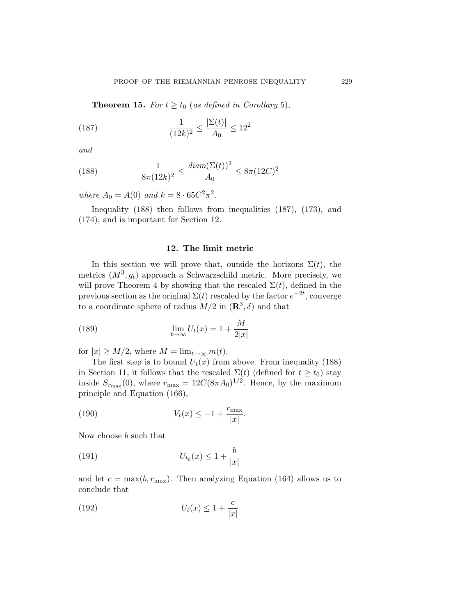<span id="page-52-0"></span>**Theorem 1[5](#page-45-0).** *For*  $t \ge t_0$  (*as defined in Corollary* 5),

(187) 
$$
\frac{1}{(12k)^2} \le \frac{|\Sigma(t)|}{A_0} \le 12^2
$$

*and*

(188) 
$$
\frac{1}{8\pi(12k)^2} \le \frac{diam(\Sigma(t))^2}{A_0} \le 8\pi (12C)^2
$$

*where*  $A_0 = A(0)$  *and*  $k = 8 \cdot 65C^2 \pi^2$ .

Inequality (188) then follows from inequalities (187), [\(173](#page-49-0)), and [\(174](#page-50-0)), and is important for Section 12.

## **12. The limit metric**

In this section we will prove that, outside the horizons  $\Sigma(t)$ , the metrics  $(M^3, g_t)$  approach a Schwarzschild metric. More precisely, we will prove Theorem [4](#page-11-0) by showing that the rescaled  $\Sigma(t)$ , defined in the previous section as the original  $\Sigma(t)$  rescaled by the factor  $e^{-2t}$ , converge to a coordinate sphere of radius  $M/2$  in  $(\mathbb{R}^3, \delta)$  and that

(189) 
$$
\lim_{t \to \infty} U_t(x) = 1 + \frac{M}{2|x|}
$$

for  $|x| \geq M/2$ , where  $M = \lim_{t \to \infty} m(t)$ .

The first step is to bound  $U_t(x)$  from above. From inequality (188) in Section [11](#page-46-0), it follows that the rescaled  $\Sigma(t)$  (defined for  $t \geq t_0$ ) stay inside  $S_{r_{\text{max}}}(0)$ , where  $r_{\text{max}} = 12C(8\pi A_0)^{1/2}$ . Hence, by the maximum principle and Equation [\(166\)](#page-47-0),

(190) 
$$
V_t(x) \le -1 + \frac{r_{\text{max}}}{|x|}.
$$

Now choose b such that

(191) 
$$
U_{t_0}(x) \le 1 + \frac{b}{|x|}
$$

and let  $c = \max(b, r_{\max})$ . Then analyzing Equation ([164](#page-46-0)) allows us to conclude that

$$
(192)\t\t\t U_t(x) \le 1 + \frac{c}{|x|}
$$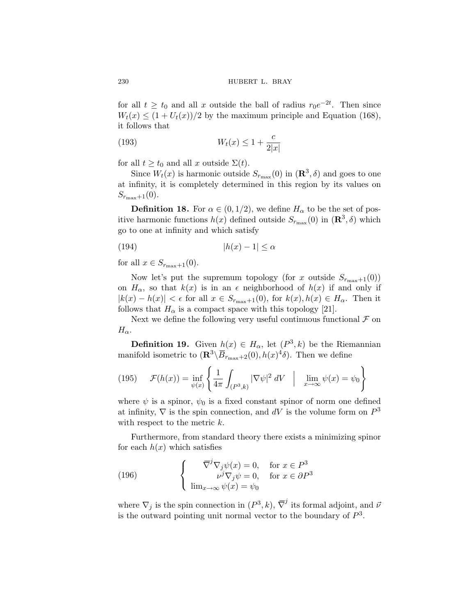for all  $t \geq t_0$  and all x outside the ball of radius  $r_0e^{-2t}$ . Then since  $W_t(x) \leq (1 + U_t(x))/2$  by the maximum principle and Equation [\(168\)](#page-48-0), it follows that

$$
(193) \t Wt(x) \le 1 + \frac{c}{2|x|}
$$

for all  $t \geq t_0$  and all x outside  $\Sigma(t)$ .

Since  $W_t(x)$  is harmonic outside  $S_{r_{\text{max}}}(0)$  in  $(\mathbb{R}^3, \delta)$  and goes to one at infinity, it is completely determined in this region by its values on  $S_{r_{\max}+1}(0).$ 

**Definition 18.** For  $\alpha \in (0, 1/2)$ , we define  $H_{\alpha}$  to be the set of positive harmonic functions  $h(x)$  defined outside  $S_{r_{\text{max}}}(0)$  in  $(\mathbb{R}^3, \delta)$  which go to one at infinity and which satisfy

$$
(194) \qquad |h(x) - 1| \le \alpha
$$

for all  $x \in S_{r_{\text{max}}+1}(0)$ .

Now let's put the supremum topology (for x outside  $S_{r_{\text{max}}+1}(0)$ ) on  $H_{\alpha}$ , so that  $k(x)$  is in an  $\epsilon$  neighborhood of  $h(x)$  if and only if  $|k(x) - h(x)| < \epsilon$  for all  $x \in S_{r_{\text{max}}+1}(0)$ , for  $k(x), h(x) \in H_\alpha$ . Then it follows that  $H_{\alpha}$  is a compact space with this topology [[21\]](#page-88-0).

Next we define the following very useful continuous functional  $\mathcal F$  on  $H_{\alpha}$ .

**Definition 19.** Given  $h(x) \in H_\alpha$ , let  $(P^3, k)$  be the Riemannian manifold isometric to  $(\mathbb{R}^3 \setminus \overline{B}_{r_{\text{max}}+2}(0), h(x)^4\delta)$ . Then we define

(195) 
$$
\mathcal{F}(h(x)) = \inf_{\psi(x)} \left\{ \frac{1}{4\pi} \int_{(P^3,k)} |\nabla \psi|^2 dV \mid \lim_{x \to \infty} \psi(x) = \psi_0 \right\}
$$

where  $\psi$  is a spinor,  $\psi_0$  is a fixed constant spinor of norm one defined at infinity,  $\nabla$  is the spin connection, and dV is the volume form on  $P^3$ with respect to the metric  $k$ .

Furthermore, from standard theory there exists a minimizing spinor for each  $h(x)$  which satisfies

(196) 
$$
\begin{cases} \nabla^j \nabla_j \psi(x) = 0, & \text{for } x \in P^3 \\ \nu^j \nabla_j \psi = 0, & \text{for } x \in \partial P^3 \\ \lim_{x \to \infty} \psi(x) = \psi_0 \end{cases}
$$

where  $\nabla_j$  is the spin connection in  $(P^3, k)$ ,  $\overline{\nabla}^j$  its formal adjoint, and  $\vec{\nu}$ is the outward pointing unit normal vector to the boundary of  $P^3$ .

<span id="page-53-0"></span>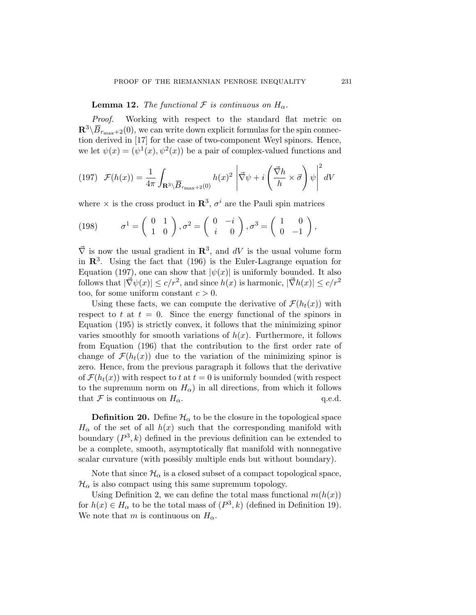**Lemma 12.** *The functional*  $\mathcal F$  *is continuous on*  $H_\alpha$ .

*Proof.* Working with respect to the standard flat metric on  $\mathbb{R}^3 \backslash \overline{B}_{r_{\text{max}}+2}(0)$ , we can write down explicit formulas for the spin connection derived in [\[17](#page-88-0)] for the case of two-component Weyl spinors. Hence, we let  $\psi(x)=(\psi^1(x), \psi^2(x))$  be a pair of complex-valued functions and

(197) 
$$
\mathcal{F}(h(x)) = \frac{1}{4\pi} \int_{\mathbf{R}^3 \setminus \overline{B}_{r_{\text{max}}+2}(0)} h(x)^2 \left| \vec{\nabla} \psi + i \left( \frac{\vec{\nabla} h}{h} \times \vec{\sigma} \right) \psi \right|^2 dV
$$

where  $\times$  is the cross product in  $\mathbb{R}^3$ ,  $\sigma^i$  are the Pauli spin matrices

(198) 
$$
\sigma^1 = \begin{pmatrix} 0 & 1 \\ 1 & 0 \end{pmatrix}, \sigma^2 = \begin{pmatrix} 0 & -i \\ i & 0 \end{pmatrix}, \sigma^3 = \begin{pmatrix} 1 & 0 \\ 0 & -1 \end{pmatrix},
$$

 $\vec{\nabla}$  is now the usual gradient in  $\mathbb{R}^3$ , and  $dV$  is the usual volume form in  $\mathbb{R}^3$ . Using the fact that ([196](#page-53-0)) is the Euler-Lagrange equation for Equation (197), one can show that  $|\psi(x)|$  is uniformly bounded. It also follows that  $|\vec{\nabla}\psi(x)| \leq c/r^2$ , and since  $h(x)$  is harmonic,  $|\vec{\nabla}h(x)| \leq c/r^2$ too, for some uniform constant  $c > 0$ .

Using these facts, we can compute the derivative of  $\mathcal{F}(h_t(x))$  with respect to t at  $t = 0$ . Since the energy functional of the spinors in Equation [\(195\)](#page-53-0) is strictly convex, it follows that the minimizing spinor varies smoothly for smooth variations of  $h(x)$ . Furthermore, it follows from Equation [\(196\)](#page-53-0) that the contribution to the first order rate of change of  $\mathcal{F}(h_t(x))$  due to the variation of the minimizing spinor is zero. Hence, from the previous paragraph it follows that the derivative of  $\mathcal{F}(h_t(x))$  with respect to t at  $t = 0$  is uniformly bounded (with respect to the supremum norm on  $H_{\alpha}$ ) in all directions, from which it follows that F is continuous on  $H_{\alpha}$ . q.e.d.

**Definition 20.** Define  $\mathcal{H}_{\alpha}$  to be the closure in the topological space  $H_{\alpha}$  of the set of all  $h(x)$  such that the corresponding manifold with boundary  $(P^3, k)$  defined in the previous definition can be extended to be a complete, smooth, asymptotically flat manifold with nonnegative scalar curvature (with possibly multiple ends but without boundary).

Note that since  $\mathcal{H}_{\alpha}$  is a closed subset of a compact topological space,  $\mathcal{H}_{\alpha}$  is also compact using this same supremum topology.

Using Definition [2](#page-7-0), we can define the total mass functional  $m(h(x))$ for  $h(x) \in H_\alpha$  to be the total mass of  $(P^3, k)$  (defined in Definition [19](#page-53-0)). We note that m is continuous on  $H_{\alpha}$ .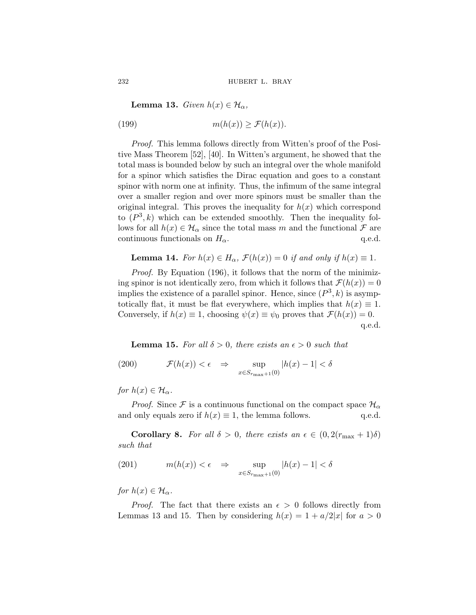**Lemma 13.** *Given*  $h(x) \in \mathcal{H}_{\alpha}$ ,

(199) 
$$
m(h(x)) \ge \mathcal{F}(h(x)).
$$

*Proof.* This lemma follows directly from Witten's proof of the Positive Mass Theorem [[52\]](#page-90-0), [\[40\]](#page-89-0). In Witten's argument, he showed that the total mass is bounded below by such an integral over the whole manifold for a spinor which satisfies the Dirac equation and goes to a constant spinor with norm one at infinity. Thus, the infimum of the same integral over a smaller region and over more spinors must be smaller than the original integral. This proves the inequality for  $h(x)$  which correspond to  $(P^3, k)$  which can be extended smoothly. Then the inequality follows for all  $h(x) \in \mathcal{H}_{\alpha}$  since the total mass m and the functional  $\mathcal F$  are continuous functionals on  $H_{\alpha}$ . q.e.d.

**Lemma 14.** *For*  $h(x) \in H_\alpha$ ,  $\mathcal{F}(h(x)) = 0$  *if and only if*  $h(x) \equiv 1$ *.* 

*Proof.* By Equation [\(196\)](#page-53-0), it follows that the norm of the minimizing spinor is not identically zero, from which it follows that  $\mathcal{F}(h(x)) = 0$ implies the existence of a parallel spinor. Hence, since  $(P^3, k)$  is asymptotically flat, it must be flat everywhere, which implies that  $h(x) \equiv 1$ . Conversely, if  $h(x) \equiv 1$ , choosing  $\psi(x) \equiv \psi_0$  proves that  $\mathcal{F}(h(x)) = 0$ . q.e.d.

**Lemma 15.** For all  $\delta > 0$ , there exists an  $\epsilon > 0$  such that

(200) 
$$
\mathcal{F}(h(x)) < \epsilon \Rightarrow \sup_{x \in S_{r_{\text{max}}+1}(0)} |h(x) - 1| < \delta
$$

*for*  $h(x) \in \mathcal{H}_\alpha$ .

*Proof.* Since F is a continuous functional on the compact space  $\mathcal{H}_{\alpha}$ and only equals zero if  $h(x) \equiv 1$ , the lemma follows. q.e.d.

**Corollary 8.** *For all*  $\delta > 0$ *, there exists an*  $\epsilon \in (0, 2(r_{\text{max}} + 1)\delta)$ *such that*

(201) 
$$
m(h(x)) < \epsilon \Rightarrow \sup_{x \in S_{r_{\max}+1}(0)} |h(x) - 1| < \delta
$$

*for*  $h(x) \in \mathcal{H}_\alpha$ .

*Proof.* The fact that there exists an  $\epsilon > 0$  follows directly from Lemmas 13 and 15. Then by considering  $h(x) = 1 + a/2|x|$  for  $a > 0$ 

<span id="page-55-0"></span>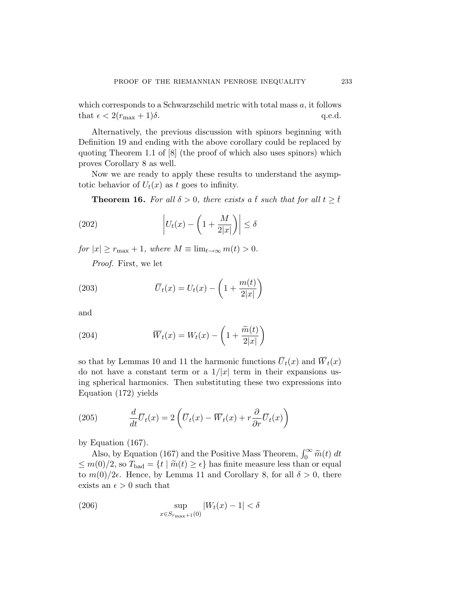<span id="page-56-0"></span>which corresponds to a Schwarzschild metric with total mass  $a$ , it follows that  $\epsilon < 2(r_{\text{max}} + 1)\delta$ . q.e.d.

Alternatively, the previous discussion with spinors beginning with Definition [19](#page-53-0) and ending with the above corollary could be replaced by quoting Theorem 1.1 of [\[8\]](#page-87-0) (the proof of which also uses spinors) which proves Corollary [8](#page-55-0) as well.

Now we are ready to apply these results to understand the asymptotic behavior of  $U_t(x)$  as t goes to infinity.

**Theorem 16.** For all  $\delta > 0$ , there exists a t such that for all  $t \geq \overline{t}$ 

(202) 
$$
\left| U_t(x) - \left( 1 + \frac{M}{2|x|} \right) \right| \le \delta
$$

*for*  $|x| \geq r_{\text{max}} + 1$ *, where*  $M \equiv \lim_{t \to \infty} m(t) > 0$ *.* 

*Proof.* First, we let

(203) 
$$
\overline{U}_t(x) = U_t(x) - \left(1 + \frac{m(t)}{2|x|}\right)
$$

and

(204) 
$$
\overline{W}_t(x) = W_t(x) - \left(1 + \frac{\widetilde{m}(t)}{2|x|}\right)
$$

so that by Lemmas [10](#page-47-0) and [11](#page-48-0) the harmonic functions  $\overline{U}_t(x)$  and  $\overline{W}_t(x)$ do not have a constant term or a  $1/|x|$  term in their expansions using spherical harmonics. Then substituting these two expressions into Equation [\(172\)](#page-49-0) yields

(205) 
$$
\frac{d}{dt}\overline{U}_t(x) = 2\left(\overline{U}_t(x) - \overline{W}_t(x) + r\frac{\partial}{\partial r}\overline{U}_t(x)\right)
$$

by Equation [\(167\)](#page-48-0).

Also, by Equation ([167\)](#page-48-0) and the Positive Mass Theorem,  $\int_0^\infty \tilde{m}(t) dt$  $\leq m(0)/2$ , so  $T_{bad} = \{t \mid \widetilde{m}(t) \geq \epsilon\}$  has finite measure less than or equal to  $m(0)/2\epsilon$ . Hence, by Lemma [11](#page-48-0) and Corollary [8,](#page-55-0) for all  $\delta > 0$ , there exists an  $\epsilon > 0$  such that

$$
\sup_{x \in S_{r_{\text{max}}+1}(0)} |W_t(x) - 1| < \delta
$$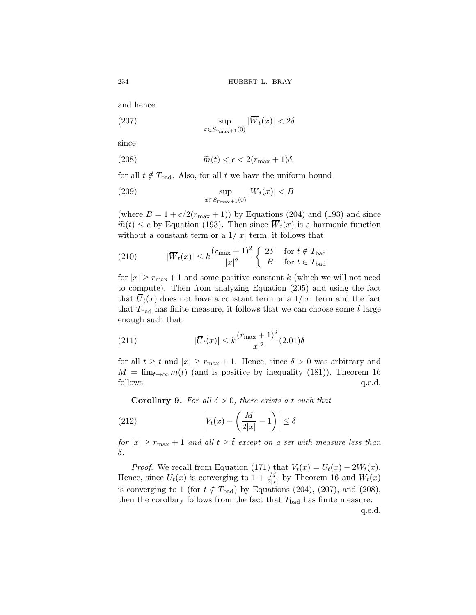and hence

(207) 
$$
\sup_{x \in S_{r_{\max}+1}(0)} |\overline{W}_t(x)| < 2\delta
$$

since

(208) 
$$
\widetilde{m}(t) < \epsilon < 2(r_{\text{max}} + 1)\delta,
$$

for all  $t \notin T_{bad}$ . Also, for all t we have the uniform bound

(209) 
$$
\sup_{x \in S_{r_{\max}+1}(0)} |\overline{W}_t(x)| < B
$$

(where  $B = 1 + c/2(r_{\text{max}} + 1)$ ) by Equations [\(204](#page-56-0)) and ([193](#page-53-0)) and since  $\widetilde{m}(t) \leq c$  by Equation [\(193\)](#page-53-0). Then since  $\overline{W}_t(x)$  is a harmonic function without a constant term or a  $1/|x|$  term, it follows that

(210) 
$$
|\overline{W}_t(x)| \le k \frac{(r_{\text{max}} + 1)^2}{|x|^2} \begin{cases} 2\delta & \text{for } t \notin T_{\text{bad}} \\ B & \text{for } t \in T_{\text{bad}} \end{cases}
$$

for  $|x| \ge r_{\text{max}} + 1$  and some positive constant k (which we will not need to compute). Then from analyzing Equation [\(205](#page-56-0)) and using the fact that  $\overline{U}_t(x)$  does not have a constant term or a  $1/|x|$  term and the fact that  $T_{bad}$  has finite measure, it follows that we can choose some t large enough such that

(211) 
$$
|\overline{U}_t(x)| \le k \frac{(r_{\text{max}} + 1)^2}{|x|^2} (2.01) \delta
$$

for all  $t \geq \overline{t}$  and  $|x| \geq r_{\text{max}} + 1$ . Hence, since  $\delta > 0$  was arbitrary and  $M = \lim_{t \to \infty} m(t)$  (and is positive by inequality ([181](#page-51-0))), Theorem [16](#page-56-0) follows. q.e.d. follows.  $q.e.d.$ 

**Corollary 9.** For all  $\delta > 0$ , there exists a t such that

(212) 
$$
\left| V_t(x) - \left( \frac{M}{2|x|} - 1 \right) \right| \le \delta
$$

*for*  $|x| \ge r_{\text{max}} + 1$  *and all*  $t \ge \bar{t}$  *except on a set with measure less than* δ*.*

*Proof.* We recall from Equation [\(171\)](#page-49-0) that  $V_t(x) = U_t(x) - 2W_t(x)$ . Hence, since  $U_t(x)$  is converging to  $1 + \frac{M}{2|x|}$  by Theorem [16](#page-56-0) and  $W_t(x)$ is converging to 1 (for  $t \notin T_{bad}$ ) by Equations ([204](#page-56-0)), (207), and (208), then the corollary follows from the fact that  $T_{bad}$  has finite measure.

q.e.d.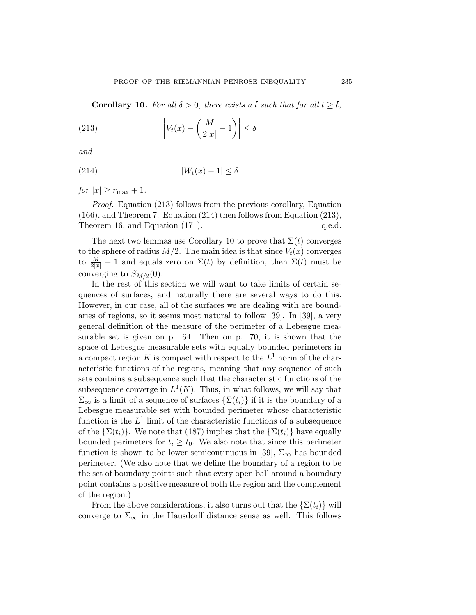<span id="page-58-0"></span>**Corollary 10.** For all  $\delta > 0$ , there exists a t such that for all  $t \geq \overline{t}$ ,

(213) 
$$
\left| V_t(x) - \left( \frac{M}{2|x|} - 1 \right) \right| \le \delta
$$

*and*

$$
(214) \t\t |W_t(x) - 1| \le \delta
$$

*for*  $|x| \geq r_{\text{max}} + 1$ *.* 

*Proof.* Equation (213) follows from the previous corollary, Equation [\(166](#page-47-0)), and Theorem [7.](#page-19-0) Equation (214) then follows from Equation (213), Theorem [16,](#page-56-0) and Equation [\(171](#page-49-0)). q.e.d.

The next two lemmas use Corollary 10 to prove that  $\Sigma(t)$  converges to the sphere of radius  $M/2$ . The main idea is that since  $V_t(x)$  converges to  $\frac{M}{2|x|} - 1$  and equals zero on  $\Sigma(t)$  by definition, then  $\Sigma(t)$  must be converging to  $S_{M/2}(0)$ .

In the rest of this section we will want to take limits of certain sequences of surfaces, and naturally there are several ways to do this. However, in our case, all of the surfaces we are dealing with are boundaries of regions, so it seems most natural to follow [\[39](#page-89-0)]. In [[39\]](#page-89-0), a very general definition of the measure of the perimeter of a Lebesgue measurable set is given on p. 64. Then on p. 70, it is shown that the space of Lebesgue measurable sets with equally bounded perimeters in a compact region K is compact with respect to the  $L^1$  norm of the characteristic functions of the regions, meaning that any sequence of such sets contains a subsequence such that the characteristic functions of the subsequence converge in  $L^1(K)$ . Thus, in what follows, we will say that  $\Sigma_{\infty}$  is a limit of a sequence of surfaces  $\{\Sigma(t_i)\}\$ if it is the boundary of a Lebesgue measurable set with bounded perimeter whose characteristic function is the  $L^1$  limit of the characteristic functions of a subsequence of the  $\{\Sigma(t_i)\}\)$ . We note that [\(187](#page-52-0)) implies that the  $\{\Sigma(t_i)\}\)$  have equally bounded perimeters for  $t_i \geq t_0$ . We also note that since this perimeter function is shown to be lower semicontinuous in [\[39](#page-89-0)],  $\Sigma_{\infty}$  has bounded perimeter. (We also note that we define the boundary of a region to be the set of boundary points such that every open ball around a boundary point contains a positive measure of both the region and the complement of the region.)

From the above considerations, it also turns out that the  $\{\Sigma(t_i)\}\$  will converge to  $\Sigma_{\infty}$  in the Hausdorff distance sense as well. This follows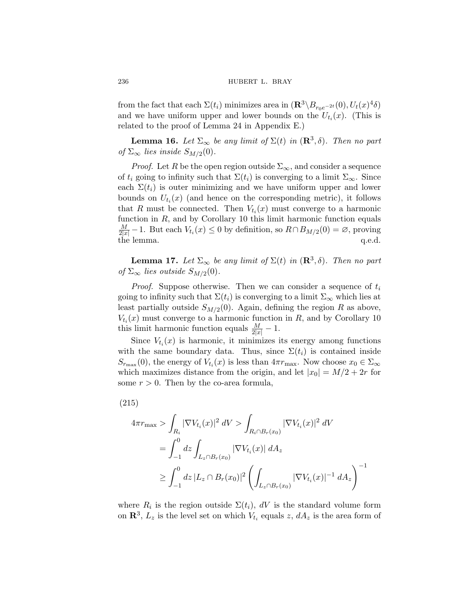from the fact that each  $\Sigma(t_i)$  minimizes area in  $(\mathbb{R}^3 \setminus B_{r_0e^{-2t}}(0), U_t(x)^4\delta)$ and we have uniform upper and lower bounds on the  $U_{t_i}(x)$ . (This is related to the proof of Lemma [24](#page-78-0) in Appendix [E.](#page-76-0))

**Lemma 16.** *Let*  $\Sigma_{\infty}$  *be any limit of*  $\Sigma(t)$  *in*  $(\mathbb{R}^3, \delta)$ *. Then no part of*  $\Sigma_{\infty}$  *lies inside*  $S_{M/2}(0)$ *.* 

*Proof.* Let R be the open region outside  $\Sigma_{\infty}$ , and consider a sequence of  $t_i$  going to infinity such that  $\Sigma(t_i)$  is converging to a limit  $\Sigma_{\infty}$ . Since each  $\Sigma(t_i)$  is outer minimizing and we have uniform upper and lower bounds on  $U_{t_i}(x)$  (and hence on the corresponding metric), it follows that R must be connected. Then  $V_{t_i}(x)$  must converge to a harmonic function in  $R$ , and by Corollary [10](#page-58-0) this limit harmonic function equals  $\frac{M}{2|x|} - 1$ . But each  $V_{t_i}(x) \leq 0$  by definition, so  $R \cap B_{M/2}(0) = \emptyset$ , proving the lemma.  $q.e.d.$ 

**Lemma 17.** *Let*  $\Sigma_{\infty}$  *be any limit of*  $\Sigma(t)$  *in*  $(\mathbb{R}^3, \delta)$ *. Then no part of*  $\Sigma_{\infty}$  *lies outside*  $S_{M/2}(0)$ *.* 

*Proof.* Suppose otherwise. Then we can consider a sequence of  $t_i$ going to infinity such that  $\Sigma(t_i)$  is converging to a limit  $\Sigma_{\infty}$  which lies at least partially outside  $S_{M/2}(0)$ . Again, defining the region R as above,  $V_{t_i}(x)$  must converge to a harmonic function in R, and by Corollary [10](#page-58-0) this limit harmonic function equals  $\frac{M}{2|x|} - 1$ .

Since  $V_{t_i}(x)$  is harmonic, it minimizes its energy among functions with the same boundary data. Thus, since  $\Sigma(t_i)$  is contained inside  $S_{r_{\text{max}}}(0)$ , the energy of  $V_{t_i}(x)$  is less than  $4\pi r_{\text{max}}$ . Now choose  $x_0 \in \Sigma_{\infty}$ which maximizes distance from the origin, and let  $|x_0| = M/2 + 2r$  for some  $r > 0$ . Then by the co-area formula,

$$
(215)
$$

$$
4\pi r_{\max} > \int_{R_i} |\nabla V_{t_i}(x)|^2 \, dV > \int_{R_i \cap B_r(x_0)} |\nabla V_{t_i}(x)|^2 \, dV
$$
  
= 
$$
\int_{-1}^0 dz \int_{L_z \cap B_r(x_0)} |\nabla V_{t_i}(x)| \, dA_z
$$
  

$$
\geq \int_{-1}^0 dz \, |L_z \cap B_r(x_0)|^2 \left( \int_{L_z \cap B_r(x_0)} |\nabla V_{t_i}(x)|^{-1} \, dA_z \right)^{-1}
$$

where  $R_i$  is the region outside  $\Sigma(t_i)$ , dV is the standard volume form on  $\mathbb{R}^3$ ,  $L_z$  is the level set on which  $V_{t_i}$  equals z,  $dA_z$  is the area form of

<span id="page-59-0"></span>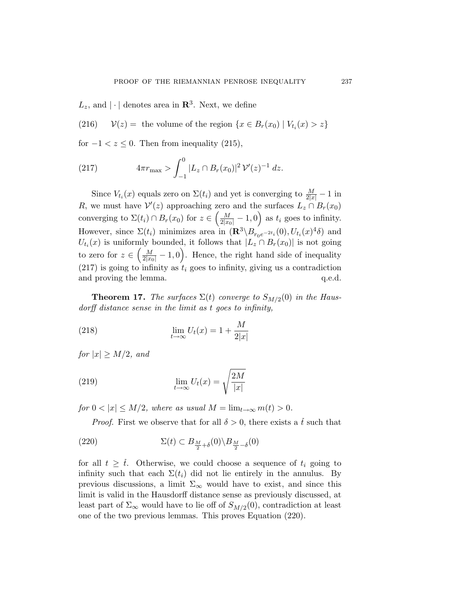<span id="page-60-0"></span> $L_z$ , and  $|\cdot|$  denotes area in  $\mathbb{R}^3$ . Next, we define

(216)  $\mathcal{V}(z) =$  the volume of the region  $\{x \in B_r(x_0) \mid V_{t_i}(x) > z\}$ 

for  $-1 < z \leq 0$ . Then from inequality ([215](#page-59-0)),

(217) 
$$
4\pi r_{\max} > \int_{-1}^{0} |L_z \cap B_r(x_0)|^2 \, \mathcal{V}'(z)^{-1} \, dz.
$$

Since  $V_{t_i}(x)$  equals zero on  $\Sigma(t_i)$  and yet is converging to  $\frac{M}{2|x|} - 1$  in R, we must have  $\mathcal{V}'(z)$  approaching zero and the surfaces  $L_z \cap B_r(x_0)$ converging to  $\Sigma(t_i) \cap B_r(x_0)$  for  $z \in \left(\frac{M}{2|x_0|} - 1, 0\right)$  as  $t_i$  goes to infinity. However, since  $\Sigma(t_i)$  minimizes area in  $(\mathbf{R}^3 \setminus B_{r_0e^{-2t_i}}^{\bullet}(0), U_{t_i}(x)^4\delta)$  and  $U_{t_i}(x)$  is uniformly bounded, it follows that  $|L_z \cap B_r(x_0)|$  is not going to zero for  $z \in \left(\frac{M}{2|x_0|} - 1, 0\right)$ . Hence, the right hand side of inequality  $(217)$  is going to infinity as  $t_i$  goes to infinity, giving us a contradiction and proving the lemma.  $q.e.d.$ 

**Theorem 17.** *The surfaces*  $\Sigma(t)$  *converge to*  $S_{M/2}(0)$  *in the Hausdorff distance sense in the limit as* t *goes to infinity,*

(218) 
$$
\lim_{t \to \infty} U_t(x) = 1 + \frac{M}{2|x|}
$$

*for*  $|x| > M/2$ *, and* 

(219) 
$$
\lim_{t \to \infty} U_t(x) = \sqrt{\frac{2M}{|x|}}
$$

*for*  $0 < |x| \le M/2$ *, where as usual*  $M = \lim_{t \to \infty} m(t) > 0$ *.* 

*Proof.* First we observe that for all  $\delta > 0$ , there exists a t such that

(220) 
$$
\Sigma(t) \subset B_{\frac{M}{2} + \delta}(0) \setminus B_{\frac{M}{2} - \delta}(0)
$$

for all  $t \geq \overline{t}$ . Otherwise, we could choose a sequence of  $t_i$  going to infinity such that each  $\Sigma(t_i)$  did not lie entirely in the annulus. By previous discussions, a limit  $\Sigma_{\infty}$  would have to exist, and since this limit is valid in the Hausdorff distance sense as previously discussed, at least part of  $\Sigma_{\infty}$  would have to lie off of  $S_{M/2}(0)$ , contradiction at least one of the two previous lemmas. This proves Equation (220).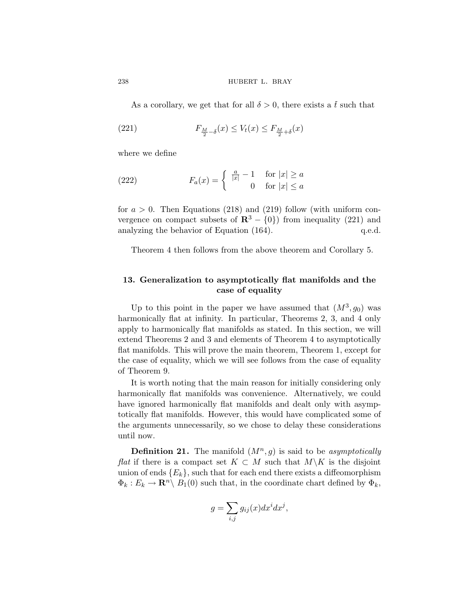As a corollary, we get that for all  $\delta > 0$ , there exists a  $\bar{t}$  such that

(221) 
$$
F_{\frac{M}{2}-\delta}(x) \leq V_t(x) \leq F_{\frac{M}{2}+\delta}(x)
$$

where we define

(222) 
$$
F_a(x) = \begin{cases} \frac{a}{|x|} - 1 & \text{for } |x| \ge a \\ 0 & \text{for } |x| \le a \end{cases}
$$

for  $a > 0$ . Then Equations [\(218\)](#page-60-0) and [\(219](#page-60-0)) follow (with uniform convergence on compact subsets of  $\mathbb{R}^3 - \{0\}$  from inequality (221) and analyzing the behavior of Equation ([164](#page-46-0)).  $q.e.d.$ 

Theorem [4](#page-11-0) then follows from the above theorem and Corollary [5](#page-45-0).

# **13. Generalization to asymptotically flat manifolds and the case of equality**

Up to this point in the paper we have assumed that  $(M^3, g_0)$  was harmonically flat at infinity. In particular, Theorems [2](#page-10-0), [3](#page-11-0), and [4](#page-11-0) only apply to harmonically flat manifolds as stated. In this section, we will extend Theorems [2](#page-10-0) and [3](#page-11-0) and elements of Theorem [4](#page-11-0) to asymptotically flat manifolds. This will prove the main theorem, Theorem [1](#page-8-0), except for the case of equality, which we will see follows from the case of equality of Theorem [9.](#page-29-0)

It is worth noting that the main reason for initially considering only harmonically flat manifolds was convenience. Alternatively, we could have ignored harmonically flat manifolds and dealt only with asymptotically flat manifolds. However, this would have complicated some of the arguments unnecessarily, so we chose to delay these considerations until now.

**Definition 21.** The manifold  $(M^n, g)$  is said to be *asymptotically flat* if there is a compact set  $K \subset M$  such that  $M\backslash K$  is the disjoint union of ends  $\{E_k\}$ , such that for each end there exists a diffeomorphism  $\Phi_k : E_k \to \mathbf{R}^n \backslash B_1(0)$  such that, in the coordinate chart defined by  $\Phi_k$ ,

$$
g = \sum_{i,j} g_{ij}(x) dx^i dx^j,
$$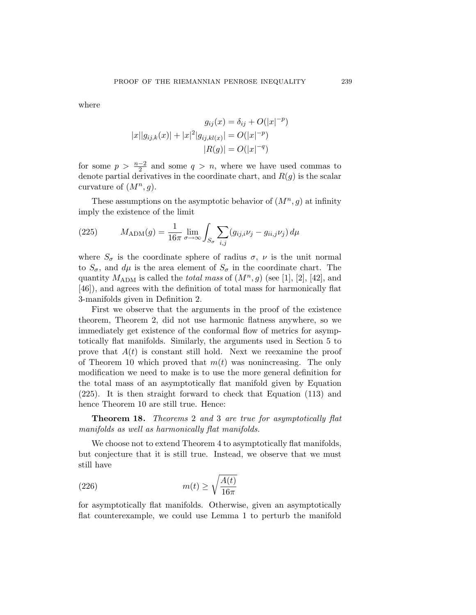<span id="page-62-0"></span>where

$$
g_{ij}(x) = \delta_{ij} + O(|x|^{-p})
$$
  

$$
|x||g_{ij,k}(x)| + |x|^2|g_{ij,kl(x)}| = O(|x|^{-p})
$$
  

$$
|R(g)| = O(|x|^{-q})
$$

for some  $p > \frac{n-2}{2}$  and some  $q > n$ , where we have used commas to denote partial derivatives in the coordinate chart, and  $R(q)$  is the scalar curvature of  $(M^n, g)$ .

These assumptions on the asymptotic behavior of  $(M^n, g)$  at infinity imply the existence of the limit

(225) 
$$
M_{\text{ADM}}(g) = \frac{1}{16\pi} \lim_{\sigma \to \infty} \int_{S_{\sigma}} \sum_{i,j} (g_{ij,i} \nu_j - g_{ii,j} \nu_j) d\mu
$$

where  $S_{\sigma}$  is the coordinate sphere of radius  $\sigma$ ,  $\nu$  is the unit normal to  $S_{\sigma}$ , and  $d\mu$  is the area element of  $S_{\sigma}$  in the coordinate chart. The quantity  $M_{\text{ADM}}$  is called the *total mass* of  $(M^n, g)$  (see [[1](#page-87-0)], [[2](#page-87-0)], [\[42](#page-89-0)], and [[46\]](#page-89-0)), and agrees with the definition of total mass for harmonically flat 3-manifolds given in Definition [2.](#page-7-0)

First we observe that the arguments in the proof of the existence theorem, Theorem [2,](#page-10-0) did not use harmonic flatness anywhere, so we immediately get existence of the conformal flow of metrics for asymptotically flat manifolds. Similarly, the arguments used in Section [5](#page-22-0) to prove that  $A(t)$  is constant still hold. Next we reexamine the proof of Theorem [10](#page-37-0) which proved that  $m(t)$  was nonincreasing. The only modification we need to make is to use the more general definition for the total mass of an asymptotically flat manifold given by Equation (225). It is then straight forward to check that Equation [\(113](#page-36-0)) and hence Theorem [10](#page-37-0) are still true. Hence:

**Theorem 18.** *Theorems* [2](#page-10-0) *and* [3](#page-11-0) *are true for asymptotically flat manifolds as well as harmonically flat manifolds.*

We choose not to extend Theorem [4](#page-11-0) to asymptotically flat manifolds, but conjecture that it is still true. Instead, we observe that we must still have

(226) 
$$
m(t) \ge \sqrt{\frac{A(t)}{16\pi}}
$$

for asymptotically flat manifolds. Otherwise, given an asymptotically flat counterexample, we could use Lemma [1](#page-6-0) to perturb the manifold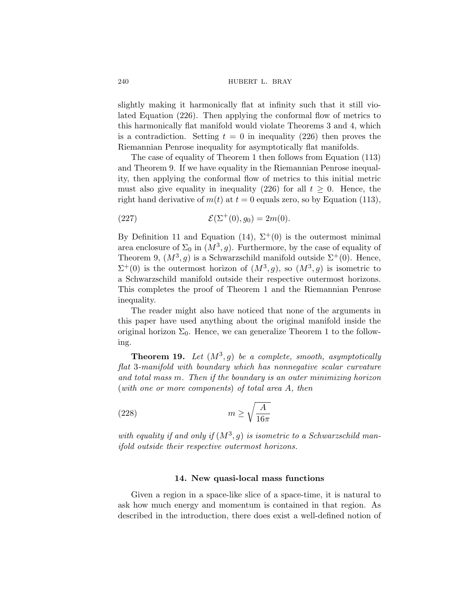slightly making it harmonically flat at infinity such that it still violated Equation [\(226\)](#page-62-0). Then applying the conformal flow of metrics to this harmonically flat manifold would violate Theorems [3](#page-11-0) and [4,](#page-11-0) which is a contradiction. Setting  $t = 0$  in inequality ([226](#page-62-0)) then proves the Riemannian Penrose inequality for asymptotically flat manifolds.

The case of equality of Theorem [1](#page-8-0) then follows from Equation [\(113\)](#page-36-0) and Theorem [9](#page-29-0). If we have equality in the Riemannian Penrose inequality, then applying the conformal flow of metrics to this initial metric must also give equality in inequality [\(226\)](#page-62-0) for all  $t \geq 0$ . Hence, the right hand derivative of  $m(t)$  at  $t = 0$  equals zero, so by Equation [\(113\)](#page-36-0),

(227) 
$$
\mathcal{E}(\Sigma^+(0),g_0) = 2m(0).
$$

By Definition [11](#page-19-0) and Equation [\(14\)](#page-9-0),  $\Sigma^+(0)$  is the outermost minimal area enclosure of  $\Sigma_0$  in  $(M^3, g)$ . Furthermore, by the case of equality of Theorem [9](#page-29-0),  $(M^3, g)$  is a Schwarzschild manifold outside  $\Sigma^+(0)$ . Hence,  $\Sigma^+(0)$  is the outermost horizon of  $(M^3, g)$ , so  $(M^3, g)$  is isometric to a Schwarzschild manifold outside their respective outermost horizons. This completes the proof of Theorem [1](#page-8-0) and the Riemannian Penrose inequality.

The reader might also have noticed that none of the arguments in this paper have used anything about the original manifold inside the original horizon  $\Sigma_0$ . Hence, we can generalize Theorem [1](#page-8-0) to the following.

**Theorem 19.** Let  $(M^3, g)$  be a complete, smooth, asymptotically *flat* 3*-manifold with boundary which has nonnegative scalar curvature and total mass* m*. Then if the boundary is an outer minimizing horizon* (*with one or more components*) *of total area* A*, then*

$$
(228)\qquad \qquad m \ge \sqrt{\frac{A}{16\pi}}
$$

with equality if and only if  $(M^3, g)$  is isometric to a Schwarzschild man*ifold outside their respective outermost horizons.*

## **14. New quasi-local mass functions**

Given a region in a space-like slice of a space-time, it is natural to ask how much energy and momentum is contained in that region. As described in the introduction, there does exist a well-defined notion of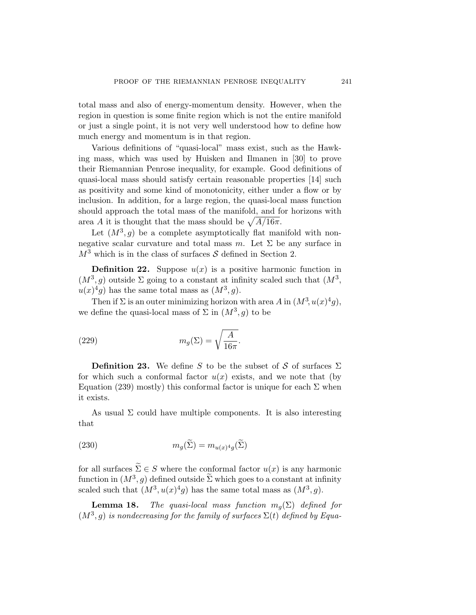<span id="page-64-0"></span>total mass and also of energy-momentum density. However, when the region in question is some finite region which is not the entire manifold or just a single point, it is not very well understood how to define how much energy and momentum is in that region.

Various definitions of "quasi-local" mass exist, such as the Hawking mass, which was used by Huisken and Ilmanen in [\[30](#page-88-0)] to prove their Riemannian Penrose inequality, for example. Good definitions of quasi-local mass should satisfy certain reasonable properties [[14\]](#page-88-0) such as positivity and some kind of monotonicity, either under a flow or by inclusion. In addition, for a large region, the quasi-local mass function should approach the total mass of the manifold, and for horizons with area A it is thought that the mass should be  $\sqrt{A/16\pi}$ .

Let  $(M^3, g)$  be a complete asymptotically flat manifold with nonnegative scalar curvature and total mass m. Let  $\Sigma$  be any surface in  $M^3$  which is in the class of surfaces S defined in Section [2.](#page-6-0)

**Definition 22.** Suppose  $u(x)$  is a positive harmonic function in  $(M^3, g)$  outside  $\Sigma$  going to a constant at infinity scaled such that  $(M^3, g)$  $u(x)^4q$  has the same total mass as  $(M^3, q)$ .

Then if  $\Sigma$  is an outer minimizing horizon with area A in  $(M^3, u(x)^4g)$ , we define the quasi-local mass of  $\Sigma$  in  $(M^3, g)$  to be

(229) 
$$
m_g(\Sigma) = \sqrt{\frac{A}{16\pi}}.
$$

**Definition 23.** We define S to be the subset of S of surfaces  $\Sigma$ for which such a conformal factor  $u(x)$  exists, and we note that (by Equation ([239](#page-68-0)) mostly) this conformal factor is unique for each  $\Sigma$  when it exists.

As usual  $\Sigma$  could have multiple components. It is also interesting that

(230) 
$$
m_g(\Sigma) = m_{u(x)^4 g}(\Sigma)
$$

for all surfaces  $\tilde{\Sigma} \in S$  where the conformal factor  $u(x)$  is any harmonic function in  $(M^3, q)$  defined outside  $\widetilde{\Sigma}$  which goes to a constant at infinity scaled such that  $(M^3, u(x)^4g)$  has the same total mass as  $(M^3, g)$ .

**Lemma 18.** *The quasi-local mass function*  $m_q(\Sigma)$  *defined for*  $(M^3, g)$  *is nondecreasing for the family of surfaces*  $\Sigma(t)$  *defined by Equa-*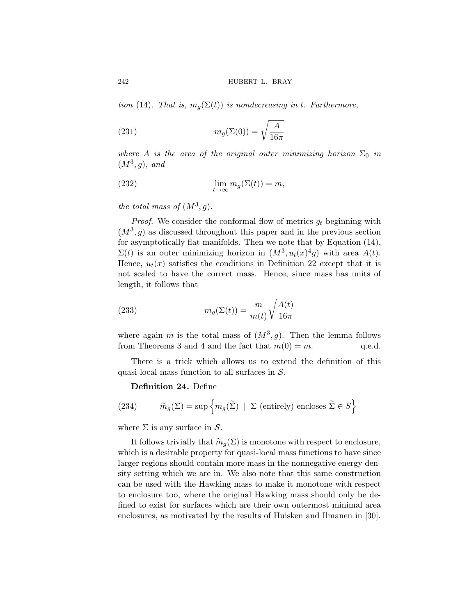242 **hubert L. BRAY** 

*tion* [\(14](#page-9-0)). That is,  $m_q(\Sigma(t))$  *is nondecreasing in t. Furthermore,* 

(231) 
$$
m_g(\Sigma(0)) = \sqrt{\frac{A}{16\pi}}
$$

*where* A *is the area of the original outer minimizing horizon*  $\Sigma_0$  *in*  $(M^3, g)$ *, and* 

(232) 
$$
\lim_{t \to \infty} m_g(\Sigma(t)) = m,
$$

*the total mass of*  $(M^3, g)$ *.* 

*Proof.* We consider the conformal flow of metrics  $g_t$  beginning with  $(M^3, g)$  as discussed throughout this paper and in the previous section for asymptotically flat manifolds. Then we note that by Equation ([14\)](#page-9-0),  $\Sigma(t)$  is an outer minimizing horizon in  $(M^3, u_t(x)^4 g)$  with area  $A(t)$ . Hence,  $u_t(x)$  satisfies the conditions in Definition [22](#page-64-0) except that it is not scaled to have the correct mass. Hence, since mass has units of length, it follows that

(233) 
$$
m_g(\Sigma(t)) = \frac{m}{m(t)} \sqrt{\frac{A(t)}{16\pi}}
$$

where again m is the total mass of  $(M^3, g)$ . Then the lemma follows from Theorems [3](#page-11-0) and [4](#page-11-0) and the fact that  $m(0) = m$ . q.e.d.

There is a trick which allows us to extend the definition of this quasi-local mass function to all surfaces in  $S$ .

**Definition 24.** Define

(234) 
$$
\widetilde{m}_g(\Sigma) = \sup \left\{ m_g(\widetilde{\Sigma}) \mid \Sigma \text{ (entirely) encloses } \widetilde{\Sigma} \in S \right\}
$$

where  $\Sigma$  is any surface in  $\mathcal{S}$ .

It follows trivially that  $\widetilde{m}_q(\Sigma)$  is monotone with respect to enclosure, which is a desirable property for quasi-local mass functions to have since larger regions should contain more mass in the nonnegative energy density setting which we are in. We also note that this same construction can be used with the Hawking mass to make it monotone with respect to enclosure too, where the original Hawking mass should only be defined to exist for surfaces which are their own outermost minimal area enclosures, as motivated by the results of Huisken and Ilmanen in [[30\]](#page-88-0).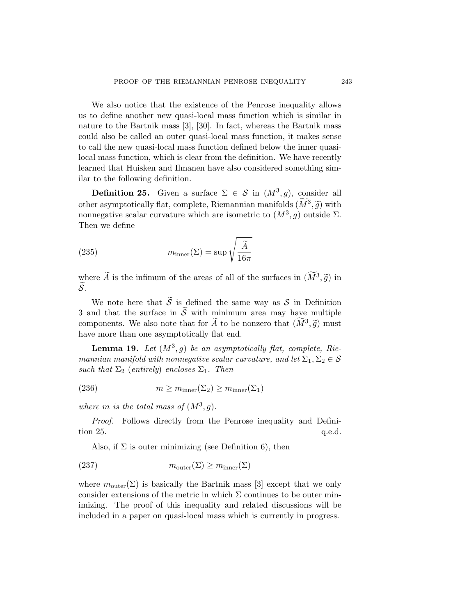We also notice that the existence of the Penrose inequality allows us to define another new quasi-local mass function which is similar in nature to the Bartnik mass [[3](#page-87-0)], [[30\]](#page-88-0). In fact, whereas the Bartnik mass could also be called an outer quasi-local mass function, it makes sense to call the new quasi-local mass function defined below the inner quasilocal mass function, which is clear from the definition. We have recently learned that Huisken and Ilmanen have also considered something similar to the following definition.

**Definition 25.** Given a surface  $\Sigma \in \mathcal{S}$  in  $(M^3, g)$ , consider all other asymptotically flat, complete, Riemannian manifolds  $(\tilde{M}^3, \tilde{g})$  with nonnegative scalar curvature which are isometric to  $(M^3, g)$  outside  $\Sigma$ . Then we define

(235) 
$$
m_{\text{inner}}(\Sigma) = \sup \sqrt{\frac{\widetilde{A}}{16\pi}}
$$

where  $\widetilde{A}$  is the infimum of the areas of all of the surfaces in  $(\widetilde{M}^3, \widetilde{g})$  in  $\widetilde{\mathcal{S}}$ .

We note here that  $\widetilde{S}$  is defined the same way as  $S$  in Definition [3](#page-7-0) and that the surface in  $\widetilde{\mathcal{S}}$  with minimum area may have multiple components. We also note that for  $\widetilde{A}$  to be nonzero that  $(\widetilde{M}^3, \widetilde{g})$  must have more than one asymptotically flat end.

**Lemma 19.** Let  $(M^3, g)$  be an asymptotically flat, complete, Rie*mannian manifold with nonnegative scalar curvature, and let*  $\Sigma_1, \Sigma_2 \in \mathcal{S}$ *such that*  $\Sigma_2$  (*entirely*) *encloses*  $\Sigma_1$ *. Then* 

(236) 
$$
m \geq m_{\text{inner}}(\Sigma_2) \geq m_{\text{inner}}(\Sigma_1)
$$

*where m is the total mass of*  $(M^3, g)$ *.* 

*Proof.* Follows directly from the Penrose inequality and Definition 25. q.e.d.

Also, if  $\Sigma$  is outer minimizing (see Definition [6\)](#page-8-0), then

(237) 
$$
m_{\text{outer}}(\Sigma) \ge m_{\text{inner}}(\Sigma)
$$

where  $m_{\text{outer}}(\Sigma)$  is basically the Bartnik mass [\[3\]](#page-87-0) except that we only consider extensions of the metric in which  $\Sigma$  continues to be outer minimizing. The proof of this inequality and related discussions will be included in a paper on quasi-local mass which is currently in progress.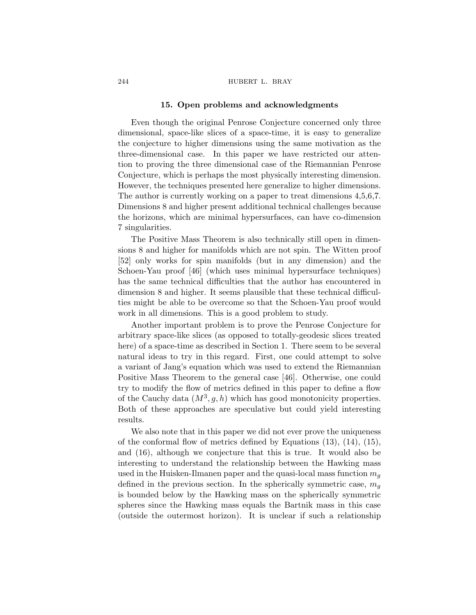#### 244 **hubert L. BRAY**

### **15. Open problems and acknowledgments**

Even though the original Penrose Conjecture concerned only three dimensional, space-like slices of a space-time, it is easy to generalize the conjecture to higher dimensions using the same motivation as the three-dimensional case. In this paper we have restricted our attention to proving the three dimensional case of the Riemannian Penrose Conjecture, which is perhaps the most physically interesting dimension. However, the techniques presented here generalize to higher dimensions. The author is currently working on a paper to treat dimensions 4,5,6,7. Dimensions 8 and higher present additional technical challenges because the horizons, which are minimal hypersurfaces, can have co-dimension 7 singularities.

The Positive Mass Theorem is also technically still open in dimensions 8 and higher for manifolds which are not spin. The Witten proof [[52\]](#page-90-0) only works for spin manifolds (but in any dimension) and the Schoen-Yau proof [[46\]](#page-89-0) (which uses minimal hypersurface techniques) has the same technical difficulties that the author has encountered in dimension 8 and higher. It seems plausible that these technical difficulties might be able to be overcome so that the Schoen-Yau proof would work in all dimensions. This is a good problem to study.

Another important problem is to prove the Penrose Conjecture for arbitrary space-like slices (as opposed to totally-geodesic slices treated here) of a space-time as described in Section [1.](#page-1-0) There seem to be several natural ideas to try in this regard. First, one could attempt to solve a variant of Jang's equation which was used to extend the Riemannian Positive Mass Theorem to the general case [[46\]](#page-89-0). Otherwise, one could try to modify the flow of metrics defined in this paper to define a flow of the Cauchy data  $(M^3, g, h)$  which has good monotonicity properties. Both of these approaches are speculative but could yield interesting results.

We also note that in this paper we did not ever prove the uniqueness of the conformal flow of metrics defined by Equations  $(13)$  $(13)$ ,  $(14)$  $(14)$ ,  $(15)$  $(15)$ , and [\(16](#page-10-0)), although we conjecture that this is true. It would also be interesting to understand the relationship between the Hawking mass used in the Huisken-Ilmanen paper and the quasi-local mass function  $m_q$ defined in the previous section. In the spherically symmetric case,  $m_q$ is bounded below by the Hawking mass on the spherically symmetric spheres since the Hawking mass equals the Bartnik mass in this case (outside the outermost horizon). It is unclear if such a relationship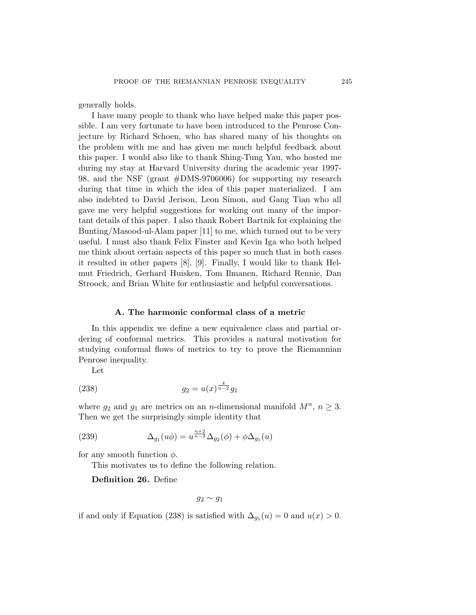<span id="page-68-0"></span>generally holds.

I have many people to thank who have helped make this paper possible. I am very fortunate to have been introduced to the Penrose Conjecture by Richard Schoen, who has shared many of his thoughts on the problem with me and has given me much helpful feedback about this paper. I would also like to thank Shing-Tung Yau, who hosted me during my stay at Harvard University during the academic year 1997- 98, and the NSF (grant #DMS-9706006) for supporting my research during that time in which the idea of this paper materialized. I am also indebted to David Jerison, Leon Simon, and Gang Tian who all gave me very helpful suggestions for working out many of the important details of this paper. I also thank Robert Bartnik for explaining the Bunting/Masood-ul-Alam paper [[11\]](#page-87-0) to me, which turned out to be very useful. I must also thank Felix Finster and Kevin Iga who both helped me think about certain aspects of this paper so much that in both cases it resulted in other papers [\[8\]](#page-87-0), [\[9\]](#page-87-0). Finally, I would like to thank Helmut Friedrich, Gerhard Huisken, Tom Ilmanen, Richard Rennie, Dan Stroock, and Brian White for enthusiastic and helpful conversations.

### **A. The harmonic conformal class of a metric**

In this appendix we define a new equivalence class and partial ordering of conformal metrics. This provides a natural motivation for studying conformal flows of metrics to try to prove the Riemannian Penrose inequality.

Let

(238) 
$$
g_2 = u(x)^{\frac{4}{n-2}}g_1
$$

where  $g_2$  and  $g_1$  are metrics on an *n*-dimensional manifold  $M^n$ ,  $n \geq 3$ . Then we get the surprisingly simple identity that

(239) 
$$
\Delta_{g_1}(u\phi) = u^{\frac{n+2}{n-2}} \Delta_{g_2}(\phi) + \phi \Delta_{g_1}(u)
$$

for any smooth function  $\phi$ .

This motivates us to define the following relation.

**Definition 26.** Define

 $g_2 \sim g_1$ 

if and only if Equation (238) is satisfied with  $\Delta_{g_1}(u) = 0$  and  $u(x) > 0$ .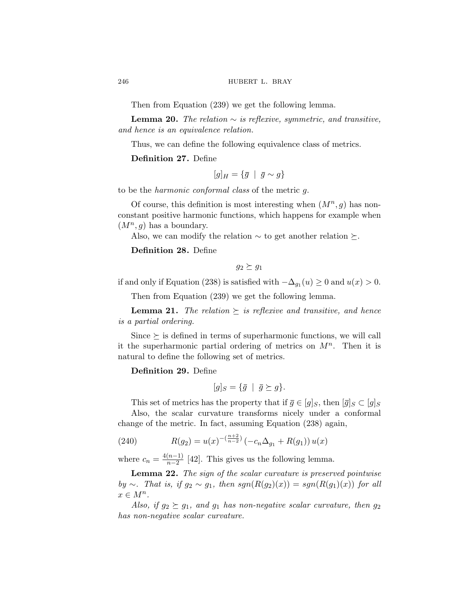Then from Equation [\(239\)](#page-68-0) we get the following lemma.

**Lemma 20.** *The relation* ∼ *is reflexive, symmetric, and transitive, and hence is an equivalence relation.*

Thus, we can define the following equivalence class of metrics.

# **Definition 27.** Define

$$
[g]_H = \{\bar{g} \mid \bar{g} \sim g\}
$$

to be the *harmonic conformal class* of the metric g.

Of course, this definition is most interesting when  $(M^n, g)$  has nonconstant positive harmonic functions, which happens for example when  $(M^n, g)$  has a boundary.

Also, we can modify the relation  $\sim$  to get another relation  $\succeq$ .

**Definition 28.** Define

$$
g_2 \succeq g_1
$$

if and only if Equation ([238](#page-68-0)) is satisfied with  $-\Delta_{q_1}(u) \geq 0$  and  $u(x) > 0$ .

Then from Equation [\(239\)](#page-68-0) we get the following lemma.

**Lemma 21.** *The relation*  $\succeq$  *is reflexive and transitive, and hence is a partial ordering.*

Since  $\succeq$  is defined in terms of superharmonic functions, we will call it the superharmonic partial ordering of metrics on  $M^n$ . Then it is natural to define the following set of metrics.

# **Definition 29.** Define

$$
[g]_S = \{\bar{g} \mid \bar{g} \succeq g\}.
$$

This set of metrics has the property that if  $\bar{g} \in [g]_S$ , then  $[\bar{g}]_S \subset [g]_S$ 

Also, the scalar curvature transforms nicely under a conformal change of the metric. In fact, assuming Equation [\(238](#page-68-0)) again,

(240) 
$$
R(g_2) = u(x)^{-(\frac{n+2}{n-2})} (-c_n \Delta_{g_1} + R(g_1)) u(x)
$$

where  $c_n = \frac{4(n-1)}{n-2}$  [[42\]](#page-89-0). This gives us the following lemma.

**Lemma 22.** *The sign of the scalar curvature is preserved pointwise by* ∼*.* That is, if  $g_2 \sim g_1$ , then  $sgn(R(g_2)(x)) = sgn(R(g_1)(x))$  for all  $x \in M^n$ .

*Also, if*  $g_2 \succeq g_1$ *, and*  $g_1$  *has non-negative scalar curvature, then*  $g_2$ *has non-negative scalar curvature.*

<span id="page-69-0"></span>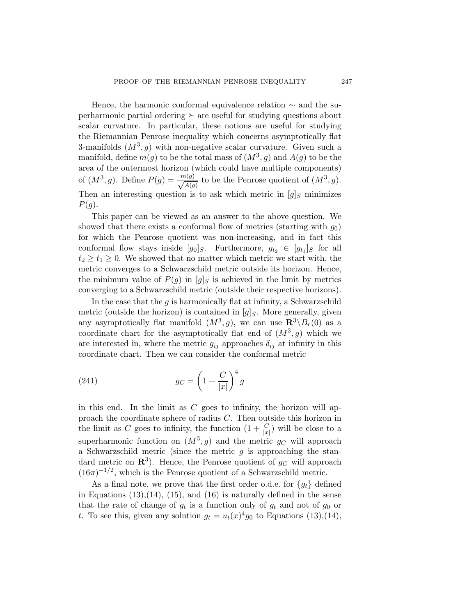Hence, the harmonic conformal equivalence relation  $\sim$  and the superharmonic partial ordering  $\succeq$  are useful for studying questions about scalar curvature. In particular, these notions are useful for studying the Riemannian Penrose inequality which concerns asymptotically flat 3-manifolds  $(M^3, g)$  with non-negative scalar curvature. Given such a manifold, define  $m(g)$  to be the total mass of  $(M^3, g)$  and  $A(g)$  to be the area of the outermost horizon (which could have multiple components) of  $(M^3, g)$ . Define  $P(g) = \frac{m(g)}{\sqrt{A(g)}}$  to be the Penrose quotient of  $(M^3, g)$ . Then an interesting question is to ask which metric in  $[g]_S$  minimizes  $P(g)$ .

This paper can be viewed as an answer to the above question. We showed that there exists a conformal flow of metrics (starting with  $g_0$ ) for which the Penrose quotient was non-increasing, and in fact this conformal flow stays inside  $[g_0]_S$ . Furthermore,  $g_{t_2} \in [g_{t_1}]_S$  for all  $t_2 \geq t_1 \geq 0$ . We showed that no matter which metric we start with, the metric converges to a Schwarzschild metric outside its horizon. Hence, the minimum value of  $P(g)$  in  $[g]_S$  is achieved in the limit by metrics converging to a Schwarzschild metric (outside their respective horizons).

In the case that the  $g$  is harmonically flat at infinity, a Schwarzschild metric (outside the horizon) is contained in  $[g]_S$ . More generally, given any asymptotically flat manifold  $(M^3, g)$ , we can use  $\mathbb{R}^3 \setminus B_r(0)$  as a coordinate chart for the asymptotically flat end of  $(M^3, g)$  which we are interested in, where the metric  $g_{ij}$  approaches  $\delta_{ij}$  at infinity in this coordinate chart. Then we can consider the conformal metric

(241) 
$$
g_C = \left(1 + \frac{C}{|x|}\right)^4 g
$$

in this end. In the limit as  $C$  goes to infinity, the horizon will approach the coordinate sphere of radius C. Then outside this horizon in the limit as C goes to infinity, the function  $(1 + \frac{C}{|x|})$  will be close to a superharmonic function on  $(M^3, g)$  and the metric  $g_C$  will approach a Schwarzschild metric (since the metric  $q$  is approaching the standard metric on  $\mathbb{R}^3$ ). Hence, the Penrose quotient of  $g_C$  will approach  $(16\pi)^{-1/2}$ , which is the Penrose quotient of a Schwarzschild metric.

As a final note, we prove that the first order o.d.e. for  ${g_t}$  defined in Equations  $(13),(14),(15)$  $(13),(14),(15)$  $(13),(14),(15)$  $(13),(14),(15)$  $(13),(14),(15)$ , and  $(16)$  is naturally defined in the sense that the rate of change of  $g_t$  is a function only of  $g_t$  and not of  $g_0$  or t. To see this, given any solution  $g_t = u_t(x)^4 g_0$  to Equations ([13\)](#page-9-0), [\(14](#page-9-0)),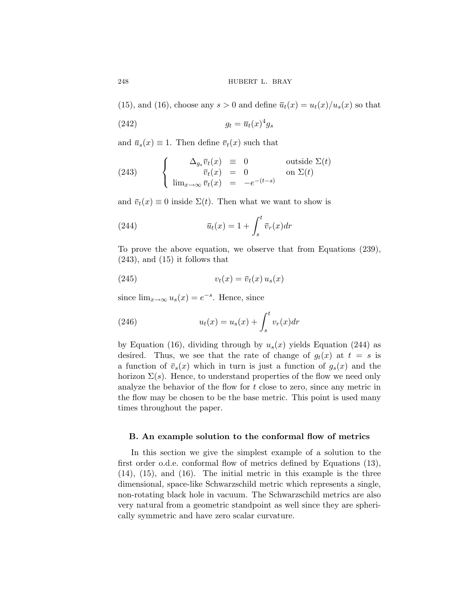([15\)](#page-10-0), and ([16\)](#page-10-0), choose any  $s > 0$  and define  $\overline{u}_t(x) = u_t(x)/u_s(x)$  so that

$$
(242) \t\t\t g_t = \overline{u}_t(x)^4 g_s
$$

and  $\bar{u}_s(x) \equiv 1$ . Then define  $\bar{v}_t(x)$  such that

(243) 
$$
\begin{cases} \Delta_{g_s}\overline{v}_t(x) = 0 & \text{outside } \Sigma(t) \\ \overline{v}_t(x) = 0 & \text{on } \Sigma(t) \\ \lim_{x\to\infty}\overline{v}_t(x) = -e^{-(t-s)} \end{cases}
$$

and  $\bar{v}_t(x) \equiv 0$  inside  $\Sigma(t)$ . Then what we want to show is

(244) 
$$
\overline{u}_t(x) = 1 + \int_s^t \overline{v}_r(x) dr
$$

To prove the above equation, we observe that from Equations [\(239\)](#page-68-0),  $(243)$ , and  $(15)$  $(15)$  it follows that

$$
(245) \t vt(x) = \overline{v}t(x) us(x)
$$

since  $\lim_{x\to\infty} u_s(x) = e^{-s}$ . Hence, since

(246) 
$$
u_t(x) = u_s(x) + \int_s^t v_r(x) dr
$$

by Equation [\(16](#page-10-0)), dividing through by  $u_s(x)$  yields Equation (244) as desired. Thus, we see that the rate of change of  $g_t(x)$  at  $t = s$  is a function of  $\bar{v}_s(x)$  which in turn is just a function of  $g_s(x)$  and the horizon  $\Sigma(s)$ . Hence, to understand properties of the flow we need only analyze the behavior of the flow for t close to zero, since any metric in the flow may be chosen to be the base metric. This point is used many times throughout the paper.

### **B. An example solution to the conformal flow of metrics**

In this section we give the simplest example of a solution to the first order o.d.e. conformal flow of metrics defined by Equations ([13\)](#page-9-0), ([14\)](#page-9-0), ([15\)](#page-10-0), and ([16\)](#page-10-0). The initial metric in this example is the three dimensional, space-like Schwarzschild metric which represents a single, non-rotating black hole in vacuum. The Schwarzschild metrics are also very natural from a geometric standpoint as well since they are spherically symmetric and have zero scalar curvature.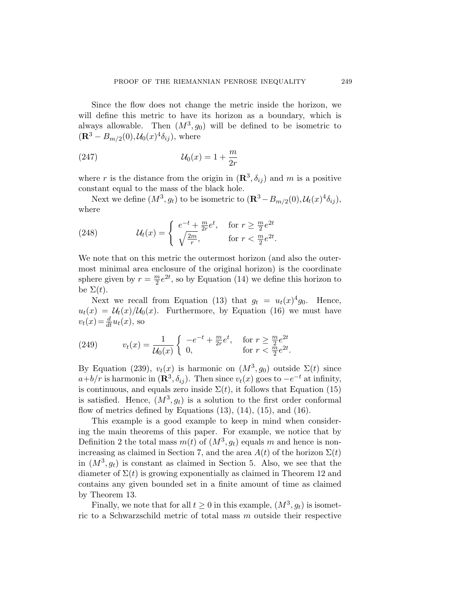Since the flow does not change the metric inside the horizon, we will define this metric to have its horizon as a boundary, which is always allowable. Then  $(M^3, g_0)$  will be defined to be isometric to  $({\bf R}^{3} - B_{m/2}(0), U_{0}(x)^{4} \delta_{ij}),$  where

<sup>U</sup>0(x)=1+ <sup>m</sup> <sup>2</sup><sup>r</sup> (247)

where r is the distance from the origin in  $(\mathbb{R}^3, \delta_{ij})$  and m is a positive constant equal to the mass of the black hole.

Next we define  $(M^3, g_t)$  to be isometric to  $(\mathbf{R}^3 - B_{m/2}(0), \mathcal{U}_t(x)^4 \delta_{ij}),$ where

(248) 
$$
\mathcal{U}_t(x) = \begin{cases} e^{-t} + \frac{m}{2r} e^t, & \text{for } r \ge \frac{m}{2} e^{2t} \\ \sqrt{\frac{2m}{r}}, & \text{for } r < \frac{m}{2} e^{2t}. \end{cases}
$$

We note that on this metric the outermost horizon (and also the outermost minimal area enclosure of the original horizon) is the coordinate sphere given by  $r = \frac{m}{2}e^{2t}$ , so by Equation [\(14\)](#page-9-0) we define this horizon to be  $\Sigma(t)$ .

Next we recall from Equation [\(13](#page-9-0)) that  $q_t = u_t(x)^4 q_0$ . Hence,  $u_t(x) = \mathcal{U}_t(x)/\mathcal{U}_0(x)$ . Furthermore, by Equation ([16](#page-10-0)) we must have  $v_t(x) = \frac{d}{dt}u_t(x)$ , so

(249) 
$$
v_t(x) = \frac{1}{\mathcal{U}_0(x)} \begin{cases} -e^{-t} + \frac{m}{2r} e^t, & \text{for } r \ge \frac{m}{2} e^{2t} \\ 0, & \text{for } r < \frac{m}{2} e^{2t}. \end{cases}
$$

By Equation ([239](#page-68-0)),  $v_t(x)$  is harmonic on  $(M^3, q_0)$  outside  $\Sigma(t)$  since  $a+b/r$  is harmonic in  $(\mathbf{R}^3, \delta_{ij})$ . Then since  $v_t(x)$  goes to  $-e^{-t}$  at infinity, is continuous, and equals zero inside  $\Sigma(t)$ , it follows that Equation [\(15](#page-10-0)) is satisfied. Hence,  $(M^3, g_t)$  is a solution to the first order conformal flow of metrics defined by Equations  $(13)$  $(13)$ ,  $(14)$  $(14)$ ,  $(15)$  $(15)$ , and  $(16)$  $(16)$ .

This example is a good example to keep in mind when considering the main theorems of this paper. For example, we notice that by Definition [2](#page-7-0) the total mass  $m(t)$  of  $(M^3, g_t)$  equals m and hence is non-increasing as claimed in Section [7,](#page-35-0) and the area  $A(t)$  of the horizon  $\Sigma(t)$ in  $(M^3, g_t)$  is constant as claimed in Section [5](#page-22-0). Also, we see that the diameter of  $\Sigma(t)$  is growing exponentially as claimed in Theorem [12](#page-39-0) and contains any given bounded set in a finite amount of time as claimed by Theorem [13](#page-41-0).

Finally, we note that for all  $t \geq 0$  in this example,  $(M^3, g_t)$  is isometric to a Schwarzschild metric of total mass m outside their respective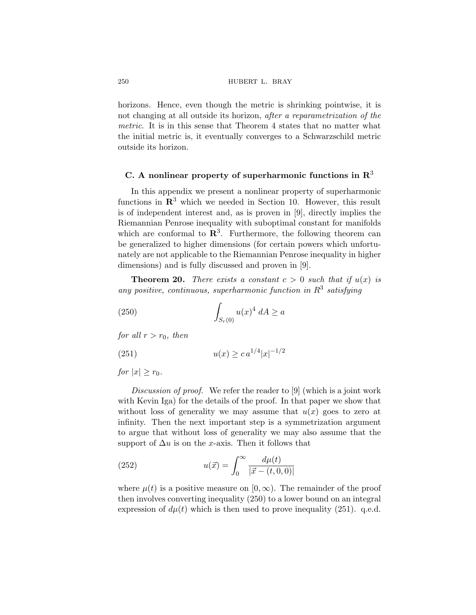horizons. Hence, even though the metric is shrinking pointwise, it is not changing at all outside its horizon, *after a reparametrization of the metric*. It is in this sense that Theorem [4](#page-11-0) states that no matter what the initial metric is, it eventually converges to a Schwarzschild metric outside its horizon.

### **C. A nonlinear property of superharmonic functions in R**<sup>3</sup>

In this appendix we present a nonlinear property of superharmonic functions in **R**<sup>3</sup> which we needed in Section [10](#page-41-0). However, this result is of independent interest and, as is proven in [\[9\]](#page-87-0), directly implies the Riemannian Penrose inequality with suboptimal constant for manifolds which are conformal to  $\mathbb{R}^3$ . Furthermore, the following theorem can be generalized to higher dimensions (for certain powers which unfortunately are not applicable to the Riemannian Penrose inequality in higher dimensions) and is fully discussed and proven in [[9](#page-87-0)].

**Theorem 20.** *There exists a constant*  $c > 0$  *such that if*  $u(x)$  *is* any positive, continuous, superharmonic function in  $R^3$  satisfying

(250) 
$$
\int_{S_r(0)} u(x)^4 \, dA \ge a
$$

*for all*  $r > r_0$ *, then* 

(251) 
$$
u(x) \geq c a^{1/4} |x|^{-1/2}
$$

*for*  $|x| \geq r_0$ *.* 

*Discussion of proof.* We refer the reader to [[9](#page-87-0)] (which is a joint work with Kevin Iga) for the details of the proof. In that paper we show that without loss of generality we may assume that  $u(x)$  goes to zero at infinity. Then the next important step is a symmetrization argument to argue that without loss of generality we may also assume that the support of  $\Delta u$  is on the x-axis. Then it follows that

(252) 
$$
u(\vec{x}) = \int_0^\infty \frac{d\mu(t)}{|\vec{x} - (t, 0, 0)|}
$$

where  $\mu(t)$  is a positive measure on [0,  $\infty$ ). The remainder of the proof then involves converting inequality (250) to a lower bound on an integral expression of  $d\mu(t)$  which is then used to prove inequality (251). q.e.d.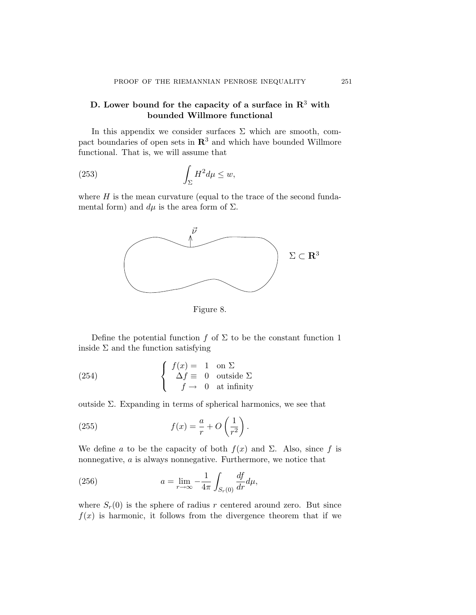## **D. Lower bound for the capacity of a surface in R**<sup>3</sup> **with bounded Willmore functional**

In this appendix we consider surfaces  $\Sigma$  which are smooth, compact boundaries of open sets in **R**<sup>3</sup> and which have bounded Willmore functional. That is, we will assume that

(253) 
$$
\int_{\Sigma} H^2 d\mu \leq w,
$$

where  $H$  is the mean curvature (equal to the trace of the second fundamental form) and  $d\mu$  is the area form of  $\Sigma$ .



Figure 8.

Define the potential function f of  $\Sigma$  to be the constant function 1 inside  $\Sigma$  and the function satisfying

(254) 
$$
\begin{cases} f(x) = 1 & \text{on } \Sigma \\ \Delta f \equiv 0 & \text{outside } \Sigma \\ f \rightarrow 0 & \text{at infinity} \end{cases}
$$

outside Σ. Expanding in terms of spherical harmonics, we see that

(255) 
$$
f(x) = \frac{a}{r} + O\left(\frac{1}{r^2}\right).
$$

We define a to be the capacity of both  $f(x)$  and  $\Sigma$ . Also, since f is nonnegative, a is always nonnegative. Furthermore, we notice that

(256) 
$$
a = \lim_{r \to \infty} -\frac{1}{4\pi} \int_{S_r(0)} \frac{df}{dr} d\mu,
$$

where  $S_r(0)$  is the sphere of radius r centered around zero. But since  $f(x)$  is harmonic, it follows from the divergence theorem that if we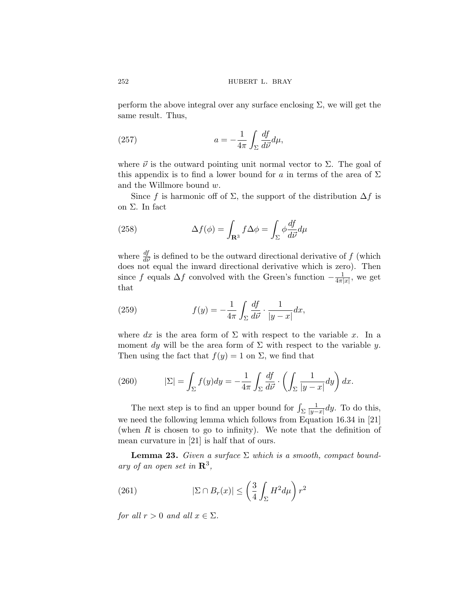perform the above integral over any surface enclosing  $\Sigma$ , we will get the same result. Thus,

(257) 
$$
a = -\frac{1}{4\pi} \int_{\Sigma} \frac{df}{d\vec{\nu}} d\mu,
$$

where  $\vec{\nu}$  is the outward pointing unit normal vector to  $\Sigma$ . The goal of this appendix is to find a lower bound for a in terms of the area of  $\Sigma$ and the Willmore bound w.

Since f is harmonic off of  $\Sigma$ , the support of the distribution  $\Delta f$  is on Σ. In fact

(258) 
$$
\Delta f(\phi) = \int_{\mathbf{R}^3} f \Delta \phi = \int_{\Sigma} \phi \frac{df}{d\vec{\nu}} d\mu
$$

where  $\frac{df}{d\vec{\nu}}$  is defined to be the outward directional derivative of f (which does not equal the inward directional derivative which is zero). Then since f equals  $\Delta f$  convolved with the Green's function  $-\frac{1}{4\pi|x|}$ , we get that

(259) 
$$
f(y) = -\frac{1}{4\pi} \int_{\Sigma} \frac{df}{d\vec{\nu}} \cdot \frac{1}{|y-x|} dx,
$$

where dx is the area form of  $\Sigma$  with respect to the variable x. In a moment dy will be the area form of  $\Sigma$  with respect to the variable y. Then using the fact that  $f(y) = 1$  on  $\Sigma$ , we find that

(260) 
$$
|\Sigma| = \int_{\Sigma} f(y) dy = -\frac{1}{4\pi} \int_{\Sigma} \frac{df}{d\vec{\nu}} \cdot \left( \int_{\Sigma} \frac{1}{|y-x|} dy \right) dx.
$$

The next step is to find an upper bound for  $\int_\Sigma$ 1  $\frac{1}{|y-x|}dy$ . To do this, we need the following lemma which follows from Equation 16.34 in [\[21](#page-88-0)] (when  $R$  is chosen to go to infinity). We note that the definition of mean curvature in [\[21](#page-88-0)] is half that of ours.

**Lemma 23.** *Given a surface* Σ *which is a smooth, compact boundary of an open set in* **R**3*,*

(261) 
$$
|\Sigma \cap B_r(x)| \leq \left(\frac{3}{4} \int_{\Sigma} H^2 d\mu\right) r^2
$$

*for all*  $r > 0$  *and all*  $x \in \Sigma$ *.* 

<span id="page-75-0"></span>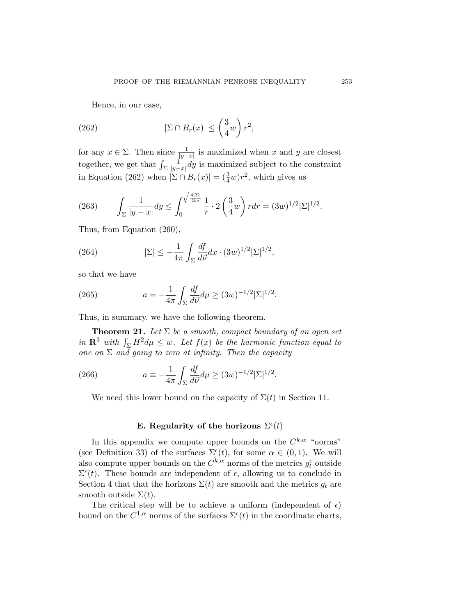Hence, in our case,

(262) 
$$
|\Sigma \cap B_r(x)| \leq \left(\frac{3}{4}w\right)r^2,
$$

for any  $x \in \Sigma$ . Then since  $\frac{1}{|y-x|}$  is maximized when x and y are closest together, we get that  $\int_\Sigma$ 1  $\frac{1}{|y-x|}dy$  is maximized subject to the constraint in Equation (262) when  $|\Sigma \cap B_r(x)| = (\frac{3}{4}w)r^2$ , which gives us

(263) 
$$
\int_{\Sigma} \frac{1}{|y-x|} dy \le \int_0^{\sqrt{\frac{4|\Sigma|}{3w}}} \frac{1}{r} \cdot 2 \left(\frac{3}{4}w\right) r dr = (3w)^{1/2} |\Sigma|^{1/2}.
$$

Thus, from Equation ([260](#page-75-0)),

(264) 
$$
|\Sigma| \le -\frac{1}{4\pi} \int_{\Sigma} \frac{df}{d\vec{\nu}} dx \cdot (3w)^{1/2} |\Sigma|^{1/2},
$$

so that we have

(265) 
$$
a = -\frac{1}{4\pi} \int_{\Sigma} \frac{df}{d\vec{\nu}} d\mu \ge (3w)^{-1/2} |\Sigma|^{1/2}.
$$

Thus, in summary, we have the following theorem.

**Theorem 21.** *Let*  $\Sigma$  *be a smooth, compact boundary of an open set in*  $\mathbb{R}^3$  *with*  $\int_{\Sigma} H^2 d\mu \leq w$ *. Let*  $f(x)$  *be the harmonic function equal to one on* Σ *and going to zero at infinity. Then the capacity*

(266) 
$$
a \equiv -\frac{1}{4\pi} \int_{\Sigma} \frac{df}{d\vec{\nu}} d\mu \ge (3w)^{-1/2} |\Sigma|^{1/2}.
$$

We need this lower bound on the capacity of  $\Sigma(t)$  in Section [11.](#page-46-0)

# **E.** Regularity of the horizons  $\Sigma^{\epsilon}(t)$

In this appendix we compute upper bounds on the  $C^{k,\alpha}$  "norms" (see Definition [33\)](#page-81-0) of the surfaces  $\Sigma^{\epsilon}(t)$ , for some  $\alpha \in (0,1)$ . We will also compute upper bounds on the  $C^{k,\alpha}$  norms of the metrics  $g_t^{\epsilon}$  outside  $\Sigma^{\epsilon}(t)$ . These bounds are independent of  $\epsilon$ , allowing us to conclude in Section [4](#page-13-0) that that the horizons  $\Sigma(t)$  are smooth and the metrics  $g_t$  are smooth outside  $\Sigma(t)$ .

The critical step will be to achieve a uniform (independent of  $\epsilon$ ) bound on the  $C^{1,\alpha}$  norms of the surfaces  $\Sigma^{\epsilon}(t)$  in the coordinate charts,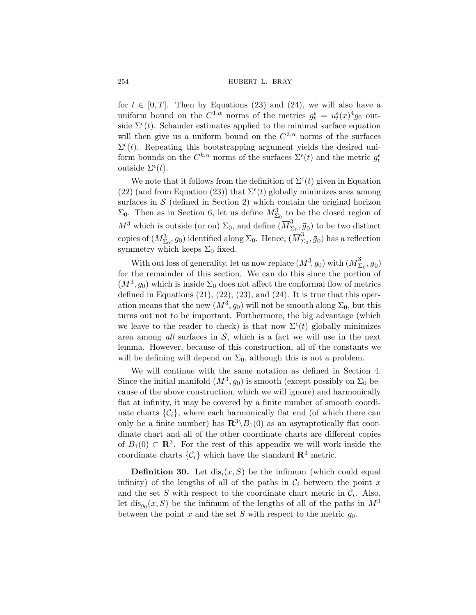for  $t \in [0, T]$ . Then by Equations ([23](#page-13-0)) and ([24\)](#page-13-0), we will also have a uniform bound on the  $C^{1,\alpha}$  norms of the metrics  $g_t^{\epsilon} = u_t^{\epsilon}(x)^4 g_0$  outside  $\Sigma^{\epsilon}(t)$ . Schauder estimates applied to the minimal surface equation will then give us a uniform bound on the  $C^{2,\alpha}$  norms of the surfaces  $\Sigma^{\epsilon}(t)$ . Repeating this bootstrapping argument yields the desired uniform bounds on the  $C^{k,\alpha}$  norms of the surfaces  $\Sigma^{\epsilon}(t)$  and the metric  $g_t^{\epsilon}$ outside  $\Sigma^{\epsilon}(t)$ .

We note that it follows from the definition of  $\Sigma^{\epsilon}(t)$  given in Equation ([22\)](#page-13-0) (and from Equation ([23\)](#page-13-0)) that  $\Sigma^{\epsilon}(t)$  globally minimizes area among surfaces in  $\mathcal S$  (defined in Section [2](#page-6-0)) which contain the original horizon  $\Sigma_0$ . Then as in Section [6,](#page-25-0) let us define  $M_{\Sigma_0}^3$  to be the closed region of  $M^3$  which is outside (or on)  $\Sigma_0$ , and define  $(\overline{M}_{\Sigma_0}^3, \overline{g}_0)$  to be two distinct copies of  $(M^3_{\Sigma_0}, g_0)$  identified along  $\Sigma_0$ . Hence,  $(\overline{M}^3_{\Sigma_0}, \overline{g}_0)$  has a reflection symmetry which keeps  $\Sigma_0$  fixed.

With out loss of generality, let us now replace  $(M^3, g_0)$  with  $(\overline{M}_{\Sigma_0}^3, \overline{g}_0)$ for the remainder of this section. We can do this since the portion of  $(M^3, g_0)$  which is inside  $\Sigma_0$  does not affect the conformal flow of metrics defined in Equations  $(21)$  $(21)$ ,  $(22)$ ,  $(23)$  $(23)$ , and  $(24)$  $(24)$ . It is true that this operation means that the new  $(M^3, g_0)$  will not be smooth along  $\Sigma_0$ , but this turns out not to be important. Furthermore, the big advantage (which we leave to the reader to check) is that now  $\Sigma^{\epsilon}(t)$  globally minimizes area among *all* surfaces in  $S$ , which is a fact we will use in the next lemma. However, because of this construction, all of the constants we will be defining will depend on  $\Sigma_0$ , although this is not a problem.

We will continue with the same notation as defined in Section [4](#page-13-0). Since the initial manifold  $(M^3, g_0)$  is smooth (except possibly on  $\Sigma_0$  because of the above construction, which we will ignore) and harmonically flat at infinity, it may be covered by a finite number of smooth coordinate charts  $\{\mathcal{C}_i\}$ , where each harmonically flat end (of which there can only be a finite number) has  $\mathbb{R}^3 \setminus B_1(0)$  as an asymptotically flat coordinate chart and all of the other coordinate charts are different copies of  $B_1(0) \subset \mathbb{R}^3$ . For the rest of this appendix we will work inside the coordinate charts  $\{\mathcal{C}_i\}$  which have the standard  $\mathbb{R}^3$  metric.

**Definition 30.** Let  $dis_i(x, S)$  be the infimum (which could equal infinity) of the lengths of all of the paths in  $\mathcal{C}_i$  between the point x and the set S with respect to the coordinate chart metric in  $\mathcal{C}_i$ . Also, let  $dis_{q_0}(x, S)$  be the infimum of the lengths of all of the paths in  $M^3$ between the point x and the set S with respect to the metric  $g_0$ .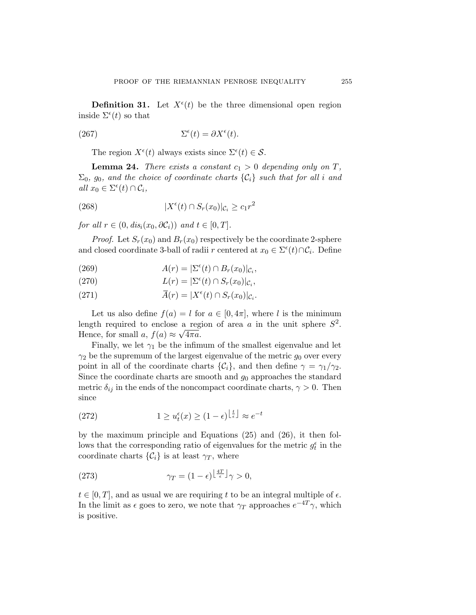<span id="page-78-0"></span>**Definition 31.** Let  $X^{\epsilon}(t)$  be the three dimensional open region inside  $\Sigma^{\epsilon}(t)$  so that

(267) 
$$
\Sigma^{\epsilon}(t) = \partial X^{\epsilon}(t).
$$

The region  $X^{\epsilon}(t)$  always exists since  $\Sigma^{\epsilon}(t) \in \mathcal{S}$ .

**Lemma 24.** *There exists a constant*  $c_1 > 0$  *depending only on*  $T$ *,*  $\Sigma_0$ , g<sub>0</sub>, and the choice of coordinate charts  $\{\mathcal{C}_i\}$  *such that for all i* and  $all x_0 \in \Sigma^{\epsilon}(t) \cap C_i,$ 

(268) 
$$
|X^{\epsilon}(t) \cap S_r(x_0)|_{\mathcal{C}_i} \geq c_1 r^2
$$

*for all*  $r \in (0, dis_i(x_0, \partial \mathcal{C}_i))$  *and*  $t \in [0, T]$ *.* 

*Proof.* Let  $S_r(x_0)$  and  $B_r(x_0)$  respectively be the coordinate 2-sphere and closed coordinate 3-ball of radii r centered at  $x_0 \in \Sigma^{\epsilon}(t) \cap C_i$ . Define

- (269)  $A(r) = |\Sigma^{\epsilon}(t) \cap B_r(x_0)|_{C_i},$
- (270)  $L(r) = |\Sigma^{\epsilon}(t) \cap S_r(x_0)|_{\mathcal{C}_i},$
- (271)  $\overline{A}(r) = |X^{\epsilon}(t) \cap S_r(x_0)|_{\mathcal{C}_i}.$

Let us also define  $f(a) = l$  for  $a \in [0, 4\pi]$ , where l is the minimum length required to enclose a region of area a in the unit sphere  $S^2$ . Hence, for small a,  $f(a) \approx \sqrt{4\pi a}$ .

Finally, we let  $\gamma_1$  be the infimum of the smallest eigenvalue and let  $\gamma_2$  be the supremum of the largest eigenvalue of the metric  $g_0$  over every point in all of the coordinate charts  $\{\mathcal{C}_i\}$ , and then define  $\gamma = \gamma_1/\gamma_2$ . Since the coordinate charts are smooth and  $g_0$  approaches the standard metric  $\delta_{ij}$  in the ends of the noncompact coordinate charts,  $\gamma > 0$ . Then since

(272) 
$$
1 \ge u_t^{\epsilon}(x) \ge (1 - \epsilon)^{\left\lfloor \frac{t}{\epsilon} \right\rfloor} \approx e^{-t}
$$

by the maximum principle and Equations [\(25](#page-14-0)) and [\(26](#page-14-0)), it then follows that the corresponding ratio of eigenvalues for the metric  $g_t^{\epsilon}$  in the coordinate charts  $\{\mathcal{C}_i\}$  is at least  $\gamma_T$ , where

(273) 
$$
\gamma_T = (1 - \epsilon)^{\left\lfloor \frac{4T}{\epsilon} \right\rfloor} \gamma > 0,
$$

 $t \in [0, T]$ , and as usual we are requiring t to be an integral multiple of  $\epsilon$ . In the limit as  $\epsilon$  goes to zero, we note that  $\gamma_T$  approaches  $e^{-4T}\gamma$ , which is positive.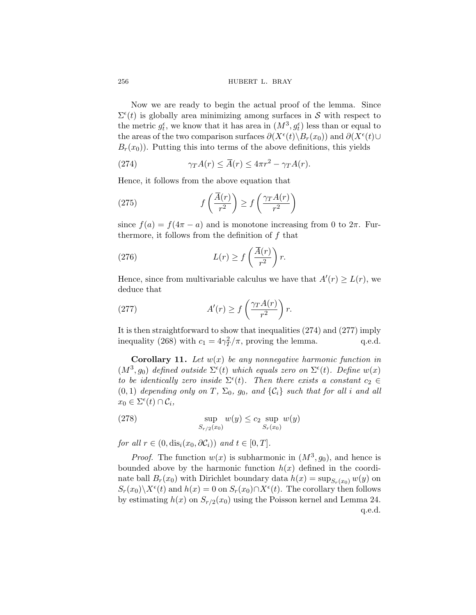Now we are ready to begin the actual proof of the lemma. Since  $\Sigma^{\epsilon}(t)$  is globally area minimizing among surfaces in S with respect to the metric  $g_t^{\epsilon}$ , we know that it has area in  $(M^3, g_t^{\epsilon})$  less than or equal to the areas of the two comparison surfaces  $\partial(X^{\epsilon}(t) \backslash B_r(x_0))$  and  $\partial(X^{\epsilon}(t) \cup$  $B_r(x_0)$ ). Putting this into terms of the above definitions, this yields

(274) 
$$
\gamma_T A(r) \leq \overline{A}(r) \leq 4\pi r^2 - \gamma_T A(r).
$$

Hence, it follows from the above equation that

(275) 
$$
f\left(\frac{\overline{A}(r)}{r^2}\right) \ge f\left(\frac{\gamma_T A(r)}{r^2}\right)
$$

since  $f(a) = f(4\pi - a)$  and is monotone increasing from 0 to  $2\pi$ . Furthermore, it follows from the definition of  $f$  that

(276) 
$$
L(r) \ge f\left(\frac{\overline{A}(r)}{r^2}\right)r.
$$

Hence, since from multivariable calculus we have that  $A'(r) \geq L(r)$ , we deduce that

(277) 
$$
A'(r) \ge f\left(\frac{\gamma_T A(r)}{r^2}\right) r.
$$

It is then straightforward to show that inequalities (274) and (277) imply inequality ([268](#page-78-0)) with  $c_1 = 4\gamma_T^2/\pi$ , proving the lemma. q.e.d.

**Corollary 11.** *Let* w(x) *be any nonnegative harmonic function in*  $(M^3, g_0)$  *defined outside*  $\Sigma^{\epsilon}(t)$  *which equals zero on*  $\Sigma^{\epsilon}(t)$ *. Define*  $w(x)$ *to be identically zero inside*  $\Sigma^{\epsilon}(t)$ *. Then there exists a constant*  $c_2 \in$  $(0, 1)$  *depending only on* T,  $\Sigma_0$ ,  $g_0$ , and  $\{\mathcal{C}_i\}$  *such that for all i and all*  $x_0 \in \Sigma^{\epsilon}(t) \cap C_i$ ,

$$
\sup_{S_{r/2}(x_0)} w(y) \le c_2 \sup_{S_r(x_0)} w(y)
$$

*for all*  $r \in (0, \text{dis}_i(x_0, \partial \mathcal{C}_i))$  *and*  $t \in [0, T]$ *.* 

*Proof.* The function  $w(x)$  is subharmonic in  $(M^3, q_0)$ , and hence is bounded above by the harmonic function  $h(x)$  defined in the coordinate ball  $B_r(x_0)$  with Dirichlet boundary data  $h(x) = \sup_{S_r(x_0)} w(y)$  on  $S_r(x_0)\backslash X^{\epsilon}(t)$  and  $h(x) = 0$  on  $S_r(x_0)\cap X^{\epsilon}(t)$ . The corollary then follows by estimating  $h(x)$  on  $S_{r/2}(x_0)$  using the Poisson kernel and Lemma [24](#page-78-0). q.e.d.

<span id="page-79-0"></span>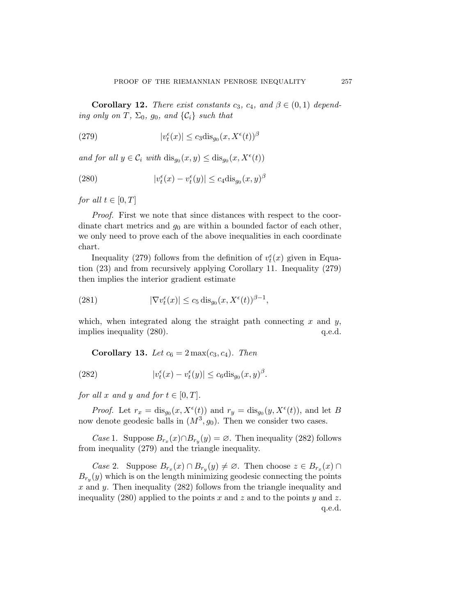<span id="page-80-0"></span>**Corollary 12.** *There exist constants*  $c_3$ ,  $c_4$ , and  $\beta \in (0,1)$  depend*ing only on* T,  $\Sigma_0$ ,  $g_0$ , and  $\{\mathcal{C}_i\}$  *such that* 

(279) 
$$
|v_t^{\epsilon}(x)| \leq c_3 \text{dis}_{g_0}(x, X^{\epsilon}(t))^{\beta}
$$

*and for all*  $y \in C_i$  *with*  $dis_{g_0}(x, y) \leq dis_{g_0}(x, X^{\epsilon}(t))$ 

(280) 
$$
|v_t^{\epsilon}(x) - v_t^{\epsilon}(y)| \le c_4 \text{dis}_{g_0}(x, y)^{\beta}
$$

*for all*  $t \in [0, T]$ 

*Proof.* First we note that since distances with respect to the coordinate chart metrics and  $g_0$  are within a bounded factor of each other, we only need to prove each of the above inequalities in each coordinate chart.

Inequality (279) follows from the definition of  $v_t^{\epsilon}(x)$  given in Equation ([23\)](#page-13-0) and from recursively applying Corollary [11.](#page-79-0) Inequality (279) then implies the interior gradient estimate

(281) 
$$
|\nabla v_t^{\epsilon}(x)| \leq c_5 \operatorname{dis}_{g_0}(x, X^{\epsilon}(t))^{\beta - 1},
$$

which, when integrated along the straight path connecting x and  $y$ , implies inequality (280).  $q.e.d.$ 

**Corollary 13.** *Let*  $c_6 = 2 \max(c_3, c_4)$ *. Then* 

(282) 
$$
|v_t^{\epsilon}(x) - v_t^{\epsilon}(y)| \leq c_6 \text{dis}_{g_0}(x, y)^{\beta}.
$$

*for all* x and y and *for*  $t \in [0, T]$ *.* 

*Proof.* Let  $r_x = \text{dis}_{g_0}(x, X^{\epsilon}(t))$  and  $r_y = \text{dis}_{g_0}(y, X^{\epsilon}(t))$ , and let B now denote geodesic balls in  $(M^3, g_0)$ . Then we consider two cases.

*Case* 1. Suppose  $B_{r_x}(x) \cap B_{r_y}(y) = \emptyset$ . Then inequality (282) follows from inequality (279) and the triangle inequality.

*Case* 2. Suppose  $B_{r_x}(x) \cap B_{r_y}(y) \neq \emptyset$ . Then choose  $z \in B_{r_x}(x) \cap$  $B_{r_y}(y)$  which is on the length minimizing geodesic connecting the points x and y. Then inequality  $(282)$  follows from the triangle inequality and inequality (280) applied to the points x and z and to the points y and z. q.e.d.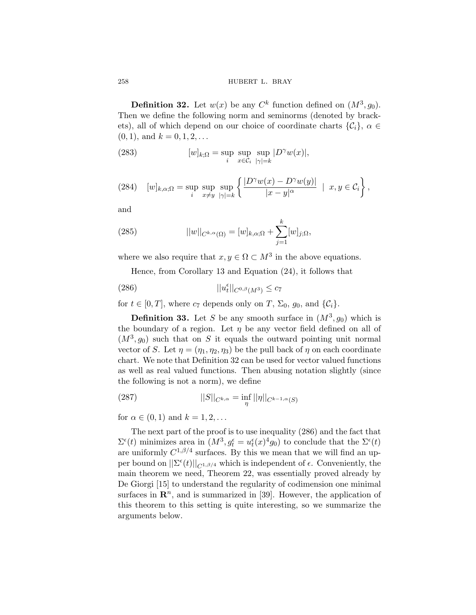**Definition 32.** Let  $w(x)$  be any  $C^k$  function defined on  $(M^3, g_0)$ . Then we define the following norm and seminorms (denoted by brackets), all of which depend on our choice of coordinate charts  $\{\mathcal{C}_i\}, \alpha \in$  $(0, 1)$ , and  $k = 0, 1, 2, \ldots$ 

(283) 
$$
[w]_{k;\Omega} = \sup_{i} \sup_{x \in C_i} \sup_{|\gamma|=k} |D^{\gamma}w(x)|,
$$

(284) 
$$
[w]_{k,\alpha;\Omega} = \sup_{i} \sup_{x \neq y} \sup_{|\gamma| = k} \left\{ \frac{|D^{\gamma}w(x) - D^{\gamma}w(y)|}{|x - y|^{\alpha}} \mid x, y \in C_{i} \right\},\
$$

and

(285) 
$$
||w||_{C^{k,\alpha}(\Omega)} = [w]_{k,\alpha;\Omega} + \sum_{j=1}^{k} [w]_{j;\Omega},
$$

where we also require that  $x, y \in \Omega \subset M^3$  in the above equations.

Hence, from Corollary [13](#page-80-0) and Equation [\(24](#page-13-0)), it follows that

$$
||u_t^{\epsilon}||_{C^{0,\beta}(M^3)} \leq c_7
$$

for  $t \in [0, T]$ , where  $c_7$  depends only on T,  $\Sigma_0$ ,  $g_0$ , and  $\{\mathcal{C}_i\}$ .

**Definition 33.** Let S be any smooth surface in  $(M^3, g_0)$  which is the boundary of a region. Let  $\eta$  be any vector field defined on all of  $(M^3, g_0)$  such that on S it equals the outward pointing unit normal vector of S. Let  $\eta = (\eta_1, \eta_2, \eta_3)$  be the pull back of  $\eta$  on each coordinate chart. We note that Definition 32 can be used for vector valued functions as well as real valued functions. Then abusing notation slightly (since the following is not a norm), we define

(287) 
$$
||S||_{C^{k,\alpha}} = \inf_{\eta} ||\eta||_{C^{k-1,\alpha}(S)}
$$

for  $\alpha \in (0,1)$  and  $k = 1,2,...$ 

The next part of the proof is to use inequality (286) and the fact that  $\Sigma^{\epsilon}(t)$  minimizes area in  $(M^3, g_t^{\epsilon} = u_t^{\epsilon}(x)^4 g_0)$  to conclude that the  $\Sigma^{\epsilon}(t)$ are uniformly  $C^{1,\beta/4}$  surfaces. By this we mean that we will find an upper bound on  $||\Sigma^{\epsilon}(t)||_{C^{1,\beta/4}}$  which is independent of  $\epsilon$ . Conveniently, the main theorem we need, Theorem [22,](#page-84-0) was essentially proved already by De Giorgi [\[15\]](#page-88-0) to understand the regularity of codimension one minimal surfaces in  $\mathbb{R}^n$ , and is summarized in [[39\]](#page-89-0). However, the application of this theorem to this setting is quite interesting, so we summarize the arguments below.

<span id="page-81-0"></span>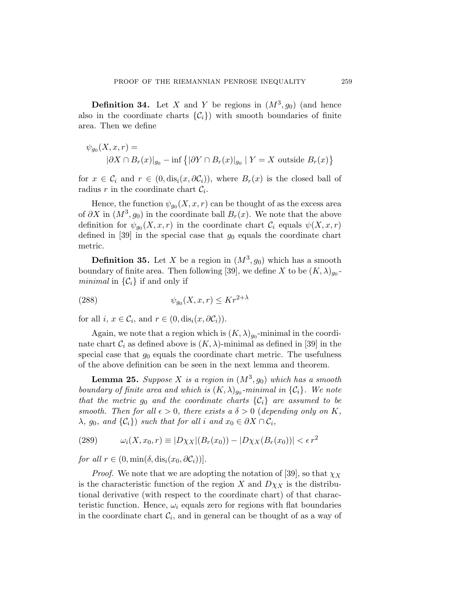<span id="page-82-0"></span>**Definition 34.** Let X and Y be regions in  $(M^3, g_0)$  (and hence also in the coordinate charts  $\{\mathcal{C}_i\}$  with smooth boundaries of finite area. Then we define

$$
\psi_{g_0}(X, x, r) =
$$
  

$$
|\partial X \cap B_r(x)|_{g_0} - \inf \{ |\partial Y \cap B_r(x)|_{g_0} | Y = X \text{ outside } B_r(x)
$$

for  $x \in C_i$  and  $r \in (0, dis_i(x, \partial C_i))$ , where  $B_r(x)$  is the closed ball of radius r in the coordinate chart  $C_i$ .

Hence, the function  $\psi_{q_0}(X, x, r)$  can be thought of as the excess area of  $\partial X$  in  $(M^3, g_0)$  in the coordinate ball  $B_r(x)$ . We note that the above definition for  $\psi_{q_0}(X, x, r)$  in the coordinate chart  $\mathcal{C}_i$  equals  $\psi(X, x, r)$ defined in [[39\]](#page-89-0) in the special case that  $g_0$  equals the coordinate chart metric.

**Definition 35.** Let X be a region in  $(M^3, g_0)$  which has a smooth boundary of finite area. Then following [[39\]](#page-89-0), we define X to be  $(K, \lambda)_{q_0}$ *minimal* in  $\{\mathcal{C}_i\}$  if and only if

$$
(288) \t\t \psi_{g_0}(X, x, r) \le Kr^{2+\lambda}
$$

for all  $i, x \in C_i$ , and  $r \in (0, \text{dis}_i(x, \partial C_i))$ .

Again, we note that a region which is  $(K, \lambda)_{q_0}$ -minimal in the coordinate chart  $\mathcal{C}_i$  as defined above is  $(K, \lambda)$ -minimal as defined in [[39\]](#page-89-0) in the special case that  $g_0$  equals the coordinate chart metric. The usefulness of the above definition can be seen in the next lemma and theorem.

**Lemma 25.** *Suppose* X *is a region in*  $(M^3, g_0)$  *which has a smooth boundary of finite area and which is*  $(K, \lambda)_{q_0}$ *-minimal in*  $\{C_i\}$ *. We note that the metric*  $g_0$  *and the coordinate charts*  $\{\mathcal{C}_i\}$  *are assumed to be smooth. Then for all*  $\epsilon > 0$ *, there exists a*  $\delta > 0$  (*depending only on* K,  $\lambda$ *, g*<sub>0</sub>*, and*  $\{\mathcal{C}_i\}$ *) such that for all i and*  $x_0 \in \partial X \cap \mathcal{C}_i$ *,* 

(289) 
$$
\omega_i(X, x_0, r) \equiv |D\chi_X|(B_r(x_0)) - |D\chi_X(B_r(x_0))| < \epsilon r^2
$$

*for all*  $r \in (0, \min(\delta, \text{dis}_i(x_0, \partial \mathcal{C}_i)))$ .

*Proof.* We note that we are adopting the notation of [[39\]](#page-89-0), so that  $\chi_X$ is the characteristic function of the region X and  $D\chi_X$  is the distributional derivative (with respect to the coordinate chart) of that characteristic function. Hence,  $\omega_i$  equals zero for regions with flat boundaries in the coordinate chart  $\mathcal{C}_i$ , and in general can be thought of as a way of

 $\big\}$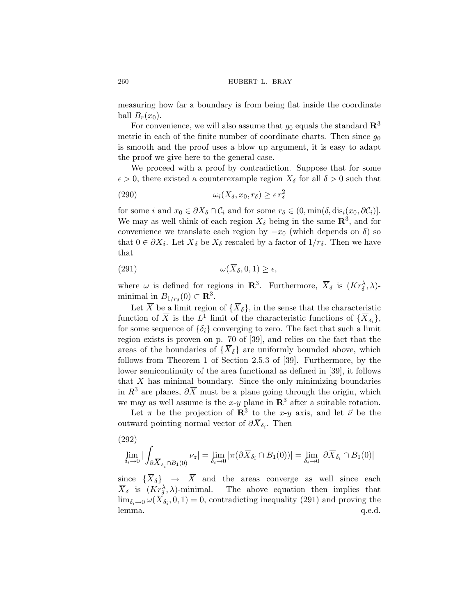measuring how far a boundary is from being flat inside the coordinate ball  $B_r(x_0)$ .

For convenience, we will also assume that  $g_0$  equals the standard  $\mathbb{R}^3$ metric in each of the finite number of coordinate charts. Then since  $g_0$ is smooth and the proof uses a blow up argument, it is easy to adapt the proof we give here to the general case.

We proceed with a proof by contradiction. Suppose that for some  $\epsilon > 0$ , there existed a counterexample region  $X_{\delta}$  for all  $\delta > 0$  such that

(290) 
$$
\omega_i(X_\delta, x_0, r_\delta) \geq \epsilon r_\delta^2
$$

for some i and  $x_0 \in \partial X_\delta \cap C_i$  and for some  $r_\delta \in (0, \min(\delta, \text{dis}_i(x_0, \partial C_i))$ . We may as well think of each region  $X_{\delta}$  being in the same  $\mathbb{R}^{3}$ , and for convenience we translate each region by  $-x_0$  (which depends on  $\delta$ ) so that  $0 \in \partial X_{\delta}$ . Let  $X_{\delta}$  be  $X_{\delta}$  rescaled by a factor of  $1/r_{\delta}$ . Then we have that

$$
\omega(\overline{X}_{\delta}, 0, 1) \ge \epsilon,
$$

where  $\omega$  is defined for regions in **R**<sup>3</sup>. Furthermore,  $\overline{X}_{\delta}$  is  $(Kr_{\delta}^{\lambda}, \lambda)$ minimal in  $B_{1/r_\delta}(0) \subset \mathbf{R}^3$ .

Let  $\overline{X}$  be a limit region of  $\{\overline{X}_{\delta}\}\)$ , in the sense that the characteristic function of  $\overline{X}$  is the  $L^1$  limit of the characteristic functions of  $\{\overline{X}_{\delta_i}\},\$ for some sequence of  $\{\delta_i\}$  converging to zero. The fact that such a limit region exists is proven on p. 70 of [[39](#page-89-0)], and relies on the fact that the areas of the boundaries of  $\{\overline{X}_{\delta}\}\$ are uniformly bounded above, which follows from Theorem 1 of Section 2.5.3 of [\[39](#page-89-0)]. Furthermore, by the lower semicontinuity of the area functional as defined in [\[39](#page-89-0)], it follows that  $\overline{X}$  has minimal boundary. Since the only minimizing boundaries in  $R^3$  are planes,  $\partial \overline{X}$  must be a plane going through the origin, which we may as well assume is the x-y plane in  $\mathbb{R}^3$  after a suitable rotation.

Let  $\pi$  be the projection of **R**<sup>3</sup> to the x-y axis, and let  $\vec{\nu}$  be the outward pointing normal vector of  $\partial \overline{X}_{\delta_i}$ . Then

$$
(292)
$$

$$
\lim_{\delta_i\to 0}|\int_{\partial\overline X_{\delta_i}\cap B_1(0)}\nu_z|=\lim_{\delta_i\to 0}|\pi(\partial\overline X_{\delta_i}\cap B_1(0))|=\lim_{\delta_i\to 0}|\partial\overline X_{\delta_i}\cap B_1(0)|
$$

since  $\{\overline{X}_{\delta}\}\rightarrow\overline{X}$  and the areas converge as well since each  $\overline{X}_{\delta}$  is  $(K_{\underline{r}_{\delta}}^{\lambda}, \lambda)$ -minimal. The above equation then implies that  $\lim_{\delta_i \to 0} \omega(\overline{X}_{\delta_i}, 0, 1) = 0$ , contradicting inequality (291) and proving the lemma. q.e.d. lemma.  $q.e.d.$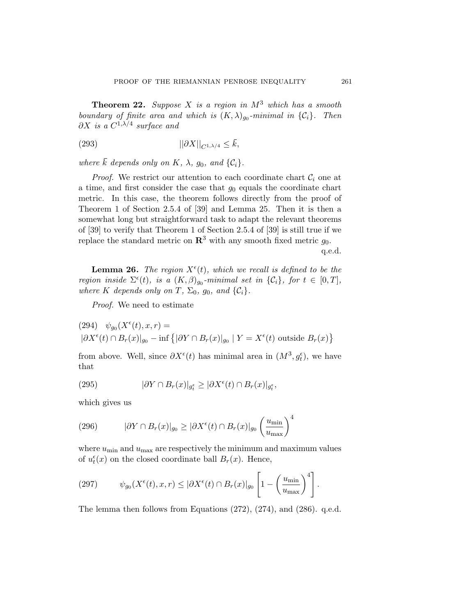<span id="page-84-0"></span>**Theorem 22.** *Suppose* X *is a region in* M<sup>3</sup> *which has a smooth boundary of finite area and which is*  $(K, \lambda)_{q_0}$ *-minimal in*  $\{\mathcal{C}_i\}$ *. Then*  $\partial X$  *is a*  $C^{1,\lambda/4}$  *surface and* 

$$
||\partial X||_{C^{1,\lambda/4}} \leq \bar{k},
$$

*where*  $\bar{k}$  *depends only on*  $K$ *,*  $\lambda$ *, g<sub>0</sub><i>, and*  $\{\mathcal{C}_i\}$ *.* 

*Proof.* We restrict our attention to each coordinate chart  $\mathcal{C}_i$  one at a time, and first consider the case that  $g_0$  equals the coordinate chart metric. In this case, the theorem follows directly from the proof of Theorem 1 of Section 2.5.4 of [\[39](#page-89-0)] and Lemma [25.](#page-82-0) Then it is then a somewhat long but straightforward task to adapt the relevant theorems of [\[39\]](#page-89-0) to verify that Theorem 1 of Section 2.5.4 of [\[39](#page-89-0)] is still true if we replace the standard metric on  $\mathbb{R}^3$  with any smooth fixed metric  $g_0$ .

q.e.d.

**Lemma 26.** The region  $X^{\epsilon}(t)$ , which we recall is defined to be the *region inside*  $\Sigma^{\epsilon}(t)$ *, is a*  $(K,\beta)_{g_0}$ *-minimal set in*  $\{\mathcal{C}_i\}$ *, for*  $t \in [0,T]$ *, where* K depends only on T,  $\Sigma_0$ ,  $g_0$ , and  $\{\mathcal{C}_i\}$ .

*Proof.* We need to estimate

(294) 
$$
\psi_{g_0}(X^{\epsilon}(t), x, r) =
$$
  
\n $|\partial X^{\epsilon}(t) \cap B_r(x)|_{g_0} - \inf \{ |\partial Y \cap B_r(x)|_{g_0} | Y = X^{\epsilon}(t) \text{ outside } B_r(x) \}$ 

from above. Well, since  $\partial X^{\epsilon}(t)$  has minimal area in  $(M^{3}, g_{t}^{\epsilon})$ , we have that

(295) 
$$
|\partial Y \cap B_r(x)|_{g_t^{\epsilon}} \ge |\partial X^{\epsilon}(t) \cap B_r(x)|_{g_t^{\epsilon}},
$$

which gives us

(296) 
$$
|\partial Y \cap B_r(x)|_{g_0} \ge |\partial X^{\epsilon}(t) \cap B_r(x)|_{g_0} \left(\frac{u_{\min}}{u_{\max}}\right)^4
$$

where  $u_{\text{min}}$  and  $u_{\text{max}}$  are respectively the minimum and maximum values of  $u_t^{\epsilon}(x)$  on the closed coordinate ball  $B_r(x)$ . Hence,

(297) 
$$
\psi_{g_0}(X^{\epsilon}(t),x,r) \leq |\partial X^{\epsilon}(t) \cap B_r(x)|_{g_0} \left[1 - \left(\frac{u_{\min}}{u_{\max}}\right)^4\right].
$$

The lemma then follows from Equations ([272\)](#page-78-0), [\(274](#page-79-0)), and ([286](#page-81-0)). q.e.d.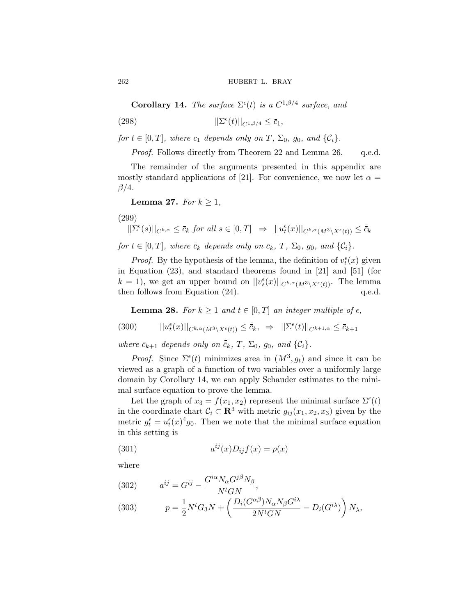<span id="page-85-0"></span>262 **hubert L. BRAY** 

**Corollary 14.** *The surface*  $\Sigma^{\epsilon}(t)$  *is a*  $C^{1,\beta/4}$  *surface, and* 

(298) 
$$
||\Sigma^{\epsilon}(t)||_{C^{1,\beta/4}} \leq \bar{c}_1,
$$

*for*  $t \in [0, T]$ *, where*  $\bar{c}_1$  *depends only on*  $T$ *,*  $\Sigma_0$ *, g*<sub>0</sub>*, and*  $\{\mathcal{C}_i\}$ *.* 

*Proof.* Follows directly from Theorem [22](#page-84-0) and Lemma [26](#page-84-0). q.e.d.

The remainder of the arguments presented in this appendix are mostly standard applications of [\[21\]](#page-88-0). For convenience, we now let  $\alpha =$  $\beta/4$ .

**Lemma 27.** *For*  $k \geq 1$ *,* 

(299)

$$
||\Sigma^{\epsilon}(s)||_{C^{k,\alpha}} \leq \bar{c}_k \text{ for all } s \in [0,T] \Rightarrow ||u_t^{\epsilon}(x)||_{C^{k,\alpha}(M^3 \setminus X^{\epsilon}(t))} \leq \bar{c}_k
$$

*for*  $t \in [0, T]$ *, where*  $\overline{c}_k$  *depends only on*  $\overline{c}_k$ *, T,*  $\Sigma_0$ *, g*<sub>0</sub>*, and*  $\{\mathcal{C}_i\}$ *.* 

*Proof.* By the hypothesis of the lemma, the definition of  $v_t^{\epsilon}(x)$  given in Equation ([23\)](#page-13-0), and standard theorems found in [\[21](#page-88-0)] and [[51\]](#page-90-0) (for  $k = 1$ , we get an upper bound on  $||v_s^{\epsilon}(x)||_{C^{k,\alpha}(M^3 \setminus X^{\epsilon}(t))}$ . The lemma then follows from Equation  $(24)$  $(24)$  $(24)$ . q.e.d.

**Lemma 28.** *For*  $k \geq 1$  *and*  $t \in [0, T]$  *an integer multiple of*  $\epsilon$ *,* 

$$
(300) \t\t ||u_t^{\epsilon}(x)||_{C^{k,\alpha}(M^3 \setminus X^{\epsilon}(t))} \leq \overline{\overline{c}}_k, \Rightarrow ||\Sigma^{\epsilon}(t)||_{C^{k+1,\alpha}} \leq \overline{c}_{k+1}
$$

*where*  $\bar{c}_{k+1}$  *depends only on*  $\bar{\bar{c}}_k$ *, T,*  $\Sigma_0$ *, g*<sub>0</sub>*, and*  $\{C_i\}$ *.* 

*Proof.* Since  $\Sigma^{\epsilon}(t)$  minimizes area in  $(M^{3}, g_{t})$  and since it can be viewed as a graph of a function of two variables over a uniformly large domain by Corollary 14, we can apply Schauder estimates to the minimal surface equation to prove the lemma.

Let the graph of  $x_3 = f(x_1, x_2)$  represent the minimal surface  $\Sigma^{\epsilon}(t)$ in the coordinate chart  $C_i \subset \mathbb{R}^3$  with metric  $g_{ij}(x_1, x_2, x_3)$  given by the metric  $g_t^{\epsilon} = u_t^{\epsilon}(x)^4 g_0$ . Then we note that the minimal surface equation in this setting is

(301) 
$$
a^{ij}(x)D_{ij}f(x) = p(x)
$$

where

(302) 
$$
a^{ij} = G^{ij} - \frac{G^{i\alpha} N_{\alpha} G^{j\beta} N_{\beta}}{N^t G N},
$$

(303) 
$$
p = \frac{1}{2}N^tG_3N + \left(\frac{D_i(G^{\alpha\beta})N_{\alpha}N_{\beta}G^{i\lambda}}{2N^tGN} - D_i(G^{i\lambda})\right)N_{\lambda},
$$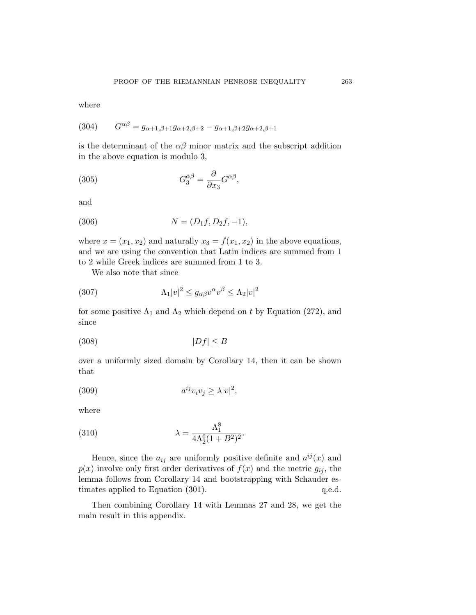where

(304) 
$$
G^{\alpha\beta} = g_{\alpha+1,\beta+1}g_{\alpha+2,\beta+2} - g_{\alpha+1,\beta+2}g_{\alpha+2,\beta+1}
$$

is the determinant of the  $\alpha\beta$  minor matrix and the subscript addition in the above equation is modulo 3,

(305) 
$$
G_3^{\alpha\beta} = \frac{\partial}{\partial x_3} G^{\alpha\beta},
$$

and

(306) 
$$
N = (D_1 f, D_2 f, -1),
$$

where  $x = (x_1, x_2)$  and naturally  $x_3 = f(x_1, x_2)$  in the above equations, and we are using the convention that Latin indices are summed from 1 to 2 while Greek indices are summed from 1 to 3.

We also note that since

(307) 
$$
\Lambda_1 |v|^2 \le g_{\alpha\beta} v^{\alpha} v^{\beta} \le \Lambda_2 |v|^2
$$

for some positive  $\Lambda_1$  and  $\Lambda_2$  which depend on t by Equation ([272\)](#page-78-0), and since

$$
(308)\t\t\t |Df| \le B
$$

over a uniformly sized domain by Corollary [14](#page-85-0), then it can be shown that

(309) 
$$
a^{ij}v_iv_j \geq \lambda |v|^2,
$$

where

(310) 
$$
\lambda = \frac{\Lambda_1^8}{4\Lambda_2^6 (1 + B^2)^2}.
$$

Hence, since the  $a_{ij}$  are uniformly positive definite and  $a^{ij}(x)$  and  $p(x)$  involve only first order derivatives of  $f(x)$  and the metric  $g_{ij}$ , the lemma follows from Corollary [14](#page-85-0) and bootstrapping with Schauder es-timates applied to Equation ([301](#page-85-0)).  $q.e.d.$ 

Then combining Corollary [14](#page-85-0) with Lemmas [27](#page-85-0) and [28](#page-85-0), we get the main result in this appendix.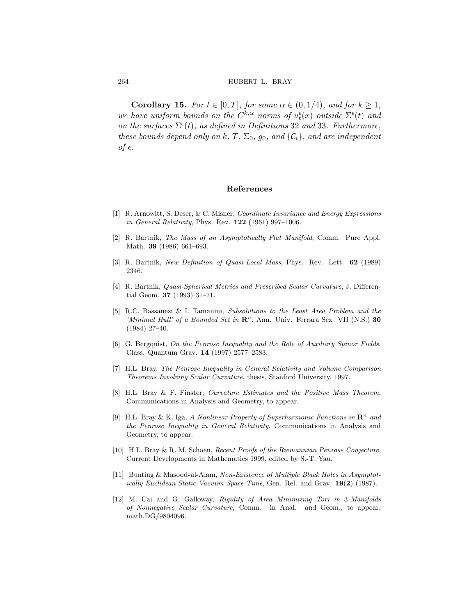<span id="page-87-0"></span>**Corollary 15.** *For*  $t \in [0, T]$ *, for some*  $\alpha \in (0, 1/4)$ *, and for*  $k \geq 1$ *, we have uniform bounds on the*  $C^{k,\alpha}$  *norms of*  $u_t^{\epsilon}(x)$  *outside*  $\Sigma^{\epsilon}(t)$  *and* on the surfaces  $\Sigma^{\epsilon}(t)$ , as defined in Definitions [32](#page-81-0) and [33](#page-81-0). Furthermore, *these bounds depend only on*  $k$ ,  $T$ ,  $\Sigma_0$ ,  $g_0$ , and  $\{\mathcal{C}_i\}$ , and are independent *of*  $\epsilon$ .

#### **References**

- [1] R. Arnowitt, S. Deser, & C. Misner, Coordinate Invariance and Energy Expressions in General Relativity, Phys. Rev. **122** (1961) 997–1006.
- [2] R. Bartnik, The Mass of an Asymptotically Flat Manifold, Comm. Pure Appl. Math. **39** (1986) 661–693.
- [3] R. Bartnik, New Definition of Quasi-Local Mass, Phys. Rev. Lett. **62** (1989) 2346.
- [4] R. Bartnik, Quasi-Spherical Metrics and Prescribed Scalar Curvature, J. Differential Geom. **37** (1993) 31–71.
- [5] R.C. Bassanezi & I. Tamanini, Subsolutions to the Least Area Problem and the 'Minimal Hull' of a Bounded Set in  $\mathbb{R}^n$ , Ann. Univ. Ferrara Sez. VII (N.S.) 30 (1984) 27–40.
- [6] G. Bergquist, On the Penrose Inequality and the Role of Auxiliary Spinor Fields, Class. Quantum Grav. **14** (1997) 2577–2583.
- [7] H.L. Bray, The Penrose Inequality in General Relativity and Volume Comparison Theorems Involving Scalar Curvature, thesis, Stanford University, 1997.
- [8] H.L. Bray & F. Finster, Curvature Estimates and the Positive Mass Theorem, Communications in Analysis and Geometry, to appear.
- [9] H.L. Bray & K. Iga, A Nonlinear Property of Superharmonic Functions in  $\mathbb{R}^n$  and the Penrose Inequality in General Relativity, Communications in Analysis and Geometry, to appear.
- [10] H.L. Bray & R. M. Schoen, Recent Proofs of the Riemannian Penrose Conjecture, Current Developments in Mathematics 1999, edited by S.-T. Yau.
- [11] Bunting & Masood-ul-Alam, Non-Existence of Multiple Black Holes in Asymptotically Euclidean Static Vacuum Space-Time, Gen. Rel. and Grav. **19**(**2**) (1987).
- [12] M. Cai and G. Galloway, Rigidity of Area Minimizing Tori in 3-Manifolds of Nonnegative Scalar Curvature, Comm. in Anal. and Geom., to appear, [math.DG/9804096](http://arXiv.org/abs/math.DG/9804096).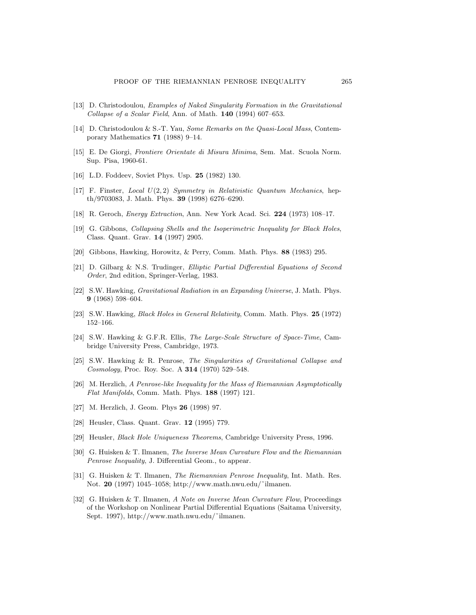- <span id="page-88-0"></span>[13] D. Christodoulou, Examples of Naked Singularity Formation in the Gravitational Collapse of a Scalar Field, Ann. of Math. **140** (1994) 607–653.
- [14] D. Christodoulou & S.-T. Yau, Some Remarks on the Quasi-Local Mass, Contemporary Mathematics **71** (1988) 9–14.
- [15] E. De Giorgi, Frontiere Orientate di Misura Minima, Sem. Mat. Scuola Norm. Sup. Pisa, 1960-61.
- [16] L.D. Foddeev, Soviet Phys. Usp. **25** (1982) 130.
- [17] F. Finster, Local  $U(2, 2)$  Symmetry in Relativistic Quantum Mechanics, hepth/9703083, J. Math. Phys. **39** (1998) 6276–6290.
- [18] R. Geroch, Energy Extraction, Ann. New York Acad. Sci. **224** (1973) 108–17.
- [19] G. Gibbons, Collapsing Shells and the Isoperimetric Inequality for Black Holes, Class. Quant. Grav. **14** (1997) 2905.
- [20] Gibbons, Hawking, Horowitz, & Perry, Comm. Math. Phys. **88** (1983) 295.
- [21] D. Gilbarg & N.S. Trudinger, Elliptic Partial Differential Equations of Second Order, 2nd edition, Springer-Verlag, 1983.
- [22] S.W. Hawking, Gravitational Radiation in an Expanding Universe, J. Math. Phys. **9** (1968) 598–604.
- [23] S.W. Hawking, Black Holes in General Relativity, Comm. Math. Phys. **25** (1972) 152–166.
- [24] S.W. Hawking & G.F.R. Ellis, The Large-Scale Structure of Space-Time, Cambridge University Press, Cambridge, 1973.
- [25] S.W. Hawking & R. Penrose, The Singularities of Gravitational Collapse and Cosmology, Proc. Roy. Soc. A **314** (1970) 529–548.
- [26] M. Herzlich, A Penrose-like Inequality for the Mass of Riemannian Asymptotically Flat Manifolds, Comm. Math. Phys. **188** (1997) 121.
- [27] M. Herzlich, J. Geom. Phys **26** (1998) 97.
- [28] Heusler, Class. Quant. Grav. **12** (1995) 779.
- [29] Heusler, Black Hole Uniqueness Theorems, Cambridge University Press, 1996.
- [30] G. Huisken & T. Ilmanen, The Inverse Mean Curvature Flow and the Riemannian Penrose Inequality, J. Differential Geom., to appear.
- [31] G. Huisken & T. Ilmanen, The Riemannian Penrose Inequality, Int. Math. Res. Not. **20** (1997) 1045–1058; [http://www.math.nwu.edu/˜ilmanen.](http://www.math.nwu.edu/~ilmanen)
- [32] G. Huisken & T. Ilmanen, A Note on Inverse Mean Curvature Flow, Proceedings of the Workshop on Nonlinear Partial Differential Equations (Saitama University, Sept. 1997), [http://www.math.nwu.edu/˜ilmanen.](http://www.math.nwu.edu/~ilmanen)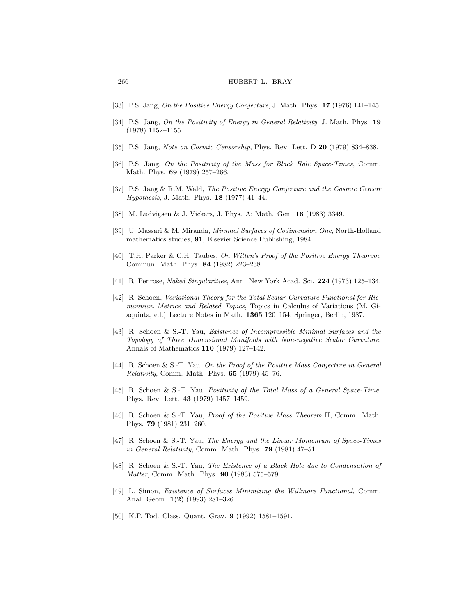#### <span id="page-89-0"></span>266 **hubert l. bray**

- [33] P.S. Jang, On the Positive Energy Conjecture, J. Math. Phys. **17** (1976) 141–145.
- [34] P.S. Jang, On the Positivity of Energy in General Relativity, J. Math. Phys. **19** (1978) 1152–1155.
- [35] P.S. Jang, Note on Cosmic Censorship, Phys. Rev. Lett. D **20** (1979) 834–838.
- [36] P.S. Jang, On the Positivity of the Mass for Black Hole Space-Times, Comm. Math. Phys. **69** (1979) 257–266.
- [37] P.S. Jang & R.M. Wald, The Positive Energy Conjecture and the Cosmic Censor Hypothesis, J. Math. Phys. **18** (1977) 41–44.
- [38] M. Ludvigsen & J. Vickers, J. Phys. A: Math. Gen. **16** (1983) 3349.
- [39] U. Massari & M. Miranda, Minimal Surfaces of Codimension One, North-Holland mathematics studies, **91**, Elsevier Science Publishing, 1984.
- [40] T.H. Parker & C.H. Taubes, On Witten's Proof of the Positive Energy Theorem, Commun. Math. Phys. **84** (1982) 223–238.
- [41] R. Penrose, Naked Singularities, Ann. New York Acad. Sci. **224** (1973) 125–134.
- [42] R. Schoen, Variational Theory for the Total Scalar Curvature Functional for Riemannian Metrics and Related Topics, Topics in Calculus of Variations (M. Giaquinta, ed.) Lecture Notes in Math. **1365** 120–154, Springer, Berlin, 1987.
- [43] R. Schoen & S.-T. Yau, Existence of Incompressible Minimal Surfaces and the Topology of Three Dimensional Manifolds with Non-negative Scalar Curvature, Annals of Mathematics **110** (1979) 127–142.
- [44] R. Schoen & S.-T. Yau, On the Proof of the Positive Mass Conjecture in General Relativity, Comm. Math. Phys. **65** (1979) 45–76.
- [45] R. Schoen & S.-T. Yau, Positivity of the Total Mass of a General Space-Time, Phys. Rev. Lett. **43** (1979) 1457–1459.
- [46] R. Schoen & S.-T. Yau, Proof of the Positive Mass Theorem II, Comm. Math. Phys. **79** (1981) 231–260.
- [47] R. Schoen & S.-T. Yau, The Energy and the Linear Momentum of Space-Times in General Relativity, Comm. Math. Phys. **79** (1981) 47–51.
- [48] R. Schoen & S.-T. Yau, The Existence of a Black Hole due to Condensation of Matter, Comm. Math. Phys. **90** (1983) 575–579.
- [49] L. Simon, Existence of Surfaces Minimizing the Willmore Functional, Comm. Anal. Geom. **1**(**2**) (1993) 281–326.
- [50] K.P. Tod. Class. Quant. Grav. **9** (1992) 1581–1591.